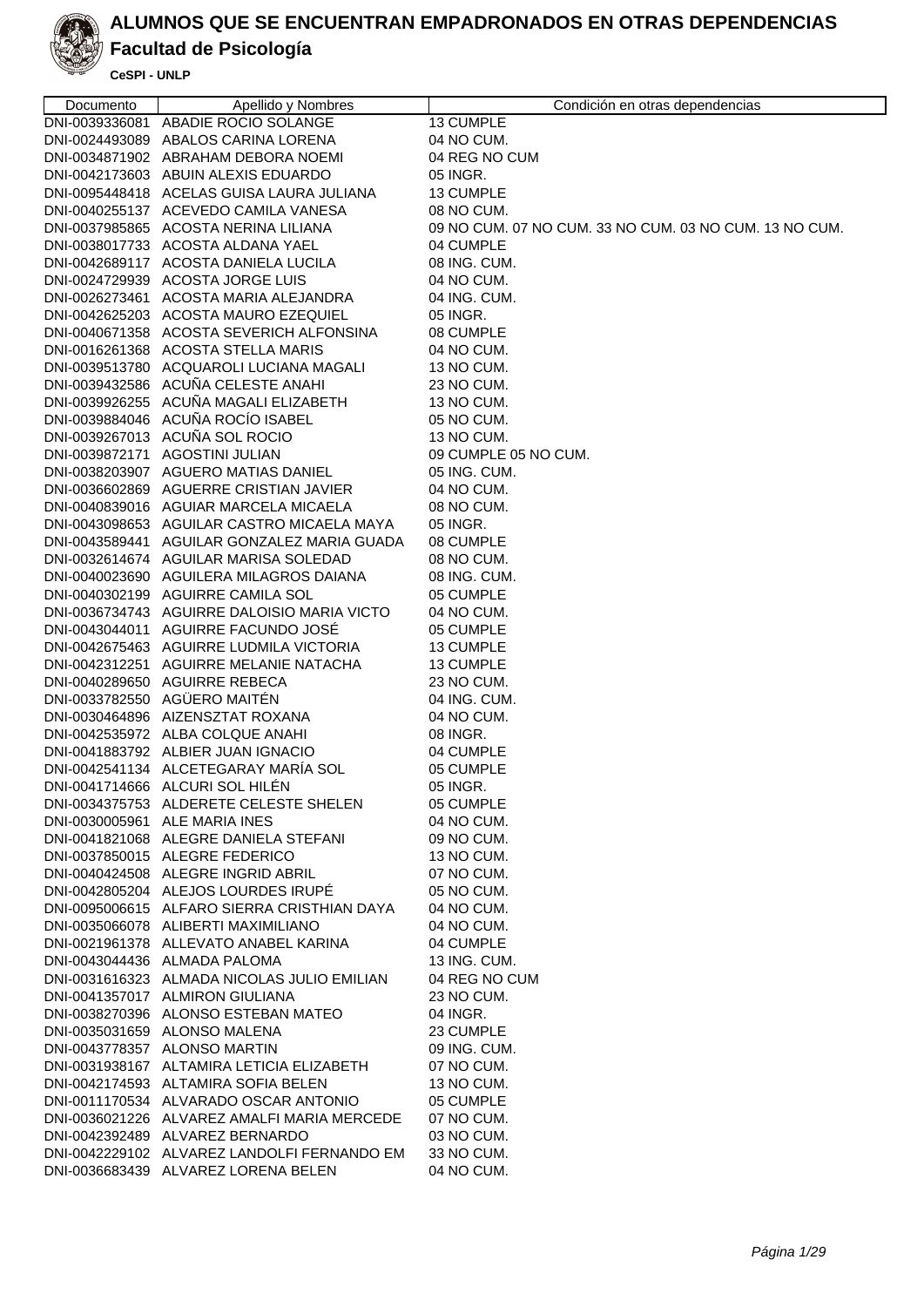

# **Facultad de Psicología**

| Documento      | Apellido y Nombres                                                               | Condición en otras dependencias                        |
|----------------|----------------------------------------------------------------------------------|--------------------------------------------------------|
| DNI-0039336081 | ABADIE ROCIO SOLANGE                                                             | 13 CUMPLE                                              |
|                | DNI-0024493089 ABALOS CARINA LORENA                                              | 04 NO CUM.                                             |
|                | DNI-0034871902 ABRAHAM DEBORA NOEMI                                              | 04 REG NO CUM                                          |
|                | DNI-0042173603 ABUIN ALEXIS EDUARDO                                              | 05 INGR.                                               |
|                | DNI-0095448418 ACELAS GUISA LAURA JULIANA                                        | 13 CUMPLE                                              |
|                | DNI-0040255137 ACEVEDO CAMILA VANESA                                             | 08 NO CUM.                                             |
|                | DNI-0037985865 ACOSTA NERINA LILIANA                                             | 09 NO CUM, 07 NO CUM, 33 NO CUM, 03 NO CUM, 13 NO CUM, |
|                | DNI-0038017733 ACOSTA ALDANA YAEL                                                | 04 CUMPLE                                              |
|                | DNI-0042689117 ACOSTA DANIELA LUCILA                                             | 08 ING. CUM.                                           |
|                | DNI-0024729939 ACOSTA JORGE LUIS                                                 | 04 NO CUM.                                             |
|                | DNI-0026273461 ACOSTA MARIA ALEJANDRA                                            | 04 ING. CUM.                                           |
|                | DNI-0042625203 ACOSTA MAURO EZEQUIEL                                             | 05 INGR.                                               |
|                | DNI-0040671358 ACOSTA SEVERICH ALFONSINA                                         | 08 CUMPLE                                              |
|                | DNI-0016261368 ACOSTA STELLA MARIS                                               | 04 NO CUM.                                             |
|                | DNI-0039513780 ACQUAROLI LUCIANA MAGALI                                          | 13 NO CUM.                                             |
|                | DNI-0039432586 ACUÑA CELESTE ANAHI                                               | 23 NO CUM.                                             |
|                | DNI-0039926255 ACUÑA MAGALI ELIZABETH                                            | 13 NO CUM.                                             |
|                | DNI-0039884046 ACUÑA ROCÍO ISABEL                                                | 05 NO CUM.                                             |
|                | DNI-0039267013 ACUÑA SOL ROCIO                                                   | 13 NO CUM.                                             |
|                | DNI-0039872171 AGOSTINI JULIAN                                                   | 09 CUMPLE 05 NO CUM.                                   |
|                | DNI-0038203907 AGUERO MATIAS DANIEL                                              | 05 ING. CUM.                                           |
|                | DNI-0036602869 AGUERRE CRISTIAN JAVIER                                           | 04 NO CUM.                                             |
|                | DNI-0040839016 AGUIAR MARCELA MICAELA                                            | 08 NO CUM.                                             |
|                | DNI-0043098653 AGUILAR CASTRO MICAELA MAYA                                       | 05 INGR.                                               |
|                | DNI-0043589441 AGUILAR GONZALEZ MARIA GUADA                                      | 08 CUMPLE                                              |
|                | DNI-0032614674 AGUILAR MARISA SOLEDAD                                            | 08 NO CUM.                                             |
|                | DNI-0040023690 AGUILERA MILAGROS DAIANA                                          | 08 ING. CUM.                                           |
|                | DNI-0040302199 AGUIRRE CAMILA SOL                                                | 05 CUMPLE                                              |
|                | DNI-0036734743 AGUIRRE DALOISIO MARIA VICTO                                      | 04 NO CUM.                                             |
|                | DNI-0043044011 AGUIRRE FACUNDO JOSÉ                                              | 05 CUMPLE                                              |
|                | DNI-0042675463 AGUIRRE LUDMILA VICTORIA                                          | 13 CUMPLE                                              |
|                | DNI-0042312251 AGUIRRE MELANIE NATACHA                                           | 13 CUMPLE                                              |
|                | DNI-0040289650 AGUIRRE REBECA                                                    | 23 NO CUM.                                             |
|                | DNI-0033782550 AGÜERO MAITÉN                                                     | 04 ING. CUM.                                           |
|                | DNI-0030464896 AIZENSZTAT ROXANA                                                 | 04 NO CUM.                                             |
|                | DNI-0042535972 ALBA COLQUE ANAHI                                                 | 08 INGR.                                               |
|                | DNI-0041883792 ALBIER JUAN IGNACIO                                               | 04 CUMPLE                                              |
|                | DNI-0042541134 ALCETEGARAY MARÍA SOL                                             | 05 CUMPLE                                              |
|                | DNI-0041714666 ALCURI SOL HILEN                                                  | 05 INGR.                                               |
|                | DNI-0034375753 ALDERETE CELESTE SHELEN                                           | 05 CUMPLE                                              |
|                | DNI-0030005961 ALE MARIA INES                                                    | 04 NO CUM.                                             |
|                | DNI-0041821068 ALEGRE DANIELA STEFANI                                            | 09 NO CUM.                                             |
|                | DNI-0037850015 ALEGRE FEDERICO                                                   | 13 NO CUM.                                             |
|                | DNI-0040424508 ALEGRE INGRID ABRIL                                               | 07 NO CUM.                                             |
|                | DNI-0042805204 ALEJOS LOURDES IRUPÉ                                              | 05 NO CUM.                                             |
|                | DNI-0095006615 ALFARO SIERRA CRISTHIAN DAYA                                      | 04 NO CUM.                                             |
|                | DNI-0035066078 ALIBERTI MAXIMILIANO                                              | 04 NO CUM.                                             |
|                | DNI-0021961378 ALLEVATO ANABEL KARINA                                            | 04 CUMPLE                                              |
|                | DNI-0043044436 ALMADA PALOMA                                                     | 13 ING. CUM.                                           |
|                | DNI-0031616323 ALMADA NICOLAS JULIO EMILIAN                                      | 04 REG NO CUM                                          |
|                | DNI-0041357017 ALMIRON GIULIANA                                                  | 23 NO CUM.                                             |
|                | DNI-0038270396 ALONSO ESTEBAN MATEO                                              | 04 INGR.                                               |
|                | DNI-0035031659 ALONSO MALENA                                                     | 23 CUMPLE                                              |
|                | DNI-0043778357 ALONSO MARTIN                                                     | 09 ING. CUM.                                           |
|                | DNI-0031938167 ALTAMIRA LETICIA ELIZABETH<br>DNI-0042174593 ALTAMIRA SOFIA BELEN | 07 NO CUM.                                             |
|                | DNI-0011170534 ALVARADO OSCAR ANTONIO                                            | 13 NO CUM.<br>05 CUMPLE                                |
|                | DNI-0036021226 ALVAREZ AMALFI MARIA MERCEDE                                      |                                                        |
|                | DNI-0042392489 ALVAREZ BERNARDO                                                  | 07 NO CUM.<br>03 NO CUM.                               |
|                | DNI-0042229102 ALVAREZ LANDOLFI FERNANDO EM                                      | 33 NO CUM.                                             |
|                | DNI-0036683439 ALVAREZ LORENA BELEN                                              | 04 NO CUM.                                             |
|                |                                                                                  |                                                        |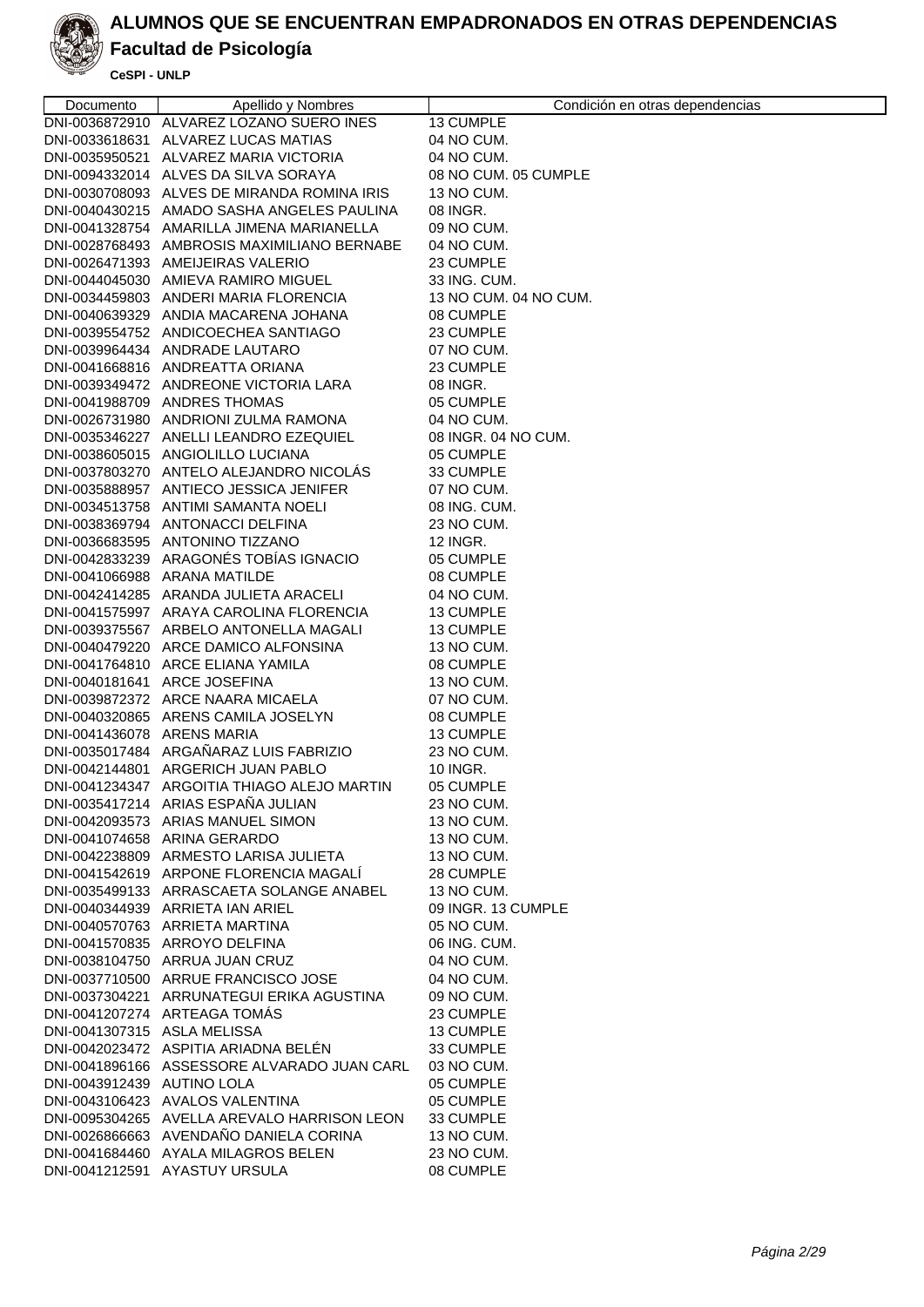

# **Facultad de Psicología**

| Documento                   | Apellido y Nombres                          | Condición en otras dependencias |
|-----------------------------|---------------------------------------------|---------------------------------|
|                             | DNI-0036872910 ALVAREZ LOZANO SUERO INES    | 13 CUMPLE                       |
|                             | DNI-0033618631 ALVAREZ LUCAS MATIAS         | 04 NO CUM.                      |
|                             | DNI-0035950521 ALVAREZ MARIA VICTORIA       | 04 NO CUM.                      |
|                             | DNI-0094332014 ALVES DA SILVA SORAYA        | 08 NO CUM. 05 CUMPLE            |
|                             | DNI-0030708093 ALVES DE MIRANDA ROMINA IRIS | 13 NO CUM.                      |
|                             | DNI-0040430215 AMADO SASHA ANGELES PAULINA  | 08 INGR.                        |
|                             | DNI-0041328754 AMARILLA JIMENA MARIANELLA   | 09 NO CUM.                      |
|                             | DNI-0028768493 AMBROSIS MAXIMILIANO BERNABE | 04 NO CUM.                      |
|                             | DNI-0026471393 AMEIJEIRAS VALERIO           | 23 CUMPLE                       |
|                             | DNI-0044045030 AMIEVA RAMIRO MIGUEL         | 33 ING. CUM.                    |
|                             | DNI-0034459803 ANDERI MARIA FLORENCIA       | 13 NO CUM. 04 NO CUM.           |
|                             | DNI-0040639329 ANDIA MACARENA JOHANA        | 08 CUMPLE                       |
|                             | DNI-0039554752 ANDICOECHEA SANTIAGO         | 23 CUMPLE                       |
|                             | DNI-0039964434 ANDRADE LAUTARO              | 07 NO CUM.                      |
|                             | DNI-0041668816 ANDREATTA ORIANA             | 23 CUMPLE                       |
|                             | DNI-0039349472 ANDREONE VICTORIA LARA       | 08 INGR.                        |
|                             | DNI-0041988709 ANDRES THOMAS                | 05 CUMPLE                       |
|                             | DNI-0026731980 ANDRIONI ZULMA RAMONA        | 04 NO CUM.                      |
|                             | DNI-0035346227 ANELLI LEANDRO EZEQUIEL      | 08 INGR. 04 NO CUM.             |
|                             | DNI-0038605015 ANGIOLILLO LUCIANA           | 05 CUMPLE                       |
|                             | DNI-0037803270 ANTELO ALEJANDRO NICOLÁS     | 33 CUMPLE                       |
|                             | DNI-0035888957 ANTIECO JESSICA JENIFER      | 07 NO CUM.                      |
|                             | DNI-0034513758 ANTIMI SAMANTA NOELI         | 08 ING. CUM.                    |
|                             | DNI-0038369794 ANTONACCI DELFINA            | 23 NO CUM.                      |
|                             | DNI-0036683595 ANTONINO TIZZANO             | 12 INGR.                        |
|                             | DNI-0042833239 ARAGONÉS TOBÍAS IGNACIO      | 05 CUMPLE                       |
|                             | DNI-0041066988 ARANA MATILDE                | 08 CUMPLE                       |
|                             | DNI-0042414285 ARANDA JULIETA ARACELI       | 04 NO CUM.                      |
|                             | DNI-0041575997 ARAYA CAROLINA FLORENCIA     | 13 CUMPLE                       |
|                             | DNI-0039375567 ARBELO ANTONELLA MAGALI      | 13 CUMPLE                       |
|                             | DNI-0040479220 ARCE DAMICO ALFONSINA        | 13 NO CUM.                      |
|                             | DNI-0041764810 ARCE ELIANA YAMILA           | 08 CUMPLE                       |
|                             | DNI-0040181641 ARCE JOSEFINA                | 13 NO CUM.                      |
|                             | DNI-0039872372 ARCE NAARA MICAELA           | 07 NO CUM.                      |
|                             | DNI-0040320865 ARENS CAMILA JOSELYN         | 08 CUMPLE                       |
| DNI-0041436078 ARENS MARIA  |                                             | 13 CUMPLE                       |
|                             | DNI-0035017484 ARGAÑARAZ LUIS FABRIZIO      | 23 NO CUM.                      |
|                             | DNI-0042144801 ARGERICH JUAN PABLO          | 10 INGR.                        |
|                             | DNI-0041234347 ARGOITIA THIAGO ALEJO MARTIN | 05 CUMPLE                       |
|                             | DNI-0035417214 ARIAS ESPAÑA JULIAN          | 23 NO CUM.                      |
|                             | DNI-0042093573 ARIAS MANUEL SIMON           | 13 NO CUM.                      |
|                             | DNI-0041074658 ARINA GERARDO                | 13 NO CUM.                      |
|                             | DNI-0042238809 ARMESTO LARISA JULIETA       | 13 NO CUM.                      |
|                             | DNI-0041542619 ARPONE FLORENCIA MAGALÍ      | 28 CUMPLE                       |
|                             | DNI-0035499133 ARRASCAETA SOLANGE ANABEL    | 13 NO CUM.                      |
|                             | DNI-0040344939 ARRIETA IAN ARIEL            | 09 INGR. 13 CUMPLE              |
|                             | DNI-0040570763 ARRIETA MARTINA              | 05 NO CUM.                      |
|                             | DNI-0041570835 ARROYO DELFINA               | 06 ING. CUM.                    |
|                             | DNI-0038104750 ARRUA JUAN CRUZ              | 04 NO CUM.                      |
|                             | DNI-0037710500 ARRUE FRANCISCO JOSE         | 04 NO CUM.                      |
|                             | DNI-0037304221 ARRUNATEGUI ERIKA AGUSTINA   | 09 NO CUM.                      |
|                             | DNI-0041207274 ARTEAGA TOMAS                | 23 CUMPLE                       |
| DNI-0041307315 ASLA MELISSA |                                             | 13 CUMPLE                       |
|                             | DNI-0042023472 ASPITIA ARIADNA BELÉN        | 33 CUMPLE                       |
|                             | DNI-0041896166 ASSESSORE ALVARADO JUAN CARL | 03 NO CUM.                      |
| DNI-0043912439 AUTINO LOLA  |                                             | 05 CUMPLE                       |
|                             | DNI-0043106423 AVALOS VALENTINA             | 05 CUMPLE                       |
|                             | DNI-0095304265 AVELLA AREVALO HARRISON LEON | 33 CUMPLE                       |
|                             | DNI-0026866663 AVENDAÑO DANIELA CORINA      | 13 NO CUM.                      |
|                             | DNI-0041684460 AYALA MILAGROS BELEN         | 23 NO CUM.                      |
|                             | DNI-0041212591 AYASTUY URSULA               | 08 CUMPLE                       |
|                             |                                             |                                 |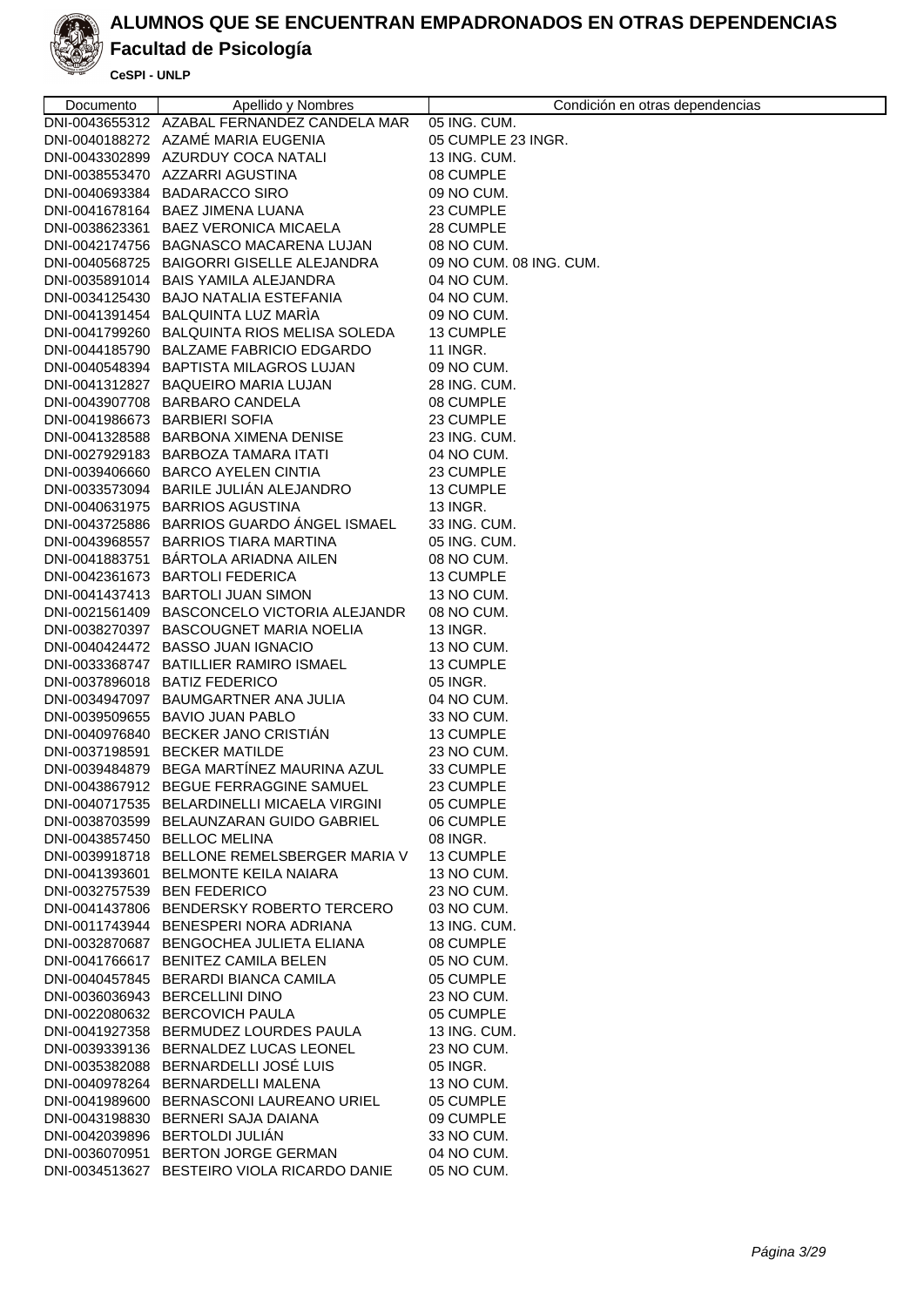

### **Facultad de Psicología**

| Documento                   | Apellido y Nombres                          | Condición en otras dependencias |
|-----------------------------|---------------------------------------------|---------------------------------|
|                             | DNI-0043655312 AZABAL FERNANDEZ CANDELA MAR | 05 ING. CUM.                    |
|                             | DNI-0040188272 AZAMÉ MARIA EUGENIA          | 05 CUMPLE 23 INGR.              |
|                             | DNI-0043302899 AZURDUY COCA NATALI          | 13 ING. CUM.                    |
|                             | DNI-0038553470 AZZARRI AGUSTINA             | 08 CUMPLE                       |
|                             | DNI-0040693384 BADARACCO SIRO               | 09 NO CUM.                      |
|                             | DNI-0041678164 BAEZ JIMENA LUANA            | 23 CUMPLE                       |
|                             | DNI-0038623361 BAEZ VERONICA MICAELA        | 28 CUMPLE                       |
|                             | DNI-0042174756 BAGNASCO MACARENA LUJAN      | 08 NO CUM.                      |
|                             | DNI-0040568725 BAIGORRI GISELLE ALEJANDRA   | 09 NO CUM. 08 ING. CUM.         |
|                             | DNI-0035891014 BAIS YAMILA ALEJANDRA        | 04 NO CUM.                      |
|                             | DNI-0034125430 BAJO NATALIA ESTEFANIA       | 04 NO CUM.                      |
|                             | DNI-0041391454 BALQUINTA LUZ MARÍA          | 09 NO CUM.                      |
|                             | DNI-0041799260 BALQUINTA RIOS MELISA SOLEDA | 13 CUMPLE                       |
|                             | DNI-0044185790 BALZAME FABRICIO EDGARDO     | 11 INGR.                        |
|                             | DNI-0040548394 BAPTISTA MILAGROS LUJAN      | 09 NO CUM.                      |
|                             | DNI-0041312827 BAQUEIRO MARIA LUJAN         | 28 ING. CUM.                    |
|                             | DNI-0043907708 BARBARO CANDELA              | 08 CUMPLE                       |
|                             | DNI-0041986673 BARBIERI SOFIA               | 23 CUMPLE                       |
|                             | DNI-0041328588 BARBONA XIMENA DENISE        | 23 ING. CUM.                    |
|                             | DNI-0027929183 BARBOZA TAMARA ITATI         | 04 NO CUM.                      |
|                             | DNI-0039406660 BARCO AYELEN CINTIA          | 23 CUMPLE                       |
|                             | DNI-0033573094 BARILE JULIÁN ALEJANDRO      | 13 CUMPLE                       |
|                             | DNI-0040631975 BARRIOS AGUSTINA             | 13 INGR.                        |
|                             | DNI-0043725886 BARRIOS GUARDO ÁNGEL ISMAEL  | 33 ING. CUM.                    |
|                             | DNI-0043968557 BARRIOS TIARA MARTINA        | 05 ING. CUM.                    |
|                             | DNI-0041883751 BÁRTOLA ARIADNA AILEN        | 08 NO CUM.                      |
|                             | DNI-0042361673 BARTOLI FEDERICA             | 13 CUMPLE                       |
|                             | DNI-0041437413 BARTOLI JUAN SIMON           | 13 NO CUM.                      |
|                             | DNI-0021561409 BASCONCELO VICTORIA ALEJANDR | 08 NO CUM.                      |
|                             | DNI-0038270397 BASCOUGNET MARIA NOELIA      | 13 INGR.                        |
|                             | DNI-0040424472 BASSO JUAN IGNACIO           | 13 NO CUM.                      |
|                             | DNI-0033368747 BATILLIER RAMIRO ISMAEL      | 13 CUMPLE                       |
|                             | DNI-0037896018 BATIZ FEDERICO               | 05 INGR.                        |
|                             | DNI-0034947097 BAUMGARTNER ANA JULIA        | 04 NO CUM.                      |
|                             | DNI-0039509655 BAVIO JUAN PABLO             | 33 NO CUM.                      |
|                             | DNI-0040976840 BECKER JANO CRISTIÁN         | 13 CUMPLE                       |
|                             | DNI-0037198591 BECKER MATILDE               | 23 NO CUM.                      |
|                             | DNI-0039484879 BEGA MARTÍNEZ MAURINA AZUL   | 33 CUMPLE                       |
|                             | DNI-0043867912 BEGUE FERRAGGINE SAMUEL      | 23 CUMPLE                       |
|                             | DNI-0040717535 BELARDINELLI MICAELA VIRGINI | 05 CUMPLE                       |
|                             | DNI-0038703599 BELAUNZARAN GUIDO GABRIEL    | 06 CUMPLE                       |
|                             | DNI-0043857450 BELLOC MELINA                | 08 INGR.                        |
|                             | DNI-0039918718 BELLONE REMELSBERGER MARIA V | 13 CUMPLE                       |
|                             | DNI-0041393601 BELMONTE KEILA NAIARA        | 13 NO CUM.                      |
| DNI-0032757539 BEN FEDERICO |                                             | 23 NO CUM.                      |
|                             | DNI-0041437806 BENDERSKY ROBERTO TERCERO    | 03 NO CUM.                      |
|                             | DNI-0011743944 BENESPERI NORA ADRIANA       | 13 ING. CUM.                    |
|                             | DNI-0032870687 BENGOCHEA JULIETA ELIANA     | 08 CUMPLE                       |
|                             | DNI-0041766617 BENITEZ CAMILA BELEN         | 05 NO CUM.                      |
|                             | DNI-0040457845 BERARDI BIANCA CAMILA        | 05 CUMPLE                       |
|                             | DNI-0036036943 BERCELLINI DINO              | 23 NO CUM.                      |
|                             | DNI-0022080632 BERCOVICH PAULA              | 05 CUMPLE                       |
|                             | DNI-0041927358 BERMUDEZ LOURDES PAULA       | 13 ING. CUM.                    |
|                             | DNI-0039339136 BERNALDEZ LUCAS LEONEL       | 23 NO CUM.                      |
|                             | DNI-0035382088 BERNARDELLI JOSÉ LUIS        | 05 INGR.                        |
|                             | DNI-0040978264 BERNARDELLI MALENA           | 13 NO CUM.                      |
|                             | DNI-0041989600 BERNASCONI LAUREANO URIEL    | 05 CUMPLE                       |
|                             | DNI-0043198830 BERNERI SAJA DAIANA          | 09 CUMPLE                       |
|                             | DNI-0042039896 BERTOLDI JULIAN              | 33 NO CUM.                      |
|                             | DNI-0036070951 BERTON JORGE GERMAN          | 04 NO CUM.                      |
|                             | DNI-0034513627 BESTEIRO VIOLA RICARDO DANIE | 05 NO CUM.                      |
|                             |                                             |                                 |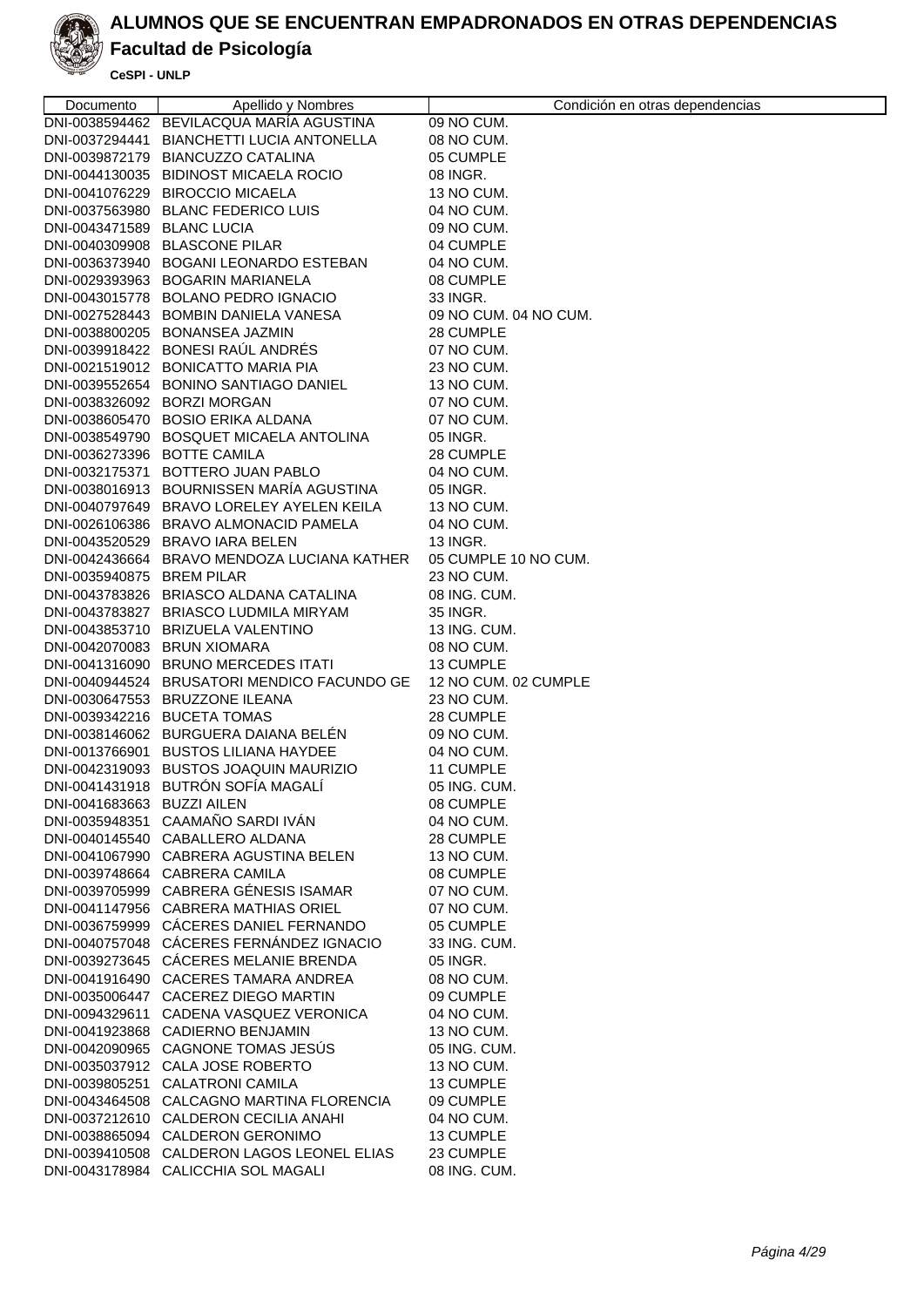

## **Facultad de Psicología**

| Documento                   | Apellido y Nombres                                                      | Condición en otras dependencias |
|-----------------------------|-------------------------------------------------------------------------|---------------------------------|
|                             | DNI-0038594462 BEVILACQUA MARIA AGUSTINA                                | 09 NO CUM.                      |
|                             | DNI-0037294441 BIANCHETTI LUCIA ANTONELLA                               | 08 NO CUM.                      |
|                             | DNI-0039872179 BIANCUZZO CATALINA                                       | 05 CUMPLE                       |
|                             | DNI-0044130035 BIDINOST MICAELA ROCIO                                   | 08 INGR.                        |
|                             | DNI-0041076229 BIROCCIO MICAELA                                         | 13 NO CUM.                      |
|                             | DNI-0037563980 BLANC FEDERICO LUIS                                      | 04 NO CUM.                      |
| DNI-0043471589 BLANC LUCIA  |                                                                         | 09 NO CUM.                      |
|                             | DNI-0040309908 BLASCONE PILAR                                           | 04 CUMPLE                       |
|                             | DNI-0036373940 BOGANI LEONARDO ESTEBAN                                  | 04 NO CUM.                      |
|                             |                                                                         |                                 |
|                             | DNI-0029393963 BOGARIN MARIANELA<br>DNI-0043015778 BOLANO PEDRO IGNACIO | 08 CUMPLE<br>33 INGR.           |
|                             |                                                                         | 09 NO CUM, 04 NO CUM.           |
|                             | DNI-0027528443 BOMBIN DANIELA VANESA                                    |                                 |
|                             | DNI-0038800205 BONANSEA JAZMIN                                          | 28 CUMPLE                       |
|                             | DNI-0039918422 BONESI RAÚL ANDRÉS                                       | 07 NO CUM.                      |
|                             | DNI-0021519012 BONICATTO MARIA PIA                                      | 23 NO CUM.                      |
|                             | DNI-0039552654 BONINO SANTIAGO DANIEL                                   | 13 NO CUM.                      |
|                             | DNI-0038326092 BORZI MORGAN                                             | 07 NO CUM.                      |
|                             | DNI-0038605470 BOSIO ERIKA ALDANA                                       | 07 NO CUM.                      |
|                             | DNI-0038549790 BOSQUET MICAELA ANTOLINA                                 | 05 INGR.                        |
| DNI-0036273396 BOTTE CAMILA |                                                                         | 28 CUMPLE                       |
|                             | DNI-0032175371 BOTTERO JUAN PABLO                                       | 04 NO CUM.                      |
|                             | DNI-0038016913 BOURNISSEN MARÍA AGUSTINA                                | 05 INGR.                        |
|                             | DNI-0040797649 BRAVO LORELEY AYELEN KEILA                               | 13 NO CUM.                      |
|                             | DNI-0026106386 BRAVO ALMONACID PAMELA                                   | 04 NO CUM.                      |
|                             | DNI-0043520529 BRAVO IARA BELEN                                         | 13 INGR.                        |
|                             | DNI-0042436664 BRAVO MENDOZA LUCIANA KATHER                             | 05 CUMPLE 10 NO CUM.            |
| DNI-0035940875 BREM PILAR   |                                                                         | 23 NO CUM.                      |
|                             | DNI-0043783826 BRIASCO ALDANA CATALINA                                  | 08 ING. CUM.                    |
|                             | DNI-0043783827 BRIASCO LUDMILA MIRYAM                                   | 35 INGR.                        |
|                             | DNI-0043853710 BRIZUELA VALENTINO                                       | 13 ING. CUM.                    |
|                             | DNI-0042070083 BRUN XIOMARA                                             | 08 NO CUM.                      |
|                             | DNI-0041316090 BRUNO MERCEDES ITATI                                     | 13 CUMPLE                       |
|                             | DNI-0040944524 BRUSATORI MENDICO FACUNDO GE                             | 12 NO CUM. 02 CUMPLE            |
|                             | DNI-0030647553 BRUZZONE ILEANA                                          | 23 NO CUM.                      |
|                             | DNI-0039342216 BUCETA TOMAS                                             | 28 CUMPLE                       |
|                             | DNI-0038146062 BURGUERA DAIANA BELÉN                                    | 09 NO CUM.                      |
|                             | DNI-0013766901 BUSTOS LILIANA HAYDEE                                    | 04 NO CUM.                      |
|                             | DNI-0042319093 BUSTOS JOAQUIN MAURIZIO                                  | 11 CUMPLE                       |
|                             | DNI-0041431918 BUTRÓN SOFÍA MAGALÍ                                      | 05 ING. CUM.                    |
| DNI-0041683663 BUZZI AILEN  |                                                                         | 08 CUMPLE                       |
|                             | DNI-0035948351 CAAMAÑO SARDI IVÁN                                       | 04 NO CUM.                      |
|                             | DNI-0040145540 CABALLERO ALDANA                                         | 28 CUMPLE                       |
|                             | DNI-0041067990 CABRERA AGUSTINA BELEN                                   | 13 NO CUM.                      |
|                             | DNI-0039748664 CABRERA CAMILA                                           | 08 CUMPLE                       |
|                             | DNI-0039705999 CABRERA GÉNESIS ISAMAR                                   | 07 NO CUM.                      |
|                             | DNI-0041147956 CABRERA MATHIAS ORIEL                                    | 07 NO CUM.                      |
|                             | DNI-0036759999 CÁCERES DANIEL FERNANDO                                  | 05 CUMPLE                       |
|                             | DNI-0040757048 CÁCERES FERNÁNDEZ IGNACIO                                | 33 ING. CUM.                    |
|                             | DNI-0039273645 CÁCERES MELANIE BRENDA                                   | 05 INGR.                        |
|                             | DNI-0041916490 CACERES TAMARA ANDREA                                    | 08 NO CUM.                      |
|                             | DNI-0035006447 CACEREZ DIEGO MARTIN                                     | 09 CUMPLE                       |
|                             | DNI-0094329611 CADENA VASQUEZ VERONICA                                  | 04 NO CUM.                      |
|                             | DNI-0041923868 CADIERNO BENJAMIN                                        | 13 NO CUM.                      |
|                             | DNI-0042090965 CAGNONE TOMAS JESUS                                      | 05 ING. CUM.                    |
|                             | DNI-0035037912 CALA JOSE ROBERTO                                        | 13 NO CUM.                      |
|                             | DNI-0039805251 CALATRONI CAMILA                                         | 13 CUMPLE                       |
|                             | DNI-0043464508 CALCAGNO MARTINA FLORENCIA                               | 09 CUMPLE                       |
|                             | DNI-0037212610 CALDERON CECILIA ANAHI                                   | 04 NO CUM.                      |
|                             | DNI-0038865094 CALDERON GERONIMO                                        | 13 CUMPLE                       |
|                             | DNI-0039410508 CALDERON LAGOS LEONEL ELIAS                              | 23 CUMPLE                       |
|                             | DNI-0043178984 CALICCHIA SOL MAGALI                                     | 08 ING. CUM.                    |
|                             |                                                                         |                                 |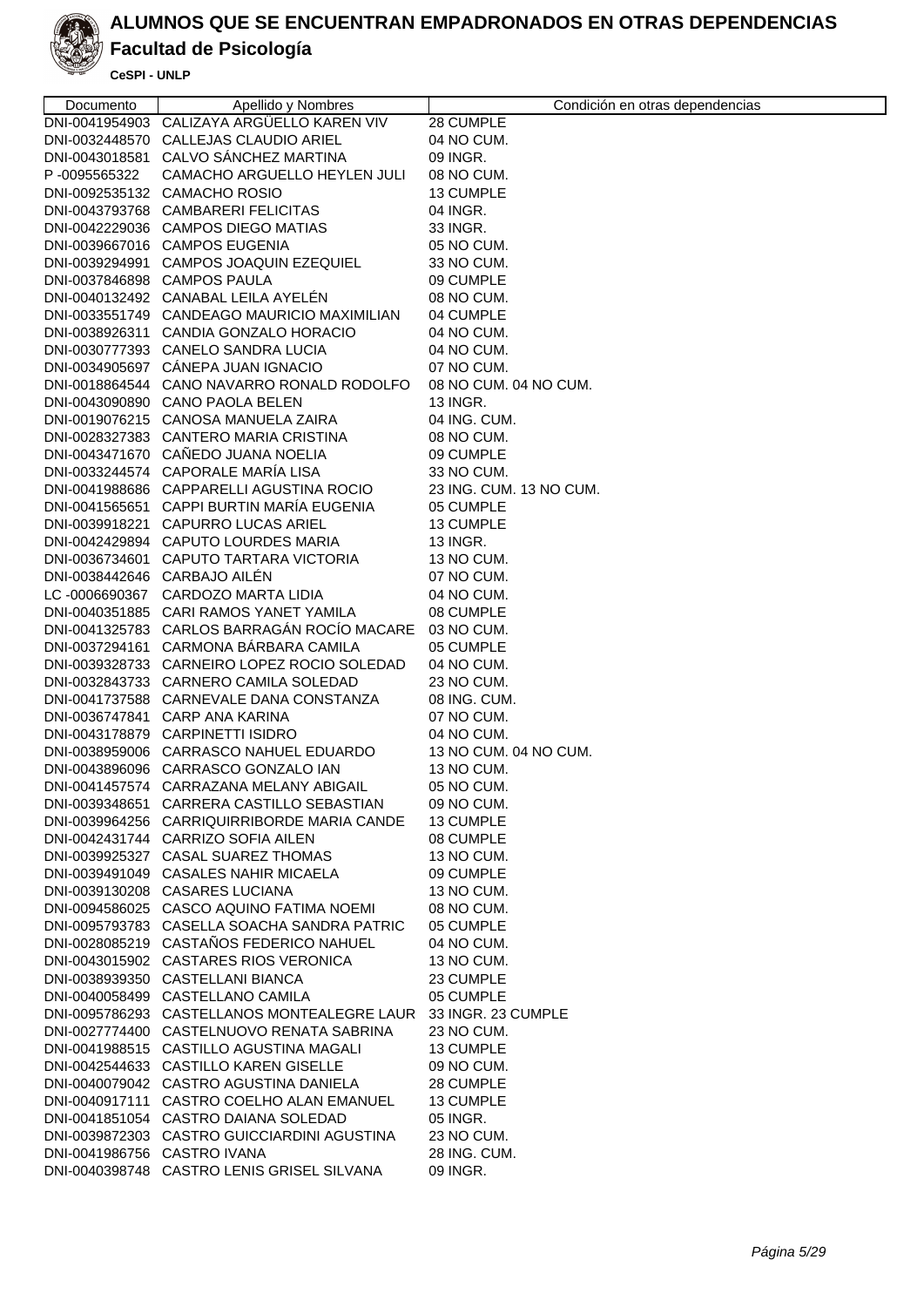

# **Facultad de Psicología**

| Documento                    | Apellido y Nombres                                                                      | Condición en otras dependencias |
|------------------------------|-----------------------------------------------------------------------------------------|---------------------------------|
|                              | DNI-0041954903 CALIZAYA ARGÜELLO KAREN VIV                                              | 28 CUMPLE                       |
|                              | DNI-0032448570 CALLEJAS CLAUDIO ARIEL                                                   | 04 NO CUM.                      |
|                              | DNI-0043018581 CALVO SÁNCHEZ MARTINA                                                    | 09 INGR.                        |
| P-0095565322                 | CAMACHO ARGUELLO HEYLEN JULI                                                            | 08 NO CUM.                      |
|                              | DNI-0092535132 CAMACHO ROSIO                                                            | 13 CUMPLE                       |
|                              | DNI-0043793768 CAMBARERI FELICITAS                                                      | 04 INGR.                        |
|                              | DNI-0042229036 CAMPOS DIEGO MATIAS                                                      | 33 INGR.                        |
|                              | DNI-0039667016 CAMPOS EUGENIA                                                           | 05 NO CUM.                      |
|                              | DNI-0039294991 CAMPOS JOAQUIN EZEQUIEL                                                  | 33 NO CUM.                      |
|                              | DNI-0037846898 CAMPOS PAULA                                                             | 09 CUMPLE                       |
|                              | DNI-0040132492 CANABAL LEILA AYELÉN                                                     | 08 NO CUM.                      |
|                              | DNI-0033551749 CANDEAGO MAURICIO MAXIMILIAN                                             | 04 CUMPLE                       |
|                              | DNI-0038926311 CANDIA GONZALO HORACIO                                                   | 04 NO CUM.                      |
|                              | DNI-0030777393 CANELO SANDRA LUCIA                                                      | 04 NO CUM.                      |
|                              | DNI-0034905697 CANEPA JUAN IGNACIO                                                      | 07 NO CUM.                      |
|                              | DNI-0018864544 CANO NAVARRO RONALD RODOLFO                                              | 08 NO CUM. 04 NO CUM.           |
|                              | DNI-0043090890 CANO PAOLA BELEN                                                         | 13 INGR.                        |
|                              | DNI-0019076215 CANOSA MANUELA ZAIRA                                                     | 04 ING. CUM.                    |
|                              | DNI-0028327383 CANTERO MARIA CRISTINA                                                   | 08 NO CUM.                      |
|                              | DNI-0043471670 CAÑEDO JUANA NOELIA                                                      | 09 CUMPLE                       |
|                              | DNI-0033244574 CAPORALE MARÍA LISA                                                      | 33 NO CUM.                      |
|                              | DNI-0041988686 CAPPARELLI AGUSTINA ROCIO                                                | 23 ING. CUM. 13 NO CUM.         |
|                              | DNI-0041565651 CAPPI BURTIN MARÍA EUGENIA                                               | 05 CUMPLE                       |
|                              | DNI-0039918221 CAPURRO LUCAS ARIEL                                                      | 13 CUMPLE                       |
|                              | DNI-0042429894 CAPUTO LOURDES MARIA                                                     | <b>13 INGR.</b>                 |
|                              | DNI-0036734601 CAPUTO TARTARA VICTORIA                                                  | 13 NO CUM.                      |
| DNI-0038442646 CARBAJO AILÉN |                                                                                         | 07 NO CUM.                      |
|                              | LC-0006690367 CARDOZO MARTA LIDIA                                                       | 04 NO CUM.                      |
|                              | DNI-0040351885 CARI RAMOS YANET YAMILA                                                  | 08 CUMPLE                       |
|                              | DNI-0041325783 CARLOS BARRAGÁN ROCÍO MACARE                                             | 03 NO CUM.                      |
|                              | DNI-0037294161 CARMONA BÁRBARA CAMILA                                                   | 05 CUMPLE                       |
|                              | DNI-0039328733 CARNEIRO LOPEZ ROCIO SOLEDAD                                             |                                 |
|                              | DNI-0032843733 CARNERO CAMILA SOLEDAD                                                   | 04 NO CUM.                      |
|                              |                                                                                         | 23 NO CUM.                      |
|                              | DNI-0041737588 CARNEVALE DANA CONSTANZA<br>DNI-0036747841 CARP ANA KARINA               | 08 ING. CUM.                    |
|                              | DNI-0043178879 CARPINETTI ISIDRO                                                        | 07 NO CUM.<br>04 NO CUM.        |
|                              | DNI-0038959006 CARRASCO NAHUEL EDUARDO                                                  | 13 NO CUM. 04 NO CUM.           |
|                              |                                                                                         |                                 |
|                              | DNI-0043896096 CARRASCO GONZALO IAN<br>DNI-0041457574 CARRAZANA MELANY ABIGAIL          | 13 NO CUM.<br>05 NO CUM.        |
|                              | DNI-0039348651 CARRERA CASTILLO SEBASTIAN                                               | 09 NO CUM.                      |
|                              | DNI-0039964256 CARRIQUIRRIBORDE MARIA CANDE                                             |                                 |
|                              | DNI-0042431744 CARRIZO SOFIA AILEN                                                      | 13 CUMPLE                       |
|                              |                                                                                         | 08 CUMPLE                       |
|                              | DNI-0039925327 CASAL SUAREZ THOMAS<br>DNI-0039491049 CASALES NAHIR MICAELA              | 13 NO CUM.                      |
|                              | DNI-0039130208 CASARES LUCIANA                                                          | 09 CUMPLE                       |
|                              |                                                                                         | 13 NO CUM.                      |
|                              | DNI-0094586025 CASCO AQUINO FATIMA NOEMI<br>DNI-0095793783 CASELLA SOACHA SANDRA PATRIC | 08 NO CUM.                      |
|                              |                                                                                         | 05 CUMPLE                       |
|                              | DNI-0028085219 CASTAÑOS FEDERICO NAHUEL                                                 | 04 NO CUM.                      |
|                              | DNI-0043015902 CASTARES RIOS VERONICA                                                   | 13 NO CUM.                      |
|                              | DNI-0038939350 CASTELLANI BIANCA                                                        | 23 CUMPLE                       |
|                              | DNI-0040058499 CASTELLANO CAMILA                                                        | 05 CUMPLE                       |
|                              | DNI-0095786293 CASTELLANOS MONTEALEGRE LAUR                                             | 33 INGR. 23 CUMPLE              |
|                              | DNI-0027774400 CASTELNUOVO RENATA SABRINA                                               | 23 NO CUM.                      |
|                              | DNI-0041988515 CASTILLO AGUSTINA MAGALI                                                 | 13 CUMPLE                       |
|                              | DNI-0042544633 CASTILLO KAREN GISELLE                                                   | 09 NO CUM.                      |
|                              | DNI-0040079042 CASTRO AGUSTINA DANIELA                                                  | 28 CUMPLE                       |
|                              | DNI-0040917111 CASTRO COELHO ALAN EMANUEL                                               | 13 CUMPLE                       |
|                              | DNI-0041851054 CASTRO DAIANA SOLEDAD                                                    | 05 INGR.                        |
|                              | DNI-0039872303 CASTRO GUICCIARDINI AGUSTINA                                             | 23 NO CUM.                      |
| DNI-0041986756 CASTRO IVANA  |                                                                                         | 28 ING. CUM.                    |
|                              | DNI-0040398748 CASTRO LENIS GRISEL SILVANA                                              | 09 INGR.                        |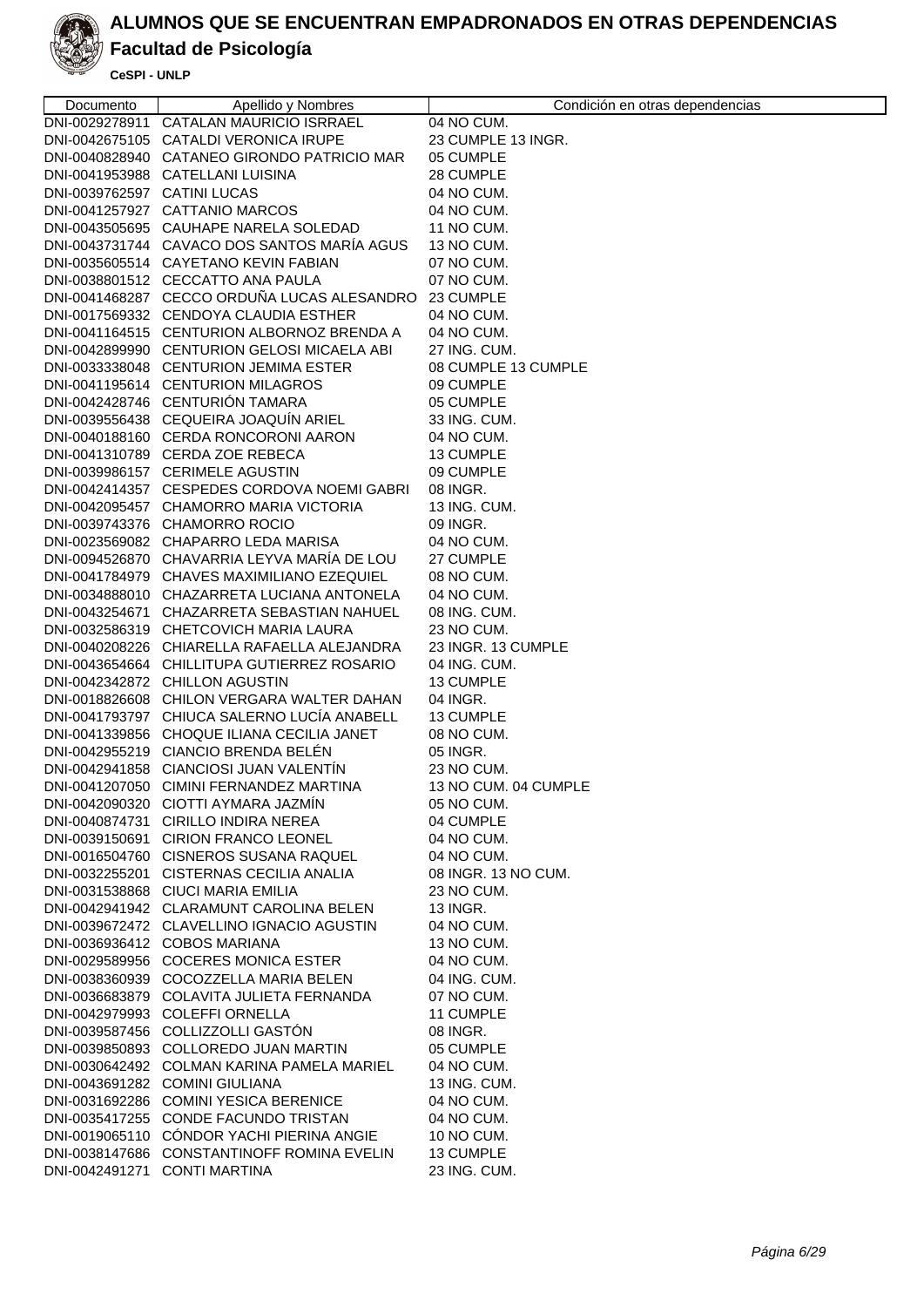

## **Facultad de Psicología**

| Documento                   | Apellido y Nombres                                                             | Condición en otras dependencias |
|-----------------------------|--------------------------------------------------------------------------------|---------------------------------|
|                             | DNI-0029278911 CATALAN MAURICIO ISRRAEL                                        | 04 NO CUM.                      |
|                             | DNI-0042675105 CATALDI VERONICA IRUPE                                          | 23 CUMPLE 13 INGR.              |
|                             | DNI-0040828940 CATANEO GIRONDO PATRICIO MAR                                    | 05 CUMPLE                       |
|                             | DNI-0041953988 CATELLANI LUISINA                                               | 28 CUMPLE                       |
| DNI-0039762597 CATINI LUCAS |                                                                                | 04 NO CUM.                      |
|                             | DNI-0041257927 CATTANIO MARCOS                                                 | 04 NO CUM.                      |
|                             | DNI-0043505695 CAUHAPE NARELA SOLEDAD                                          | 11 NO CUM.                      |
|                             | DNI-0043731744 CAVACO DOS SANTOS MARÍA AGUS                                    | 13 NO CUM.                      |
|                             | DNI-0035605514 CAYETANO KEVIN FABIAN                                           | 07 NO CUM.                      |
|                             | DNI-0038801512 CECCATTO ANA PAULA                                              | 07 NO CUM.                      |
|                             | DNI-0041468287 CECCO ORDUÑA LUCAS ALESANDRO                                    | 23 CUMPLE                       |
|                             | DNI-0017569332 CENDOYA CLAUDIA ESTHER                                          | 04 NO CUM.                      |
|                             | DNI-0041164515 CENTURION ALBORNOZ BRENDA A                                     | 04 NO CUM.                      |
|                             | DNI-0042899990 CENTURION GELOSI MICAELA ABI                                    | 27 ING. CUM.                    |
|                             | DNI-0033338048 CENTURION JEMIMA ESTER                                          | 08 CUMPLE 13 CUMPLE             |
|                             | DNI-0041195614 CENTURION MILAGROS                                              | 09 CUMPLE                       |
|                             | DNI-0042428746 CENTURIÓN TAMARA                                                | 05 CUMPLE                       |
|                             | DNI-0039556438 CEQUEIRA JOAQUIN ARIEL                                          | 33 ING. CUM.                    |
|                             | DNI-0040188160 CERDA RONCORONI AARON                                           | 04 NO CUM.                      |
|                             | DNI-0041310789 CERDA ZOE REBECA                                                | 13 CUMPLE                       |
|                             |                                                                                |                                 |
|                             | DNI-0039986157 CERIMELE AGUSTIN<br>DNI-0042414357 CESPEDES CORDOVA NOEMI GABRI | 09 CUMPLE                       |
|                             |                                                                                | 08 INGR.<br>13 ING, CUM.        |
|                             | DNI-0042095457 CHAMORRO MARIA VICTORIA                                         |                                 |
|                             | DNI-0039743376 CHAMORRO ROCIO                                                  | 09 INGR.                        |
|                             | DNI-0023569082 CHAPARRO LEDA MARISA                                            | 04 NO CUM.                      |
|                             | DNI-0094526870 CHAVARRIA LEYVA MARÍA DE LOU                                    | 27 CUMPLE                       |
|                             | DNI-0041784979 CHAVES MAXIMILIANO EZEQUIEL                                     | 08 NO CUM.                      |
|                             | DNI-0034888010 CHAZARRETA LUCIANA ANTONELA                                     | 04 NO CUM.                      |
|                             | DNI-0043254671 CHAZARRETA SEBASTIAN NAHUEL                                     | 08 ING. CUM.                    |
|                             | DNI-0032586319 CHETCOVICH MARIA LAURA                                          | 23 NO CUM.                      |
|                             | DNI-0040208226 CHIARELLA RAFAELLA ALEJANDRA                                    | 23 INGR. 13 CUMPLE              |
|                             | DNI-0043654664 CHILLITUPA GUTIERREZ ROSARIO                                    | 04 ING. CUM.                    |
|                             | DNI-0042342872 CHILLON AGUSTIN                                                 | 13 CUMPLE                       |
|                             | DNI-0018826608 CHILON VERGARA WALTER DAHAN                                     | 04 INGR.                        |
|                             | DNI-0041793797 CHIUCA SALERNO LUCÍA ANABELL                                    | 13 CUMPLE                       |
|                             | DNI-0041339856 CHOQUE ILIANA CECILIA JANET                                     | 08 NO CUM.                      |
|                             | DNI-0042955219 CIANCIO BRENDA BELÉN                                            | 05 INGR.                        |
|                             | DNI-0042941858 CIANCIOSI JUAN VALENTÍN                                         | 23 NO CUM.                      |
|                             | DNI-0041207050 CIMINI FERNANDEZ MARTINA                                        | 13 NO CUM. 04 CUMPLE            |
|                             | DNI-0042090320 CIOTTI AYMARA JAZMIN                                            | 05 NO CUM.                      |
|                             | DNI-0040874731 CIRILLO INDIRA NEREA                                            | 04 CUMPLE                       |
|                             | DNI-0039150691 CIRION FRANCO LEONEL                                            | 04 NO CUM.                      |
|                             | DNI-0016504760 CISNEROS SUSANA RAQUEL                                          | 04 NO CUM.                      |
|                             | DNI-0032255201 CISTERNAS CECILIA ANALIA                                        | 08 INGR. 13 NO CUM.             |
|                             | DNI-0031538868 CIUCI MARIA EMILIA                                              | 23 NO CUM.                      |
|                             | DNI-0042941942 CLARAMUNT CAROLINA BELEN                                        | 13 INGR.                        |
|                             | DNI-0039672472 CLAVELLINO IGNACIO AGUSTIN                                      | 04 NO CUM.                      |
|                             | DNI-0036936412 COBOS MARIANA                                                   | 13 NO CUM.                      |
|                             | DNI-0029589956 COCERES MONICA ESTER                                            | 04 NO CUM.                      |
|                             | DNI-0038360939 COCOZZELLA MARIA BELEN                                          | 04 ING. CUM.                    |
|                             | DNI-0036683879 COLAVITA JULIETA FERNANDA                                       | 07 NO CUM.                      |
|                             | DNI-0042979993 COLEFFI ORNELLA                                                 | 11 CUMPLE                       |
|                             | DNI-0039587456 COLLIZZOLLI GASTÓN                                              | 08 INGR.                        |
|                             | DNI-0039850893 COLLOREDO JUAN MARTIN                                           | 05 CUMPLE                       |
|                             | DNI-0030642492 COLMAN KARINA PAMELA MARIEL                                     | 04 NO CUM.                      |
|                             | DNI-0043691282 COMINI GIULIANA                                                 | 13 ING. CUM.                    |
|                             | DNI-0031692286 COMINI YESICA BERENICE                                          | 04 NO CUM.                      |
|                             | DNI-0035417255 CONDE FACUNDO TRISTAN                                           | 04 NO CUM.                      |
|                             | DNI-0019065110 CÓNDOR YACHI PIERINA ANGIE                                      | 10 NO CUM.                      |
|                             | DNI-0038147686 CONSTANTINOFF ROMINA EVELIN                                     | 13 CUMPLE                       |
|                             | DNI-0042491271 CONTI MARTINA                                                   | 23 ING. CUM.                    |
|                             |                                                                                |                                 |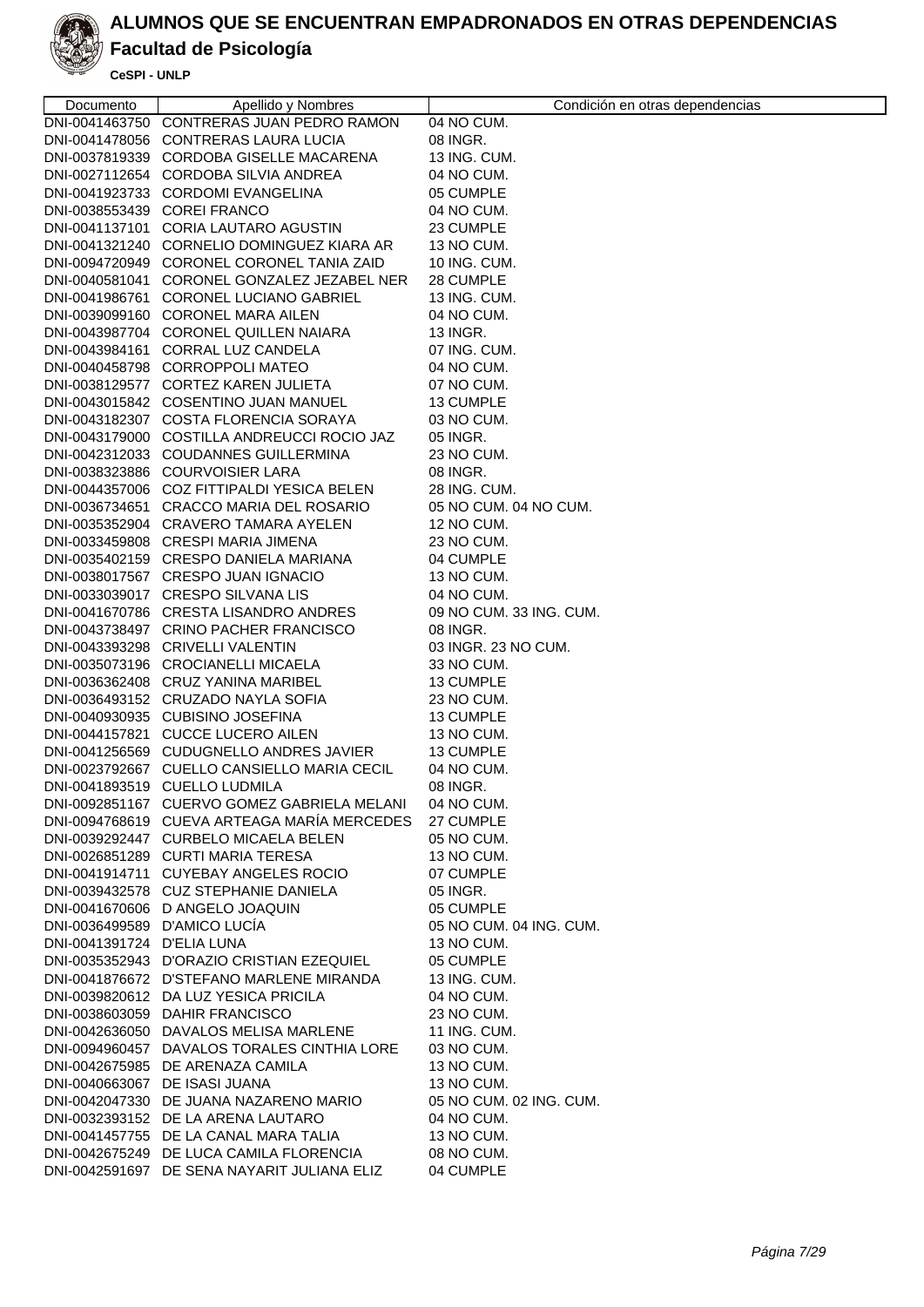

# **Facultad de Psicología**

| Documento                     | Apellido y Nombres                                                                    | Condición en otras dependencias |
|-------------------------------|---------------------------------------------------------------------------------------|---------------------------------|
|                               | DNI-0041463750 CONTRERAS JUAN PEDRO RAMON                                             | 04 NO CUM.                      |
|                               | DNI-0041478056 CONTRERAS LAURA LUCIA                                                  | 08 INGR.                        |
|                               | DNI-0037819339 CORDOBA GISELLE MACARENA                                               | 13 ING. CUM.                    |
|                               | DNI-0027112654 CORDOBA SILVIA ANDREA                                                  | 04 NO CUM.                      |
|                               | DNI-0041923733 CORDOMI EVANGELINA                                                     | 05 CUMPLE                       |
| DNI-0038553439 COREI FRANCO   |                                                                                       | 04 NO CUM.                      |
|                               | DNI-0041137101 CORIA LAUTARO AGUSTIN                                                  | 23 CUMPLE                       |
|                               | DNI-0041321240 CORNELIO DOMINGUEZ KIARA AR                                            | 13 NO CUM.                      |
|                               | DNI-0094720949 CORONEL CORONEL TANIA ZAID                                             | 10 ING. CUM.                    |
|                               | DNI-0040581041 CORONEL GONZALEZ JEZABEL NER                                           | 28 CUMPLE                       |
|                               | DNI-0041986761 CORONEL LUCIANO GABRIEL                                                | 13 ING. CUM.                    |
|                               | DNI-0039099160 CORONEL MARA AILEN                                                     | 04 NO CUM.                      |
|                               | DNI-0043987704 CORONEL QUILLEN NAIARA                                                 | 13 INGR.                        |
|                               | DNI-0043984161 CORRAL LUZ CANDELA                                                     | 07 ING. CUM.                    |
|                               | DNI-0040458798 CORROPPOLI MATEO                                                       | 04 NO CUM.                      |
|                               | DNI-0038129577 CORTEZ KAREN JULIETA                                                   | 07 NO CUM.                      |
|                               | DNI-0043015842 COSENTINO JUAN MANUEL                                                  | 13 CUMPLE                       |
|                               | DNI-0043182307 COSTA FLORENCIA SORAYA                                                 | 03 NO CUM.                      |
|                               | DNI-0043179000 COSTILLA ANDREUCCI ROCIO JAZ                                           | 05 INGR.                        |
|                               | DNI-0042312033 COUDANNES GUILLERMINA                                                  | 23 NO CUM.                      |
|                               | DNI-0038323886 COURVOISIER LARA                                                       | 08 INGR.                        |
|                               | DNI-0044357006 COZ FITTIPALDI YESICA BELEN                                            | 28 ING. CUM.                    |
|                               | DNI-0036734651 CRACCO MARIA DEL ROSARIO                                               | 05 NO CUM. 04 NO CUM.           |
|                               | DNI-0035352904 CRAVERO TAMARA AYELEN                                                  | 12 NO CUM.                      |
|                               | DNI-0033459808 CRESPI MARIA JIMENA                                                    | 23 NO CUM.                      |
|                               | DNI-0035402159 CRESPO DANIELA MARIANA                                                 | 04 CUMPLE                       |
|                               | DNI-0038017567 CRESPO JUAN IGNACIO                                                    | 13 NO CUM.                      |
|                               | DNI-0033039017 CRESPO SILVANA LIS                                                     | 04 NO CUM.                      |
|                               | DNI-0041670786 CRESTA LISANDRO ANDRES                                                 | 09 NO CUM. 33 ING. CUM.         |
|                               | DNI-0043738497 CRINO PACHER FRANCISCO                                                 | 08 INGR.                        |
|                               | DNI-0043393298 CRIVELLI VALENTIN                                                      | 03 INGR. 23 NO CUM.             |
|                               | DNI-0035073196 CROCIANELLI MICAELA                                                    | 33 NO CUM.                      |
|                               | DNI-0036362408 CRUZ YANINA MARIBEL                                                    | 13 CUMPLE                       |
|                               | DNI-0036493152 CRUZADO NAYLA SOFIA                                                    | 23 NO CUM.                      |
|                               | DNI-0040930935 CUBISINO JOSEFINA                                                      | 13 CUMPLE                       |
|                               | DNI-0044157821 CUCCE LUCERO AILEN                                                     | 13 NO CUM.                      |
|                               | DNI-0041256569 CUDUGNELLO ANDRES JAVIER                                               | 13 CUMPLE                       |
|                               | DNI-0023792667 CUELLO CANSIELLO MARIA CECIL                                           | 04 NO CUM.                      |
|                               | DNI-0041893519 CUELLO LUDMILA                                                         | 08 INGR.                        |
|                               | DNI-0092851167 CUERVO GOMEZ GABRIELA MELANI                                           | 04 NO CUM.                      |
|                               | DNI-0094768619 CUEVA ARTEAGA MARÍA MERCEDES                                           | 27 CUMPLE                       |
|                               | DNI-0039292447 CURBELO MICAELA BELEN                                                  | 05 NO CUM.                      |
|                               | DNI-0026851289 CURTI MARIA TERESA                                                     | 13 NO CUM.                      |
|                               | DNI-0041914711 CUYEBAY ANGELES ROCIO                                                  | 07 CUMPLE                       |
|                               | DNI-0039432578 CUZ STEPHANIE DANIELA                                                  | 05 INGR.                        |
| DNI-0036499589 D'AMICO LUCÍA  | DNI-0041670606 D ANGELO JOAQUIN                                                       | 05 CUMPLE                       |
| DNI-0041391724 D'ELIA LUNA    |                                                                                       | 05 NO CUM. 04 ING. CUM.         |
|                               |                                                                                       | 13 NO CUM.                      |
|                               | DNI-0035352943 D'ORAZIO CRISTIAN EZEQUIEL<br>DNI-0041876672 D'STEFANO MARLENE MIRANDA | 05 CUMPLE                       |
|                               |                                                                                       | 13 ING. CUM.                    |
|                               | DNI-0039820612 DA LUZ YESICA PRICILA                                                  | 04 NO CUM.                      |
|                               | DNI-0038603059 DAHIR FRANCISCO<br>DNI-0042636050 DAVALOS MELISA MARLENE               | 23 NO CUM.<br>11 ING. CUM.      |
|                               | DNI-0094960457 DAVALOS TORALES CINTHIA LORE                                           |                                 |
|                               | DNI-0042675985 DE ARENAZA CAMILA                                                      | 03 NO CUM.<br>13 NO CUM.        |
| DNI-0040663067 DE ISASI JUANA |                                                                                       | 13 NO CUM.                      |
|                               | DNI-0042047330 DE JUANA NAZARENO MARIO                                                | 05 NO CUM. 02 ING. CUM.         |
|                               | DNI-0032393152 DE LA ARENA LAUTARO                                                    | 04 NO CUM.                      |
|                               | DNI-0041457755 DE LA CANAL MARA TALIA                                                 | 13 NO CUM.                      |
|                               | DNI-0042675249 DE LUCA CAMILA FLORENCIA                                               | 08 NO CUM.                      |
|                               | DNI-0042591697 DE SENA NAYARIT JULIANA ELIZ                                           | 04 CUMPLE                       |
|                               |                                                                                       |                                 |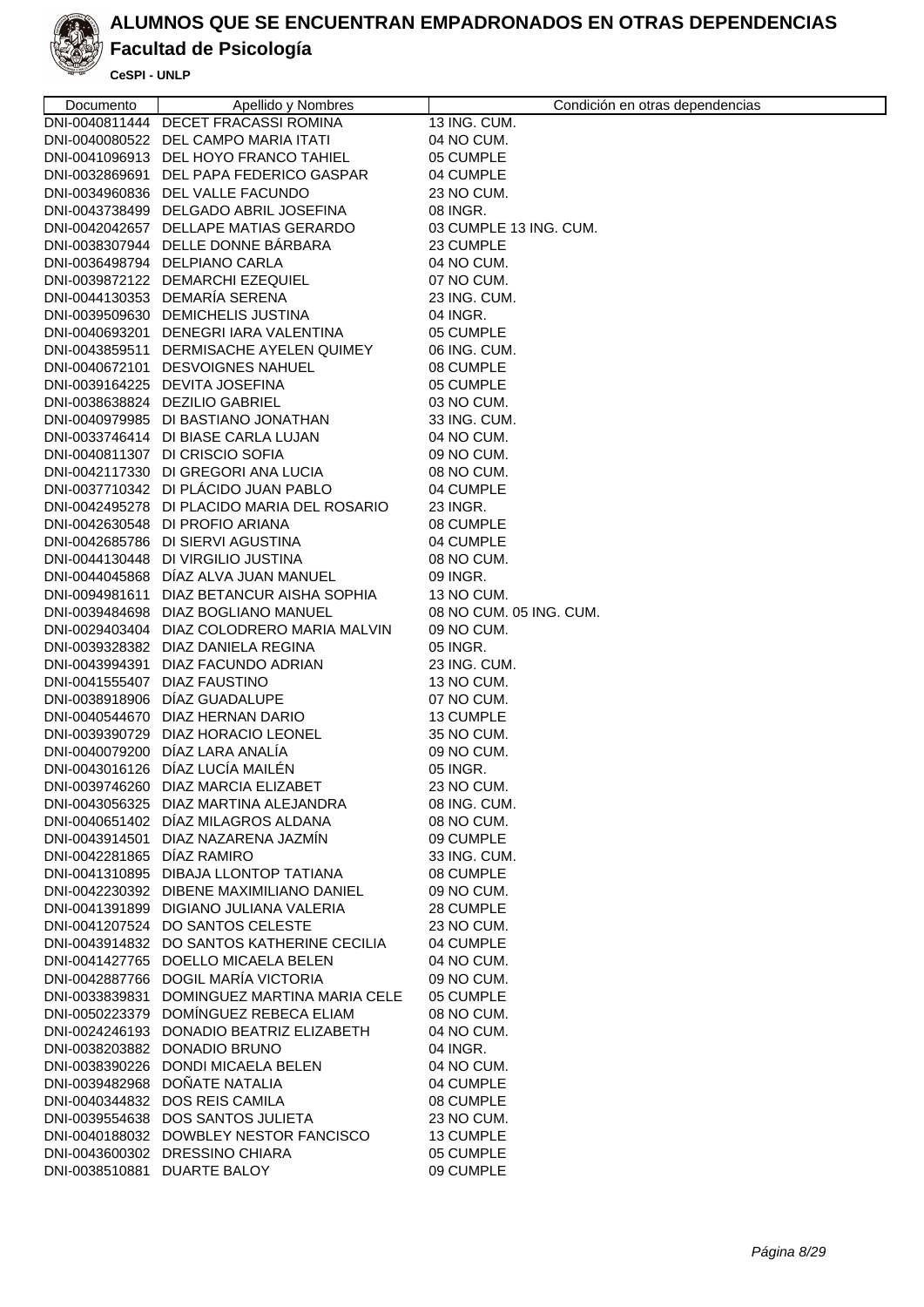

# **Facultad de Psicología**

| Documento                    | Apellido y Nombres                          | Condición en otras dependencias |
|------------------------------|---------------------------------------------|---------------------------------|
|                              | DNI-0040811444 DECET FRACASSI ROMINA        | 13 ING. CUM.                    |
|                              | DNI-0040080522 DEL CAMPO MARIA ITATI        | 04 NO CUM.                      |
|                              | DNI-0041096913 DEL HOYO FRANCO TAHIEL       | 05 CUMPLE                       |
|                              | DNI-0032869691 DEL PAPA FEDERICO GASPAR     | 04 CUMPLE                       |
|                              | DNI-0034960836 DEL VALLE FACUNDO            | 23 NO CUM.                      |
|                              | DNI-0043738499 DELGADO ABRIL JOSEFINA       | 08 INGR.                        |
|                              | DNI-0042042657 DELLAPE MATIAS GERARDO       | 03 CUMPLE 13 ING. CUM.          |
|                              | DNI-0038307944 DELLE DONNE BÁRBARA          | 23 CUMPLE                       |
|                              | DNI-0036498794 DELPIANO CARLA               | 04 NO CUM.                      |
|                              | DNI-0039872122 DEMARCHI EZEQUIEL            | 07 NO CUM.                      |
|                              | DNI-0044130353 DEMARÍA SERENA               | 23 ING. CUM.                    |
|                              | DNI-0039509630 DEMICHELIS JUSTINA           | 04 INGR.                        |
|                              | DNI-0040693201 DENEGRI IARA VALENTINA       | 05 CUMPLE                       |
|                              | DNI-0043859511 DERMISACHE AYELEN QUIMEY     | 06 ING. CUM.                    |
|                              | DNI-0040672101 DESVOIGNES NAHUEL            | 08 CUMPLE                       |
|                              | DNI-0039164225 DEVITA JOSEFINA              | 05 CUMPLE                       |
|                              | DNI-0038638824 DEZILIO GABRIEL              | 03 NO CUM.                      |
|                              | DNI-0040979985 DI BASTIANO JONATHAN         | 33 ING. CUM.                    |
|                              | DNI-0033746414 DI BIASE CARLA LUJAN         | 04 NO CUM.                      |
|                              | DNI-0040811307 DI CRISCIO SOFIA             | 09 NO CUM.                      |
|                              | DNI-0042117330 DI GREGORI ANA LUCIA         | 08 NO CUM.                      |
|                              | DNI-0037710342 DI PLÁCIDO JUAN PABLO        | 04 CUMPLE                       |
|                              | DNI-0042495278 DI PLACIDO MARIA DEL ROSARIO | 23 INGR.                        |
|                              | DNI-0042630548 DI PROFIO ARIANA             | 08 CUMPLE                       |
|                              | DNI-0042685786 DI SIERVI AGUSTINA           | 04 CUMPLE                       |
|                              | DNI-0044130448 DI VIRGILIO JUSTINA          | 08 NO CUM.                      |
|                              | DNI-0044045868 DIAZ ALVA JUAN MANUEL        | 09 INGR.                        |
|                              | DNI-0094981611 DIAZ BETANCUR AISHA SOPHIA   | 13 NO CUM.                      |
|                              | DNI-0039484698 DIAZ BOGLIANO MANUEL         | 08 NO CUM. 05 ING. CUM.         |
|                              | DNI-0029403404 DIAZ COLODRERO MARIA MALVIN  | 09 NO CUM.                      |
|                              | DNI-0039328382 DIAZ DANIELA REGINA          | 05 INGR.                        |
|                              | DNI-0043994391 DIAZ FACUNDO ADRIAN          | 23 ING. CUM.                    |
| DNI-0041555407 DIAZ FAUSTINO |                                             | 13 NO CUM.                      |
|                              | DNI-0038918906 DIAZ GUADALUPE               | 07 NO CUM.                      |
|                              | DNI-0040544670 DIAZ HERNAN DARIO            | 13 CUMPLE                       |
|                              | DNI-0039390729 DIAZ HORACIO LEONEL          | 35 NO CUM.                      |
|                              | DNI-0040079200 DÍAZ LARA ANALÍA             | 09 NO CUM.                      |
|                              | DNI-0043016126 DÍAZ LUCÍA MAILÉN            | 05 INGR.                        |
|                              | DNI-0039746260 DIAZ MARCIA ELIZABET         | 23 NO CUM.                      |
|                              | DNI-0043056325 DIAZ MARTINA ALEJANDRA       | 08 ING. CUM.                    |
|                              | DNI-0040651402 DÍAZ MILAGROS ALDANA         | 08 NO CUM.                      |
|                              | DNI-0043914501 DIAZ NAZARENA JAZMIN         | 09 CUMPLE                       |
| DNI-0042281865 DIAZ RAMIRO   |                                             | 33 ING, CUM.                    |
|                              | DNI-0041310895 DIBAJA LLONTOP TATIANA       | 08 CUMPLE                       |
|                              | DNI-0042230392 DIBENE MAXIMILIANO DANIEL    | 09 NO CUM.                      |
|                              | DNI-0041391899 DIGIANO JULIANA VALERIA      | 28 CUMPLE                       |
|                              | DNI-0041207524 DO SANTOS CELESTE            | 23 NO CUM.                      |
|                              | DNI-0043914832 DO SANTOS KATHERINE CECILIA  | 04 CUMPLE                       |
|                              | DNI-0041427765 DOELLO MICAELA BELEN         | 04 NO CUM.                      |
|                              | DNI-0042887766 DOGIL MARÍA VICTORIA         | 09 NO CUM.                      |
|                              | DNI-0033839831 DOMINGUEZ MARTINA MARIA CELE | 05 CUMPLE                       |
|                              | DNI-0050223379 DOMÍNGUEZ REBECA ELIAM       | 08 NO CUM.                      |
|                              | DNI-0024246193 DONADIO BEATRIZ ELIZABETH    | 04 NO CUM.                      |
|                              | DNI-0038203882 DONADIO BRUNO                | 04 INGR.                        |
|                              | DNI-0038390226 DONDI MICAELA BELEN          | 04 NO CUM.                      |
|                              | DNI-0039482968 DOÑATE NATALIA               | 04 CUMPLE                       |
|                              | DNI-0040344832 DOS REIS CAMILA              | 08 CUMPLE                       |
|                              | DNI-0039554638 DOS SANTOS JULIETA           | 23 NO CUM.                      |
|                              | DNI-0040188032 DOWBLEY NESTOR FANCISCO      | 13 CUMPLE                       |
|                              | DNI-0043600302 DRESSINO CHIARA              | 05 CUMPLE                       |
|                              | DNI-0038510881 DUARTE BALOY                 | 09 CUMPLE                       |
|                              |                                             |                                 |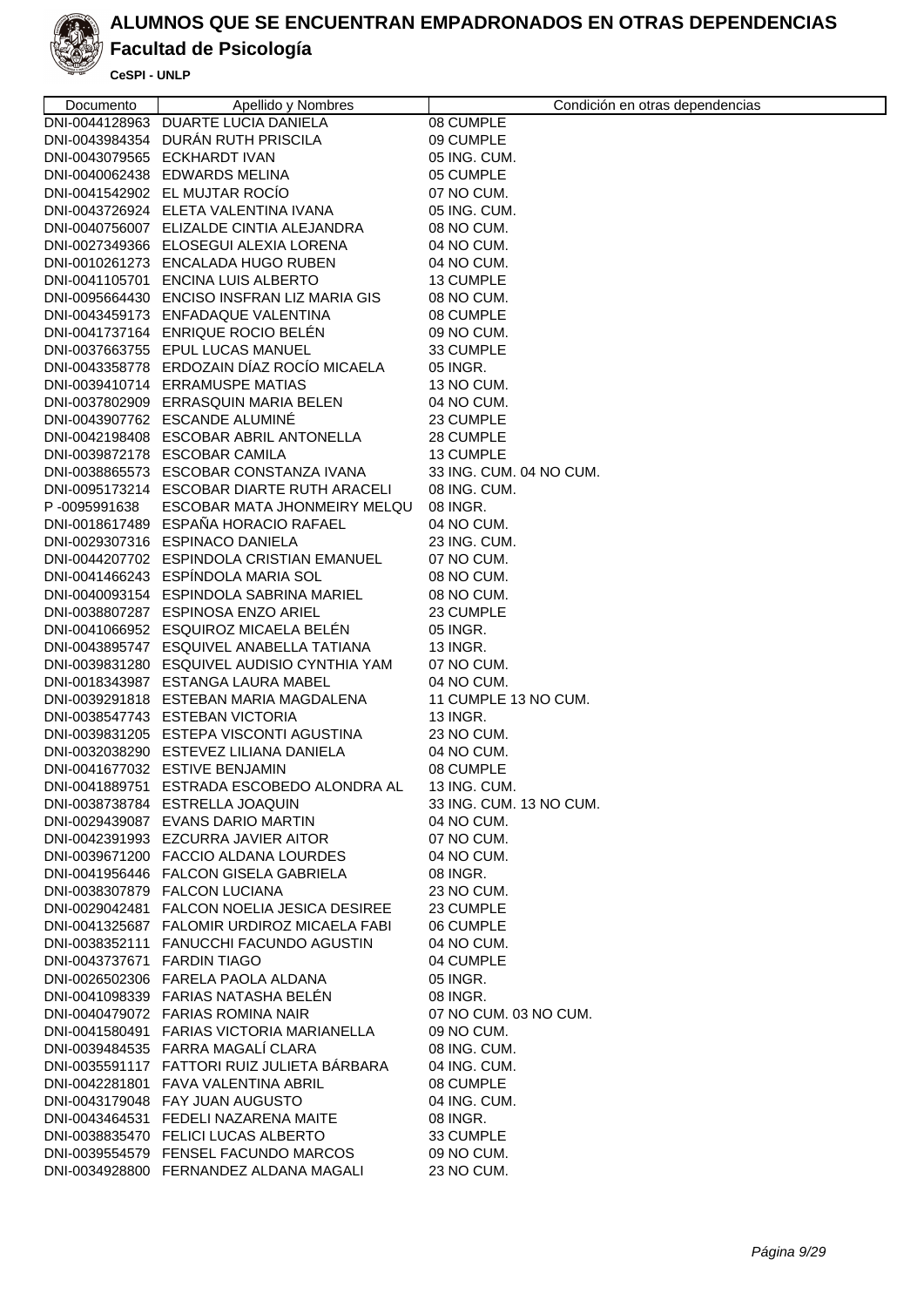

## **Facultad de Psicología**

| Documento                   | Apellido y Nombres                          | Condición en otras dependencias |
|-----------------------------|---------------------------------------------|---------------------------------|
|                             | DNI-0044128963 DUARTE LUCIA DANIELA         | 08 CUMPLE                       |
|                             | DNI-0043984354 DURÁN RUTH PRISCILA          | 09 CUMPLE                       |
|                             | DNI-0043079565 ECKHARDT IVAN                | 05 ING. CUM.                    |
|                             | DNI-0040062438 EDWARDS MELINA               | 05 CUMPLE                       |
|                             | DNI-0041542902 EL MUJTAR ROCIO              | 07 NO CUM.                      |
|                             | DNI-0043726924 ELETA VALENTINA IVANA        | 05 ING. CUM.                    |
|                             | DNI-0040756007 ELIZALDE CINTIA ALEJANDRA    | 08 NO CUM.                      |
|                             | DNI-0027349366 ELOSEGUI ALEXIA LORENA       | 04 NO CUM.                      |
|                             | DNI-0010261273 ENCALADA HUGO RUBEN          | 04 NO CUM.                      |
|                             | DNI-0041105701 ENCINA LUIS ALBERTO          | 13 CUMPLE                       |
|                             | DNI-0095664430 ENCISO INSFRAN LIZ MARIA GIS | 08 NO CUM.                      |
|                             | DNI-0043459173 ENFADAQUE VALENTINA          | 08 CUMPLE                       |
|                             | DNI-0041737164 ENRIQUE ROCIO BELEN          | 09 NO CUM.                      |
|                             | DNI-0037663755 EPUL LUCAS MANUEL            | 33 CUMPLE                       |
|                             | DNI-0043358778 ERDOZAIN DÍAZ ROCÍO MICAELA  | 05 INGR.                        |
|                             | DNI-0039410714 ERRAMUSPE MATIAS             | 13 NO CUM.                      |
|                             | DNI-0037802909 ERRASQUIN MARIA BELEN        | 04 NO CUM.                      |
|                             | DNI-0043907762 ESCANDE ALUMINE              | 23 CUMPLE                       |
|                             | DNI-0042198408 ESCOBAR ABRIL ANTONELLA      | 28 CUMPLE                       |
|                             | DNI-0039872178 ESCOBAR CAMILA               | 13 CUMPLE                       |
|                             | DNI-0038865573 ESCOBAR CONSTANZA IVANA      | 33 ING. CUM. 04 NO CUM.         |
|                             | DNI-0095173214 ESCOBAR DIARTE RUTH ARACELI  | 08 ING. CUM.                    |
| P-0095991638                | ESCOBAR MATA JHONMEIRY MELQU                | 08 INGR.                        |
|                             | DNI-0018617489 ESPAÑA HORACIO RAFAEL        | 04 NO CUM.                      |
|                             | DNI-0029307316 ESPINACO DANIELA             | 23 ING. CUM.                    |
|                             | DNI-0044207702 ESPINDOLA CRISTIAN EMANUEL   | 07 NO CUM.                      |
|                             | DNI-0041466243 ESPÍNDOLA MARIA SOL          | 08 NO CUM.                      |
|                             | DNI-0040093154 ESPINDOLA SABRINA MARIEL     | 08 NO CUM.                      |
|                             | DNI-0038807287 ESPINOSA ENZO ARIEL          | 23 CUMPLE                       |
|                             | DNI-0041066952 ESQUIROZ MICAELA BELEN       | 05 INGR.                        |
|                             | DNI-0043895747 ESQUIVEL ANABELLA TATIANA    | 13 INGR.                        |
|                             | DNI-0039831280 ESQUIVEL AUDISIO CYNTHIA YAM | 07 NO CUM.                      |
|                             | DNI-0018343987 ESTANGA LAURA MABEL          | 04 NO CUM.                      |
|                             | DNI-0039291818 ESTEBAN MARIA MAGDALENA      | 11 CUMPLE 13 NO CUM.            |
|                             | DNI-0038547743 ESTEBAN VICTORIA             | 13 INGR.                        |
|                             | DNI-0039831205 ESTEPA VISCONTI AGUSTINA     | 23 NO CUM.                      |
|                             | DNI-0032038290 ESTEVEZ LILIANA DANIELA      | 04 NO CUM.                      |
|                             | DNI-0041677032 ESTIVE BENJAMIN              | 08 CUMPLE                       |
|                             | DNI-0041889751 ESTRADA ESCOBEDO ALONDRA AL  | 13 ING. CUM.                    |
|                             | DNI-0038738784 ESTRELLA JOAQUIN             | 33 ING. CUM. 13 NO CUM.         |
|                             | DNI-0029439087 EVANS DARIO MARTIN           | 04 NO CUM.                      |
|                             | DNI-0042391993 EZCURRA JAVIER AITOR         | 07 NO CUM.                      |
|                             | DNI-0039671200 FACCIO ALDANA LOURDES        | 04 NO CUM.                      |
|                             | DNI-0041956446 FALCON GISELA GABRIELA       | 08 INGR.                        |
|                             | DNI-0038307879 FALCON LUCIANA               | 23 NO CUM.                      |
|                             | DNI-0029042481 FALCON NOELIA JESICA DESIREE | 23 CUMPLE                       |
|                             | DNI-0041325687 FALOMIR URDIROZ MICAELA FABI | 06 CUMPLE                       |
|                             | DNI-0038352111 FANUCCHI FACUNDO AGUSTIN     | 04 NO CUM.                      |
| DNI-0043737671 FARDIN TIAGO |                                             | 04 CUMPLE                       |
|                             | DNI-0026502306 FARELA PAOLA ALDANA          | 05 INGR.                        |
|                             | DNI-0041098339 FARIAS NATASHA BELEN         | 08 INGR.                        |
|                             | DNI-0040479072 FARIAS ROMINA NAIR           | 07 NO CUM. 03 NO CUM.           |
|                             | DNI-0041580491 FARIAS VICTORIA MARIANELLA   | 09 NO CUM.                      |
|                             | DNI-0039484535 FARRA MAGALI CLARA           | 08 ING. CUM.                    |
|                             | DNI-0035591117 FATTORI RUIZ JULIETA BÁRBARA | 04 ING. CUM.                    |
|                             | DNI-0042281801 FAVA VALENTINA ABRIL         | 08 CUMPLE                       |
|                             | DNI-0043179048 FAY JUAN AUGUSTO             | 04 ING. CUM.                    |
|                             | DNI-0043464531 FEDELI NAZARENA MAITE        | 08 INGR.                        |
|                             | DNI-0038835470 FELICI LUCAS ALBERTO         | 33 CUMPLE                       |
|                             | DNI-0039554579 FENSEL FACUNDO MARCOS        | 09 NO CUM.                      |
|                             | DNI-0034928800 FERNANDEZ ALDANA MAGALI      | 23 NO CUM.                      |
|                             |                                             |                                 |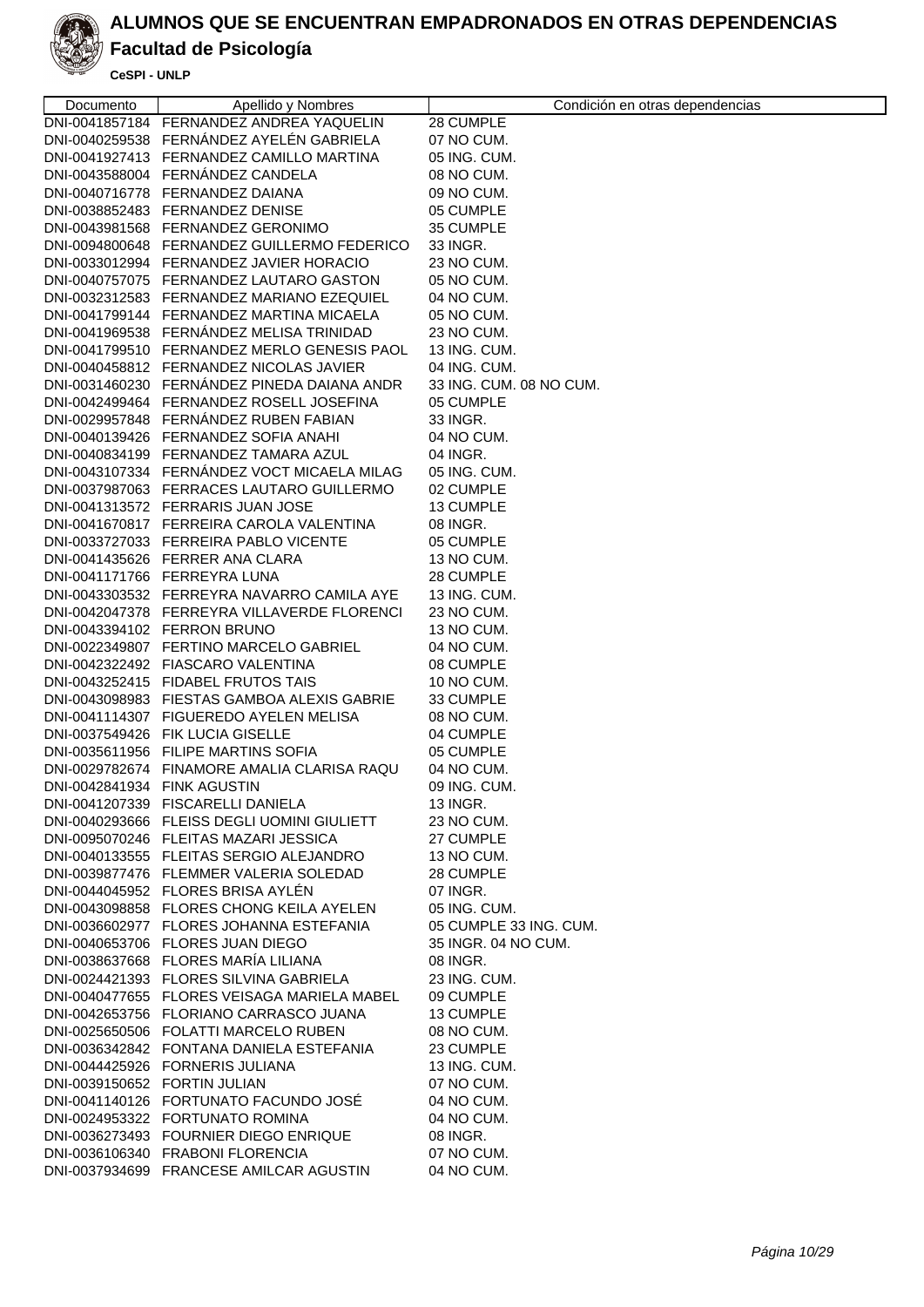

# **Facultad de Psicología**

| Documento                    | Apellido y Nombres                                                                  | Condición en otras dependencias |
|------------------------------|-------------------------------------------------------------------------------------|---------------------------------|
|                              | DNI-0041857184 FERNANDEZ ANDREA YAQUELIN                                            | 28 CUMPLE                       |
|                              | DNI-0040259538 FERNÁNDEZ AYELÉN GABRIELA                                            | 07 NO CUM.                      |
|                              | DNI-0041927413 FERNANDEZ CAMILLO MARTINA                                            | 05 ING. CUM.                    |
|                              | DNI-0043588004 FERNANDEZ CANDELA                                                    | 08 NO CUM.                      |
|                              | DNI-0040716778 FERNANDEZ DAIANA                                                     | 09 NO CUM.                      |
|                              | DNI-0038852483 FERNANDEZ DENISE                                                     | 05 CUMPLE                       |
|                              | DNI-0043981568 FERNANDEZ GERONIMO                                                   | 35 CUMPLE                       |
|                              | DNI-0094800648 FERNANDEZ GUILLERMO FEDERICO                                         | 33 INGR.                        |
|                              | DNI-0033012994 FERNANDEZ JAVIER HORACIO                                             | 23 NO CUM.                      |
|                              | DNI-0040757075 FERNANDEZ LAUTARO GASTON                                             | 05 NO CUM.                      |
|                              | DNI-0032312583 FERNANDEZ MARIANO EZEQUIEL                                           | 04 NO CUM.                      |
|                              | DNI-0041799144 FERNANDEZ MARTINA MICAELA                                            | 05 NO CUM.                      |
|                              | DNI-0041969538 FERNÁNDEZ MELISA TRINIDAD                                            | 23 NO CUM.                      |
|                              | DNI-0041799510 FERNANDEZ MERLO GENESIS PAOL                                         | 13 ING. CUM.                    |
|                              | DNI-0040458812 FERNANDEZ NICOLAS JAVIER                                             | 04 ING. CUM.                    |
|                              | DNI-0031460230 FERNÁNDEZ PINEDA DAIANA ANDR                                         | 33 ING. CUM. 08 NO CUM.         |
|                              | DNI-0042499464 FERNANDEZ ROSELL JOSEFINA                                            | 05 CUMPLE                       |
|                              | DNI-0029957848 FERNÁNDEZ RUBEN FABIAN                                               | 33 INGR.                        |
|                              | DNI-0040139426 FERNANDEZ SOFIA ANAHI                                                | 04 NO CUM.                      |
|                              | DNI-0040834199 FERNANDEZ TAMARA AZUL<br>DNI-0043107334 FERNÁNDEZ VOCT MICAELA MILAG | 04 INGR.<br>05 ING, CUM.        |
|                              | DNI-0037987063 FERRACES LAUTARO GUILLERMO                                           | 02 CUMPLE                       |
|                              | DNI-0041313572 FERRARIS JUAN JOSE                                                   | 13 CUMPLE                       |
|                              | DNI-0041670817 FERREIRA CAROLA VALENTINA                                            | 08 INGR.                        |
|                              | DNI-0033727033 FERREIRA PABLO VICENTE                                               | 05 CUMPLE                       |
|                              | DNI-0041435626 FERRER ANA CLARA                                                     | 13 NO CUM.                      |
|                              | DNI-0041171766 FERREYRA LUNA                                                        | 28 CUMPLE                       |
|                              | DNI-0043303532 FERREYRA NAVARRO CAMILA AYE                                          | 13 ING. CUM.                    |
|                              | DNI-0042047378 FERREYRA VILLAVERDE FLORENCI                                         | 23 NO CUM.                      |
|                              | DNI-0043394102 FERRON BRUNO                                                         | 13 NO CUM.                      |
|                              | DNI-0022349807 FERTINO MARCELO GABRIEL                                              | 04 NO CUM.                      |
|                              | DNI-0042322492 FIASCARO VALENTINA                                                   | 08 CUMPLE                       |
|                              | DNI-0043252415 FIDABEL FRUTOS TAIS                                                  | 10 NO CUM.                      |
|                              | DNI-0043098983 FIESTAS GAMBOA ALEXIS GABRIE                                         | 33 CUMPLE                       |
|                              | DNI-0041114307 FIGUEREDO AYELEN MELISA                                              | 08 NO CUM.                      |
|                              | DNI-0037549426 FIK LUCIA GISELLE                                                    | 04 CUMPLE                       |
|                              | DNI-0035611956 FILIPE MARTINS SOFIA                                                 | 05 CUMPLE                       |
|                              | DNI-0029782674 FINAMORE AMALIA CLARISA RAQU                                         | 04 NO CUM.                      |
| DNI-0042841934 FINK AGUSTIN  |                                                                                     | 09 ING. CUM.                    |
|                              | DNI-0041207339 FISCARELLI DANIELA                                                   | 13 INGR.                        |
|                              | DNI-0040293666 FLEISS DEGLI UOMINI GIULIETT                                         | 23 NO CUM.                      |
|                              | DNI-0095070246 FLEITAS MAZARI JESSICA                                               | 27 CUMPLE                       |
|                              | DNI-0040133555 FLEITAS SERGIO ALEJANDRO                                             | 13 NO CUM.                      |
|                              | DNI-0039877476 FLEMMER VALERIA SOLEDAD                                              | 28 CUMPLE                       |
|                              | DNI-0044045952 FLORES BRISA AYLEN<br>DNI-0043098858 FLORES CHONG KEILA AYELEN       | 07 INGR.<br>05 ING. CUM.        |
|                              | DNI-0036602977 FLORES JOHANNA ESTEFANIA                                             | 05 CUMPLE 33 ING, CUM.          |
|                              | DNI-0040653706 FLORES JUAN DIEGO                                                    | 35 INGR. 04 NO CUM.             |
|                              | DNI-0038637668 FLORES MARÍA LILIANA                                                 | 08 INGR.                        |
|                              | DNI-0024421393 FLORES SILVINA GABRIELA                                              | 23 ING. CUM.                    |
|                              | DNI-0040477655 FLORES VEISAGA MARIELA MABEL                                         | 09 CUMPLE                       |
|                              | DNI-0042653756 FLORIANO CARRASCO JUANA                                              | 13 CUMPLE                       |
|                              | DNI-0025650506 FOLATTI MARCELO RUBEN                                                | 08 NO CUM.                      |
|                              | DNI-0036342842 FONTANA DANIELA ESTEFANIA                                            | 23 CUMPLE                       |
|                              | DNI-0044425926 FORNERIS JULIANA                                                     | 13 ING. CUM.                    |
| DNI-0039150652 FORTIN JULIAN |                                                                                     | 07 NO CUM.                      |
|                              | DNI-0041140126 FORTUNATO FACUNDO JOSÉ                                               | 04 NO CUM.                      |
|                              | DNI-0024953322 FORTUNATO ROMINA                                                     | 04 NO CUM.                      |
|                              | DNI-0036273493 FOURNIER DIEGO ENRIQUE                                               | 08 INGR.                        |
|                              | DNI-0036106340 FRABONI FLORENCIA                                                    | 07 NO CUM.                      |
|                              | DNI-0037934699 FRANCESE AMILCAR AGUSTIN                                             | 04 NO CUM.                      |
|                              |                                                                                     |                                 |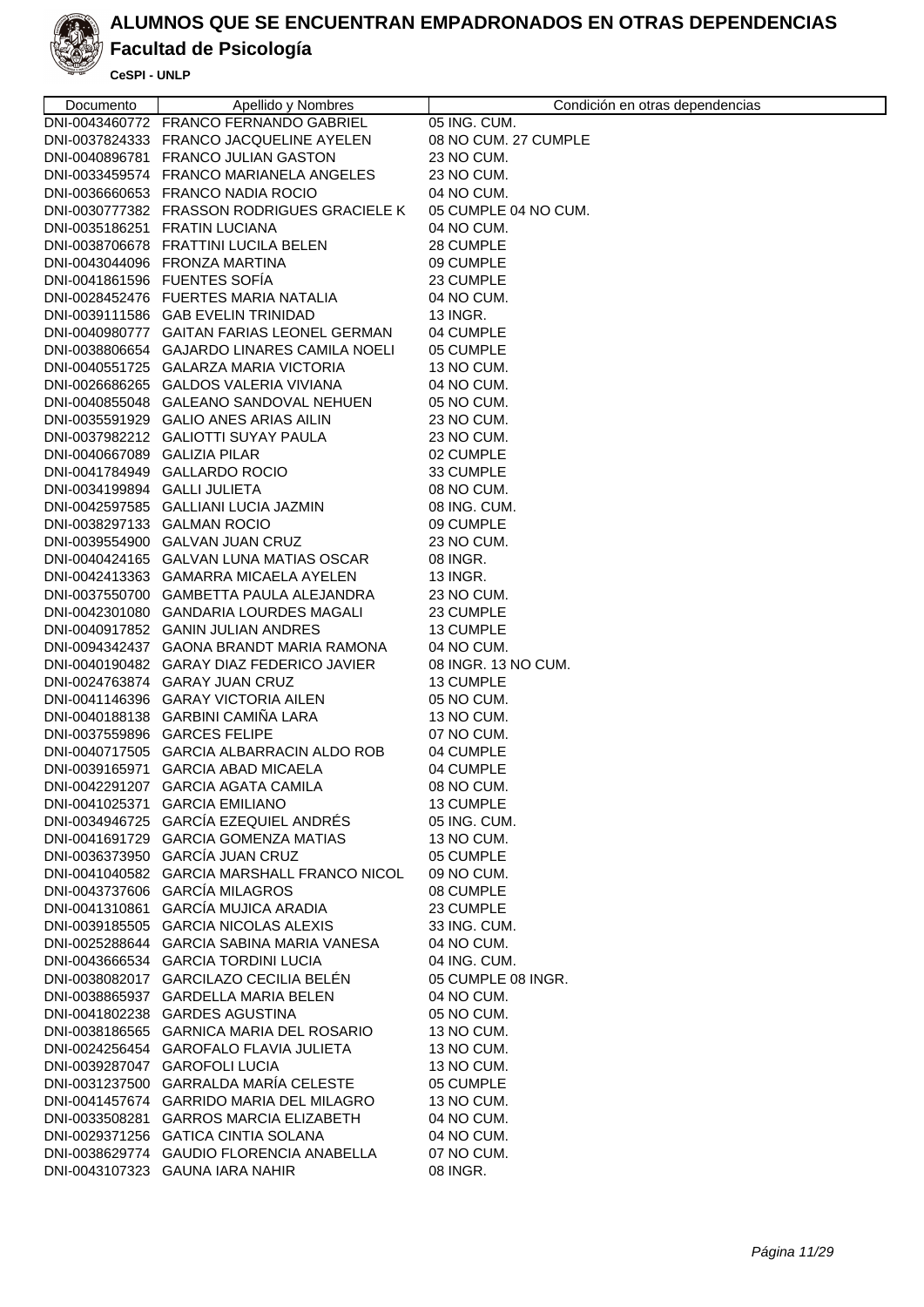

### **Facultad de Psicología**

| Documento                    | Apellido y Nombres                          | Condición en otras dependencias |
|------------------------------|---------------------------------------------|---------------------------------|
|                              | DNI-0043460772 FRANCO FERNANDO GABRIEL      | 05 ING. CUM.                    |
|                              | DNI-0037824333 FRANCO JACQUELINE AYELEN     | 08 NO CUM. 27 CUMPLE            |
|                              | DNI-0040896781 FRANCO JULIAN GASTON         | 23 NO CUM.                      |
|                              | DNI-0033459574 FRANCO MARIANELA ANGELES     | 23 NO CUM.                      |
|                              | DNI-0036660653 FRANCO NADIA ROCIO           | 04 NO CUM.                      |
|                              | DNI-0030777382 FRASSON RODRIGUES GRACIELE K | 05 CUMPLE 04 NO CUM.            |
|                              | DNI-0035186251 FRATIN LUCIANA               | 04 NO CUM.                      |
|                              | DNI-0038706678 FRATTINI LUCILA BELEN        | 28 CUMPLE                       |
|                              | DNI-0043044096 FRONZA MARTINA               | 09 CUMPLE                       |
|                              | DNI-0041861596 FUENTES SOFIA                |                                 |
|                              | DNI-0028452476 FUERTES MARIA NATALIA        | 23 CUMPLE                       |
|                              | DNI-0039111586 GAB EVELIN TRINIDAD          | 04 NO CUM.<br>13 INGR.          |
|                              | DNI-0040980777 GAITAN FARIAS LEONEL GERMAN  | 04 CUMPLE                       |
|                              | DNI-0038806654 GAJARDO LINARES CAMILA NOELI | 05 CUMPLE                       |
|                              | DNI-0040551725 GALARZA MARIA VICTORIA       |                                 |
|                              | DNI-0026686265 GALDOS VALERIA VIVIANA       | 13 NO CUM.<br>04 NO CUM.        |
|                              | DNI-0040855048 GALEANO SANDOVAL NEHUEN      | 05 NO CUM.                      |
|                              | DNI-0035591929 GALIO ANES ARIAS AILIN       | 23 NO CUM.                      |
|                              | DNI-0037982212 GALIOTTI SUYAY PAULA         | 23 NO CUM.                      |
| DNI-0040667089 GALIZIA PILAR |                                             | 02 CUMPLE                       |
|                              | DNI-0041784949 GALLARDO ROCIO               | 33 CUMPLE                       |
| DNI-0034199894 GALLI JULIETA |                                             | 08 NO CUM.                      |
|                              | DNI-0042597585 GALLIANI LUCIA JAZMIN        | 08 ING. CUM.                    |
| DNI-0038297133 GALMAN ROCIO  |                                             | 09 CUMPLE                       |
|                              | DNI-0039554900 GALVAN JUAN CRUZ             | 23 NO CUM.                      |
|                              | DNI-0040424165 GALVAN LUNA MATIAS OSCAR     | 08 INGR.                        |
|                              | DNI-0042413363 GAMARRA MICAELA AYELEN       | 13 INGR.                        |
|                              | DNI-0037550700 GAMBETTA PAULA ALEJANDRA     | 23 NO CUM.                      |
|                              | DNI-0042301080 GANDARIA LOURDES MAGALI      | 23 CUMPLE                       |
|                              | DNI-0040917852 GANIN JULIAN ANDRES          | 13 CUMPLE                       |
|                              | DNI-0094342437 GAONA BRANDT MARIA RAMONA    | 04 NO CUM.                      |
|                              | DNI-0040190482 GARAY DIAZ FEDERICO JAVIER   | 08 INGR. 13 NO CUM.             |
|                              | DNI-0024763874 GARAY JUAN CRUZ              | 13 CUMPLE                       |
|                              | DNI-0041146396 GARAY VICTORIA AILEN         | 05 NO CUM.                      |
|                              | DNI-0040188138 GARBINI CAMIÑA LARA          | 13 NO CUM.                      |
|                              | DNI-0037559896 GARCES FELIPE                | 07 NO CUM.                      |
|                              | DNI-0040717505 GARCIA ALBARRACIN ALDO ROB   | 04 CUMPLE                       |
|                              | DNI-0039165971 GARCIA ABAD MICAELA          | 04 CUMPLE                       |
|                              | DNI-0042291207 GARCIA AGATA CAMILA          | 08 NO CUM.                      |
|                              | DNI-0041025371 GARCIA EMILIANO              | 13 CUMPLE                       |
|                              | DNI-0034946725 GARCÍA EZEQUIEL ANDRÉS       | 05 ING. CUM.                    |
|                              | DNI-0041691729 GARCIA GOMENZA MATIAS        | 13 NO CUM.                      |
|                              | DNI-0036373950 GARCÍA JUAN CRUZ             | 05 CUMPLE                       |
|                              | DNI-0041040582 GARCIA MARSHALL FRANCO NICOL | 09 NO CUM.                      |
|                              | DNI-0043737606 GARCÍA MILAGROS              | 08 CUMPLE                       |
|                              | DNI-0041310861 GARCÍA MUJICA ARADIA         | 23 CUMPLE                       |
|                              | DNI-0039185505 GARCIA NICOLAS ALEXIS        | 33 ING. CUM.                    |
|                              | DNI-0025288644 GARCIA SABINA MARIA VANESA   | 04 NO CUM.                      |
|                              | DNI-0043666534 GARCIA TORDINI LUCIA         | 04 ING. CUM.                    |
|                              | DNI-0038082017 GARCILAZO CECILIA BELÉN      | 05 CUMPLE 08 INGR.              |
|                              | DNI-0038865937 GARDELLA MARIA BELEN         | 04 NO CUM.                      |
|                              | DNI-0041802238 GARDES AGUSTINA              | 05 NO CUM.                      |
|                              | DNI-0038186565 GARNICA MARIA DEL ROSARIO    | 13 NO CUM.                      |
|                              | DNI-0024256454 GAROFALO FLAVIA JULIETA      | 13 NO CUM.                      |
|                              | DNI-0039287047 GAROFOLI LUCIA               | 13 NO CUM.                      |
|                              | DNI-0031237500 GARRALDA MARÍA CELESTE       | 05 CUMPLE                       |
|                              | DNI-0041457674 GARRIDO MARIA DEL MILAGRO    | 13 NO CUM.                      |
|                              | DNI-0033508281 GARROS MARCIA ELIZABETH      | 04 NO CUM.                      |
|                              | DNI-0029371256 GATICA CINTIA SOLANA         | 04 NO CUM.                      |
|                              | DNI-0038629774 GAUDIO FLORENCIA ANABELLA    | 07 NO CUM.                      |
|                              | DNI-0043107323 GAUNA IARA NAHIR             | 08 INGR.                        |
|                              |                                             |                                 |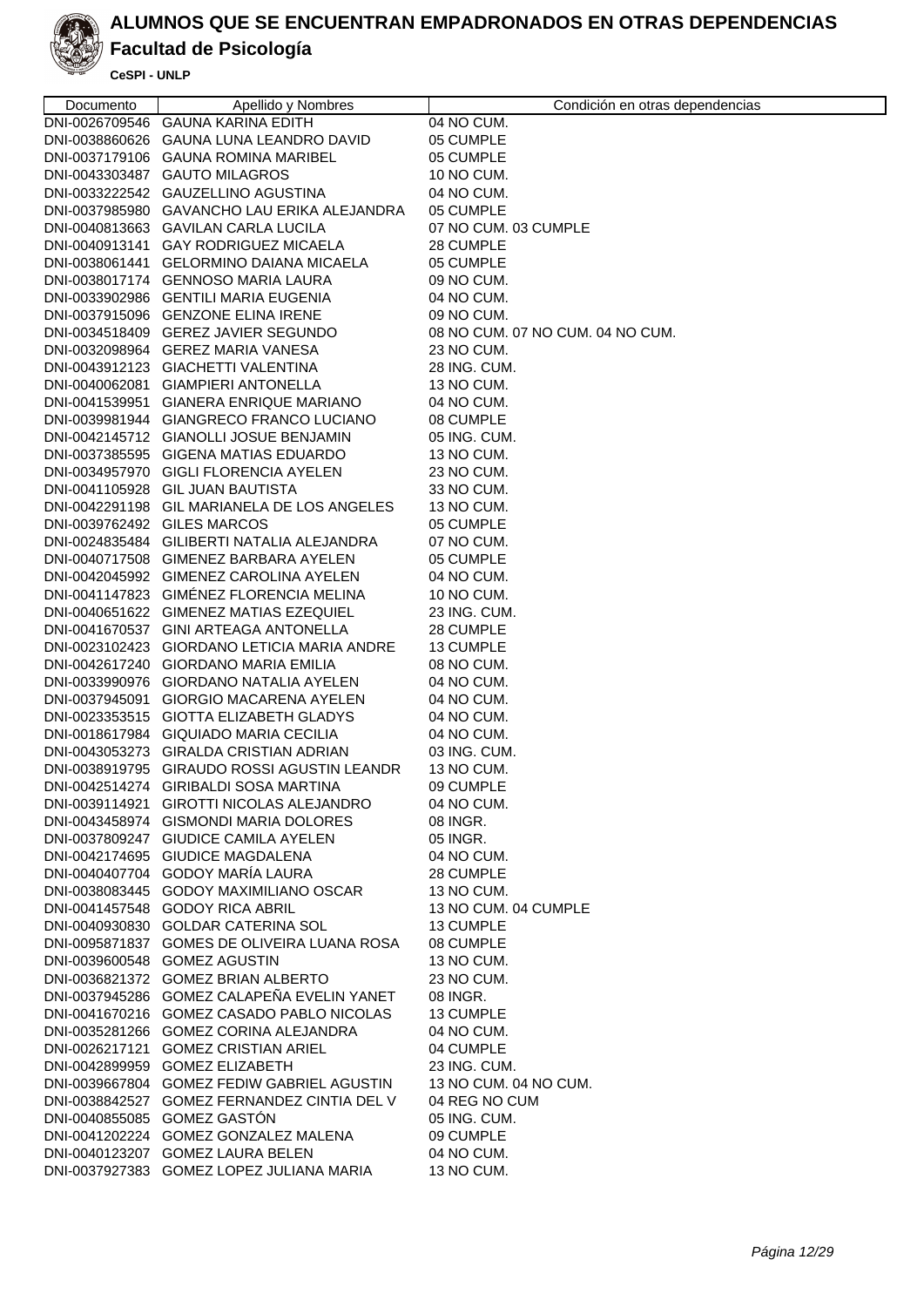

### **Facultad de Psicología**

| Documento                   | Apellido y Nombres                                                                | Condición en otras dependencias  |
|-----------------------------|-----------------------------------------------------------------------------------|----------------------------------|
|                             | DNI-0026709546 GAUNA KARINA EDITH                                                 | 04 NO CUM.                       |
|                             | DNI-0038860626 GAUNA LUNA LEANDRO DAVID                                           | 05 CUMPLE                        |
|                             | DNI-0037179106 GAUNA ROMINA MARIBEL                                               | 05 CUMPLE                        |
|                             | DNI-0043303487 GAUTO MILAGROS                                                     | 10 NO CUM.                       |
|                             | DNI-0033222542 GAUZELLINO AGUSTINA                                                | 04 NO CUM.                       |
|                             | DNI-0037985980 GAVANCHO LAU ERIKA ALEJANDRA                                       | 05 CUMPLE                        |
|                             | DNI-0040813663 GAVILAN CARLA LUCILA                                               | 07 NO CUM. 03 CUMPLE             |
|                             | DNI-0040913141 GAY RODRIGUEZ MICAELA                                              | 28 CUMPLE                        |
|                             | DNI-0038061441 GELORMINO DAIANA MICAELA                                           | 05 CUMPLE                        |
|                             | DNI-0038017174 GENNOSO MARIA LAURA                                                | 09 NO CUM.                       |
|                             | DNI-0033902986 GENTILI MARIA EUGENIA                                              | 04 NO CUM.                       |
|                             | DNI-0037915096 GENZONE ELINA IRENE                                                | 09 NO CUM.                       |
|                             | DNI-0034518409 GEREZ JAVIER SEGUNDO                                               | 08 NO CUM. 07 NO CUM. 04 NO CUM. |
|                             | DNI-0032098964 GEREZ MARIA VANESA                                                 | 23 NO CUM.                       |
|                             | DNI-0043912123 GIACHETTI VALENTINA                                                | 28 ING. CUM.                     |
|                             | DNI-0040062081 GIAMPIERI ANTONELLA                                                | 13 NO CUM.                       |
|                             | DNI-0041539951 GIANERA ENRIQUE MARIANO                                            | 04 NO CUM.                       |
|                             | DNI-0039981944 GIANGRECO FRANCO LUCIANO                                           | 08 CUMPLE                        |
|                             | DNI-0042145712 GIANOLLI JOSUE BENJAMIN                                            | 05 ING. CUM.                     |
|                             | DNI-0037385595 GIGENA MATIAS EDUARDO                                              | 13 NO CUM.                       |
|                             | DNI-0034957970 GIGLI FLORENCIA AYELEN                                             | 23 NO CUM.                       |
|                             | DNI-0041105928 GIL JUAN BAUTISTA                                                  | 33 NO CUM.                       |
|                             | DNI-0042291198 GIL MARIANELA DE LOS ANGELES                                       | 13 NO CUM.                       |
| DNI-0039762492 GILES MARCOS |                                                                                   | 05 CUMPLE                        |
|                             | DNI-0024835484 GILIBERTI NATALIA ALEJANDRA                                        | 07 NO CUM.                       |
|                             | DNI-0040717508 GIMENEZ BARBARA AYELEN                                             | 05 CUMPLE                        |
|                             | DNI-0042045992 GIMENEZ CAROLINA AYELEN                                            | 04 NO CUM.                       |
|                             | DNI-0041147823 GIMENEZ FLORENCIA MELINA                                           | 10 NO CUM.                       |
|                             | DNI-0040651622 GIMENEZ MATIAS EZEQUIEL                                            | 23 ING. CUM.                     |
|                             | DNI-0041670537 GINI ARTEAGA ANTONELLA                                             | 28 CUMPLE                        |
|                             | DNI-0023102423 GIORDANO LETICIA MARIA ANDRE                                       | 13 CUMPLE                        |
|                             | DNI-0042617240 GIORDANO MARIA EMILIA                                              | 08 NO CUM.                       |
|                             | DNI-0033990976 GIORDANO NATALIA AYELEN                                            | 04 NO CUM.                       |
|                             | DNI-0037945091 GIORGIO MACARENA AYELEN                                            | 04 NO CUM.                       |
|                             | DNI-0023353515 GIOTTA ELIZABETH GLADYS                                            | 04 NO CUM.                       |
|                             | DNI-0018617984 GIQUIADO MARIA CECILIA                                             | 04 NO CUM.                       |
|                             | DNI-0043053273 GIRALDA CRISTIAN ADRIAN                                            | 03 ING. CUM.                     |
|                             | DNI-0038919795 GIRAUDO ROSSI AGUSTIN LEANDR                                       | 13 NO CUM.                       |
|                             | DNI-0042514274 GIRIBALDI SOSA MARTINA<br>DNI-0039114921 GIROTTI NICOLAS ALEJANDRO | 09 CUMPLE<br>04 NO CUM.          |
|                             | DNI-0043458974 GISMONDI MARIA DOLORES                                             | 08 INGR.                         |
|                             | DNI-0037809247 GIUDICE CAMILA AYELEN                                              | 05 INGR.                         |
|                             | DNI-0042174695 GIUDICE MAGDALENA                                                  |                                  |
|                             | DNI-0040407704 GODOY MARÍA LAURA                                                  | 04 NO CUM.<br>28 CUMPLE          |
|                             | DNI-0038083445 GODOY MAXIMILIANO OSCAR                                            | 13 NO CUM.                       |
|                             | DNI-0041457548 GODOY RICA ABRIL                                                   | 13 NO CUM. 04 CUMPLE             |
|                             | DNI-0040930830 GOLDAR CATERINA SOL                                                | 13 CUMPLE                        |
|                             | DNI-0095871837 GOMES DE OLIVEIRA LUANA ROSA                                       | 08 CUMPLE                        |
|                             | DNI-0039600548 GOMEZ AGUSTIN                                                      | 13 NO CUM.                       |
|                             | DNI-0036821372 GOMEZ BRIAN ALBERTO                                                | 23 NO CUM.                       |
|                             | DNI-0037945286 GOMEZ CALAPEÑA EVELIN YANET                                        | 08 INGR.                         |
|                             | DNI-0041670216 GOMEZ CASADO PABLO NICOLAS                                         | 13 CUMPLE                        |
|                             | DNI-0035281266 GOMEZ CORINA ALEJANDRA                                             | 04 NO CUM.                       |
|                             | DNI-0026217121 GOMEZ CRISTIAN ARIEL                                               | 04 CUMPLE                        |
|                             | DNI-0042899959 GOMEZ ELIZABETH                                                    | 23 ING. CUM.                     |
|                             | DNI-0039667804 GOMEZ FEDIW GABRIEL AGUSTIN                                        | 13 NO CUM. 04 NO CUM.            |
|                             | DNI-0038842527 GOMEZ FERNANDEZ CINTIA DEL V                                       | 04 REG NO CUM                    |
|                             | DNI-0040855085 GOMEZ GASTÓN                                                       | 05 ING. CUM.                     |
|                             | DNI-0041202224 GOMEZ GONZALEZ MALENA                                              | 09 CUMPLE                        |
|                             | DNI-0040123207 GOMEZ LAURA BELEN                                                  | 04 NO CUM.                       |
|                             | DNI-0037927383 GOMEZ LOPEZ JULIANA MARIA                                          | 13 NO CUM.                       |
|                             |                                                                                   |                                  |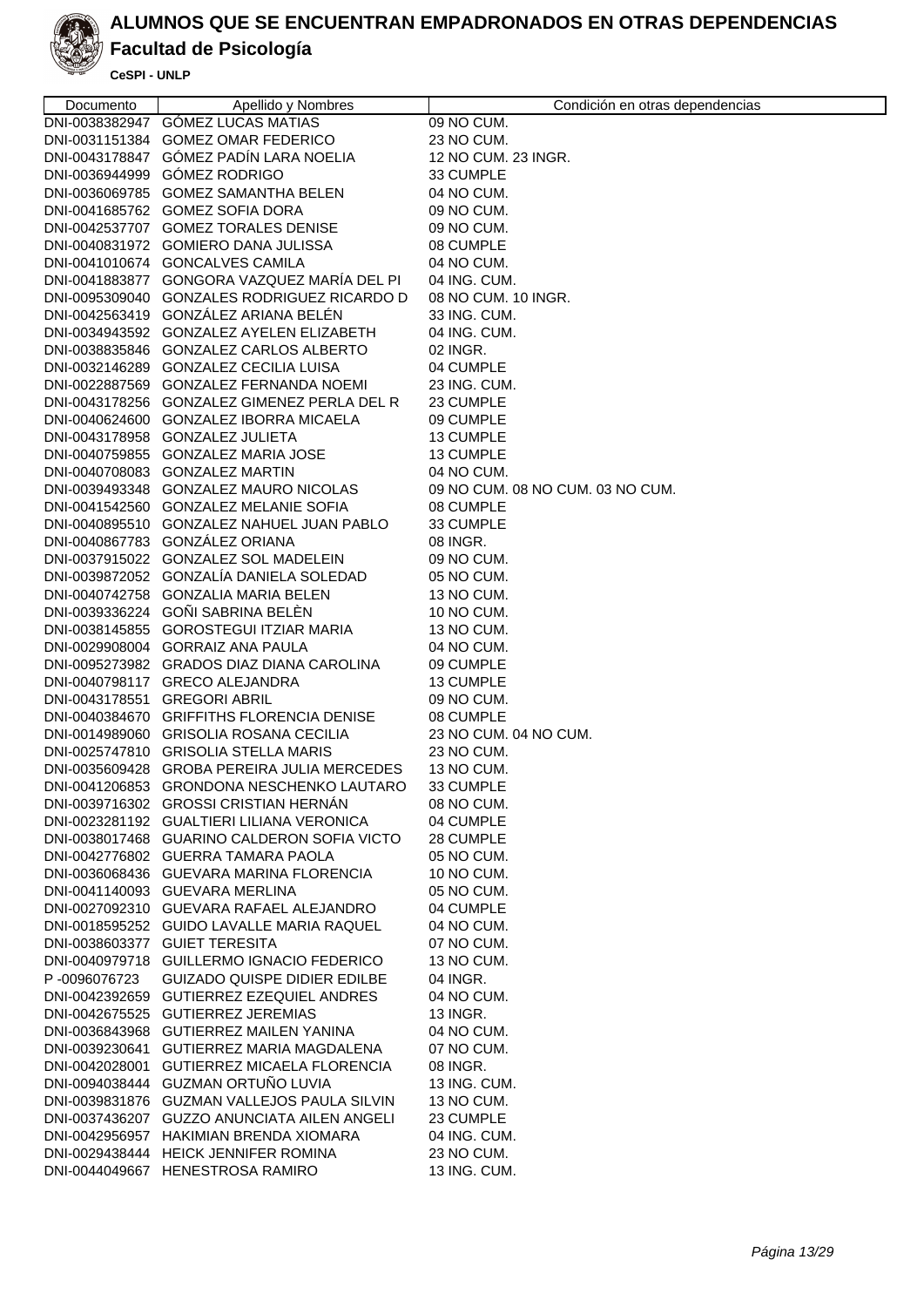

### **Facultad de Psicología**

| Documento    | Apellido y Nombres                                                                    | Condición en otras dependencias  |
|--------------|---------------------------------------------------------------------------------------|----------------------------------|
|              | DNI-0038382947 GÓMEZ LUCAS MATIAS                                                     | 09 NO CUM.                       |
|              | DNI-0031151384 GOMEZ OMAR FEDERICO                                                    | 23 NO CUM.                       |
|              | DNI-0043178847 GÓMEZ PADÍN LARA NOELIA                                                | 12 NO CUM. 23 INGR.              |
|              | DNI-0036944999 GÓMEZ RODRIGO                                                          | 33 CUMPLE                        |
|              | DNI-0036069785 GOMEZ SAMANTHA BELEN                                                   | 04 NO CUM.                       |
|              | DNI-0041685762 GOMEZ SOFIA DORA                                                       | 09 NO CUM.                       |
|              | DNI-0042537707 GOMEZ TORALES DENISE                                                   | 09 NO CUM.                       |
|              | DNI-0040831972 GOMIERO DANA JULISSA                                                   | 08 CUMPLE                        |
|              | DNI-0041010674 GONCALVES CAMILA                                                       | 04 NO CUM.                       |
|              | DNI-0041883877 GONGORA VAZQUEZ MARÍA DEL PI                                           | 04 ING. CUM.                     |
|              | DNI-0095309040 GONZALES RODRIGUEZ RICARDO D                                           | 08 NO CUM. 10 INGR.              |
|              | DNI-0042563419 GONZÁLEZ ARIANA BELÉN                                                  | 33 ING. CUM.                     |
|              | DNI-0034943592 GONZALEZ AYELEN ELIZABETH                                              | 04 ING. CUM.                     |
|              | DNI-0038835846 GONZALEZ CARLOS ALBERTO                                                | 02 INGR.                         |
|              | DNI-0032146289 GONZALEZ CECILIA LUISA                                                 | 04 CUMPLE                        |
|              | DNI-0022887569 GONZALEZ FERNANDA NOEMI<br>DNI-0043178256 GONZALEZ GIMENEZ PERLA DEL R | 23 ING. CUM.<br>23 CUMPLE        |
|              | DNI-0040624600 GONZALEZ IBORRA MICAELA                                                | 09 CUMPLE                        |
|              | DNI-0043178958 GONZALEZ JULIETA                                                       | 13 CUMPLE                        |
|              | DNI-0040759855 GONZALEZ MARIA JOSE                                                    | 13 CUMPLE                        |
|              | DNI-0040708083 GONZALEZ MARTIN                                                        | 04 NO CUM.                       |
|              | DNI-0039493348 GONZALEZ MAURO NICOLAS                                                 | 09 NO CUM. 08 NO CUM. 03 NO CUM. |
|              | DNI-0041542560 GONZALEZ MELANIE SOFIA                                                 | 08 CUMPLE                        |
|              | DNI-0040895510 GONZALEZ NAHUEL JUAN PABLO                                             | 33 CUMPLE                        |
|              | DNI-0040867783 GONZÁLEZ ORIANA                                                        | 08 INGR.                         |
|              | DNI-0037915022 GONZALEZ SOL MADELEIN                                                  | 09 NO CUM.                       |
|              | DNI-0039872052 GONZALÍA DANIELA SOLEDAD                                               | 05 NO CUM.                       |
|              | DNI-0040742758 GONZALIA MARIA BELEN                                                   | 13 NO CUM.                       |
|              | DNI-0039336224 GOÑI SABRINA BELEN                                                     | 10 NO CUM.                       |
|              | DNI-0038145855 GOROSTEGUI ITZIAR MARIA                                                | 13 NO CUM.                       |
|              | DNI-0029908004 GORRAIZ ANA PAULA                                                      | 04 NO CUM.                       |
|              | DNI-0095273982 GRADOS DIAZ DIANA CAROLINA                                             | 09 CUMPLE                        |
|              | DNI-0040798117 GRECO ALEJANDRA                                                        | 13 CUMPLE                        |
|              | DNI-0043178551 GREGORI ABRIL                                                          | 09 NO CUM.                       |
|              | DNI-0040384670 GRIFFITHS FLORENCIA DENISE                                             | 08 CUMPLE                        |
|              | DNI-0014989060 GRISOLIA ROSANA CECILIA                                                | 23 NO CUM. 04 NO CUM.            |
|              | DNI-0025747810 GRISOLIA STELLA MARIS                                                  | 23 NO CUM.                       |
|              | DNI-0035609428 GROBA PEREIRA JULIA MERCEDES                                           | 13 NO CUM.                       |
|              | DNI-0041206853 GRONDONA NESCHENKO LAUTARO                                             | 33 CUMPLE                        |
|              | DNI-0039716302 GROSSI CRISTIAN HERNÁN                                                 | 08 NO CUM.                       |
|              | DNI-0023281192 GUALTIERI LILIANA VERONICA                                             | 04 CUMPLE                        |
|              | DNI-0038017468 GUARINO CALDERON SOFIA VICTO                                           | 28 CUMPLE                        |
|              | DNI-0042776802 GUERRA TAMARA PAOLA                                                    | 05 NO CUM.                       |
|              | DNI-0036068436 GUEVARA MARINA FLORENCIA                                               | 10 NO CUM.                       |
|              | DNI-0041140093 GUEVARA MERLINA                                                        | 05 NO CUM.                       |
|              | DNI-0027092310 GUEVARA RAFAEL ALEJANDRO                                               | 04 CUMPLE                        |
|              | DNI-0018595252 GUIDO LAVALLE MARIA RAQUEL                                             | 04 NO CUM.                       |
|              | DNI-0038603377 GUIET TERESITA                                                         | 07 NO CUM.                       |
|              | DNI-0040979718 GUILLERMO IGNACIO FEDERICO                                             | 13 NO CUM.                       |
| P-0096076723 | <b>GUIZADO QUISPE DIDIER EDILBE</b>                                                   | 04 INGR.                         |
|              | DNI-0042392659 GUTIERREZ EZEQUIEL ANDRES<br>DNI-0042675525 GUTIERREZ JEREMIAS         | 04 NO CUM.<br>13 INGR.           |
|              | DNI-0036843968 GUTIERREZ MAILEN YANINA                                                | 04 NO CUM.                       |
|              | DNI-0039230641 GUTIERREZ MARIA MAGDALENA                                              | 07 NO CUM.                       |
|              | DNI-0042028001 GUTIERREZ MICAELA FLORENCIA                                            | 08 INGR.                         |
|              | DNI-0094038444 GUZMAN ORTUÑO LUVIA                                                    | 13 ING. CUM.                     |
|              | DNI-0039831876 GUZMAN VALLEJOS PAULA SILVIN                                           | 13 NO CUM.                       |
|              | DNI-0037436207 GUZZO ANUNCIATA AILEN ANGELI                                           | 23 CUMPLE                        |
|              | DNI-0042956957 HAKIMIAN BRENDA XIOMARA                                                | 04 ING. CUM.                     |
|              | DNI-0029438444 HEICK JENNIFER ROMINA                                                  | 23 NO CUM.                       |
|              | DNI-0044049667 HENESTROSA RAMIRO                                                      | 13 ING. CUM.                     |
|              |                                                                                       |                                  |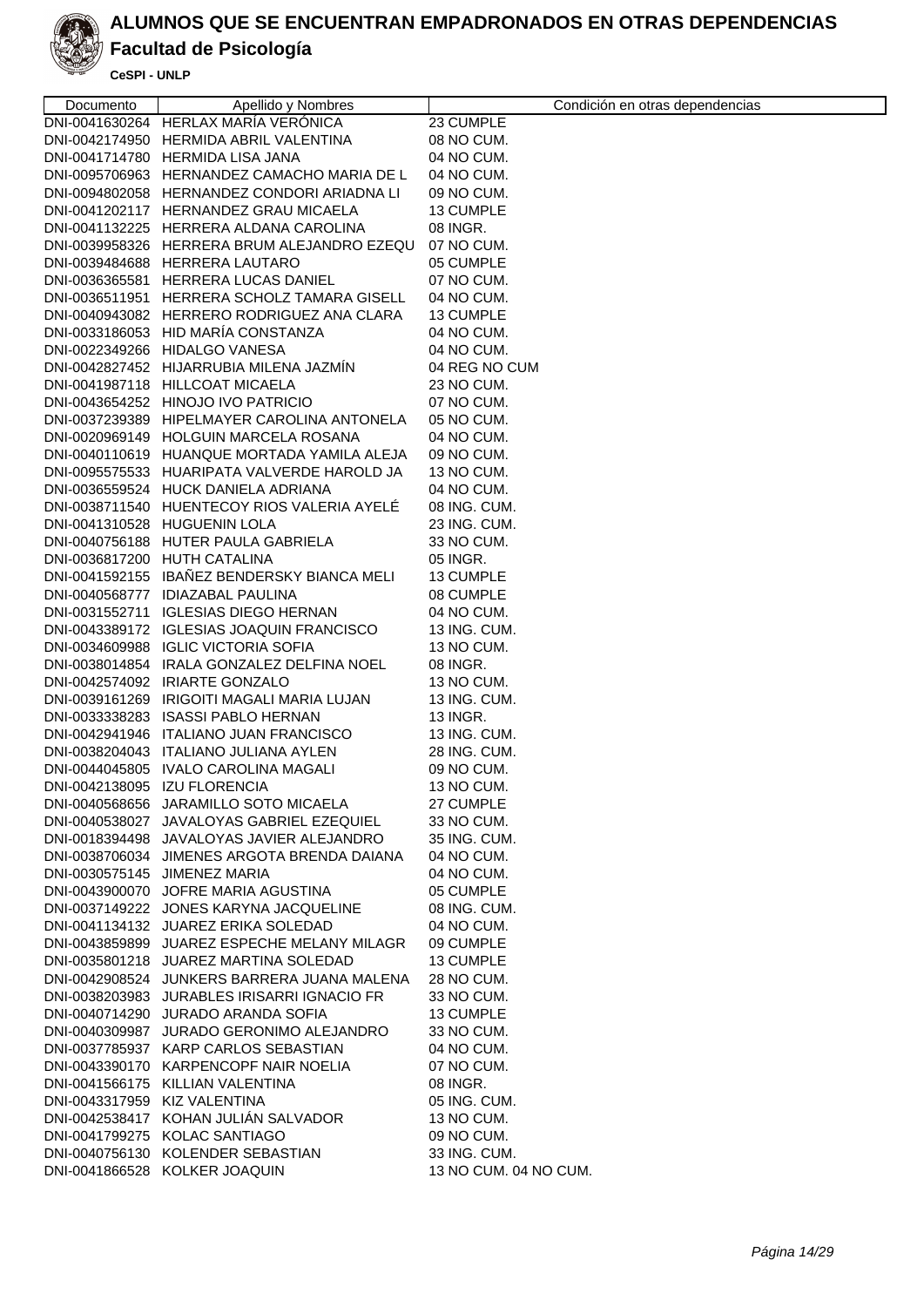

### **Facultad de Psicología**

| Documento                    | Apellido y Nombres                          | Condición en otras dependencias |
|------------------------------|---------------------------------------------|---------------------------------|
|                              | DNI-0041630264 HERLAX MARÍA VERÓNICA        | 23 CUMPLE                       |
|                              | DNI-0042174950 HERMIDA ABRIL VALENTINA      | 08 NO CUM.                      |
|                              | DNI-0041714780 HERMIDA LISA JANA            | 04 NO CUM.                      |
|                              | DNI-0095706963 HERNANDEZ CAMACHO MARIA DE L | 04 NO CUM.                      |
|                              | DNI-0094802058 HERNANDEZ CONDORI ARIADNA LI | 09 NO CUM.                      |
|                              | DNI-0041202117 HERNANDEZ GRAU MICAELA       | 13 CUMPLE                       |
|                              | DNI-0041132225 HERRERA ALDANA CAROLINA      | 08 INGR.                        |
|                              | DNI-0039958326 HERRERA BRUM ALEJANDRO EZEQU | 07 NO CUM.                      |
|                              | DNI-0039484688 HERRERA LAUTARO              | 05 CUMPLE                       |
|                              | DNI-0036365581 HERRERA LUCAS DANIEL         | 07 NO CUM.                      |
|                              | DNI-0036511951 HERRERA SCHOLZ TAMARA GISELL | 04 NO CUM.                      |
|                              | DNI-0040943082 HERRERO RODRIGUEZ ANA CLARA  | 13 CUMPLE                       |
|                              | DNI-0033186053 HID MARÍA CONSTANZA          | 04 NO CUM.                      |
|                              | DNI-0022349266 HIDALGO VANESA               | 04 NO CUM.                      |
|                              | DNI-0042827452 HIJARRUBIA MILENA JAZMIN     | 04 REG NO CUM                   |
|                              | DNI-0041987118 HILLCOAT MICAELA             | 23 NO CUM.                      |
|                              | DNI-0043654252 HINOJO IVO PATRICIO          | 07 NO CUM.                      |
|                              | DNI-0037239389 HIPELMAYER CAROLINA ANTONELA | 05 NO CUM.                      |
|                              | DNI-0020969149 HOLGUIN MARCELA ROSANA       | 04 NO CUM.                      |
|                              | DNI-0040110619 HUANQUE MORTADA YAMILA ALEJA | 09 NO CUM.                      |
|                              | DNI-0095575533 HUARIPATA VALVERDE HAROLD JA | 13 NO CUM.                      |
|                              | DNI-0036559524 HUCK DANIELA ADRIANA         | 04 NO CUM.                      |
|                              | DNI-0038711540 HUENTECOY RIOS VALERIA AYELÉ | 08 ING. CUM.                    |
|                              | DNI-0041310528 HUGUENIN LOLA                | 23 ING. CUM.                    |
|                              | DNI-0040756188 HUTER PAULA GABRIELA         | 33 NO CUM.                      |
|                              | DNI-0036817200 HUTH CATALINA                | 05 INGR.                        |
|                              | DNI-0041592155 IBAÑEZ BENDERSKY BIANCA MELI | 13 CUMPLE                       |
|                              | DNI-0040568777 IDIAZABAL PAULINA            | 08 CUMPLE                       |
|                              | DNI-0031552711 IGLESIAS DIEGO HERNAN        | 04 NO CUM.                      |
|                              | DNI-0043389172 IGLESIAS JOAQUIN FRANCISCO   | 13 ING. CUM.                    |
|                              | DNI-0034609988 IGLIC VICTORIA SOFIA         | 13 NO CUM.                      |
|                              | DNI-0038014854 IRALA GONZALEZ DELFINA NOEL  | 08 INGR.                        |
|                              | DNI-0042574092 IRIARTE GONZALO              | 13 NO CUM.                      |
|                              | DNI-0039161269 IRIGOITI MAGALI MARIA LUJAN  | 13 ING. CUM.                    |
|                              | DNI-0033338283 ISASSI PABLO HERNAN          | 13 INGR.                        |
|                              | DNI-0042941946 ITALIANO JUAN FRANCISCO      | 13 ING. CUM.                    |
|                              | DNI-0038204043 ITALIANO JULIANA AYLEN       | 28 ING. CUM.                    |
|                              | DNI-0044045805 IVALO CAROLINA MAGALI        | 09 NO CUM.                      |
| DNI-0042138095 IZU FLORENCIA |                                             | 13 NO CUM.                      |
|                              | DNI-0040568656 JARAMILLO SOTO MICAELA       | 27 CUMPLE                       |
|                              | DNI-0040538027 JAVALOYAS GABRIEL EZEQUIEL   | 33 NO CUM.                      |
|                              | DNI-0018394498 JAVALOYAS JAVIER ALEJANDRO   | 35 ING. CUM.                    |
|                              | DNI-0038706034 JIMENES ARGOTA BRENDA DAIANA | 04 NO CUM.                      |
| DNI-0030575145 JIMENEZ MARIA |                                             | 04 NO CUM.                      |
|                              | DNI-0043900070 JOFRE MARIA AGUSTINA         | 05 CUMPLE                       |
|                              | DNI-0037149222 JONES KARYNA JACQUELINE      | 08 ING. CUM.                    |
|                              | DNI-0041134132 JUAREZ ERIKA SOLEDAD         | 04 NO CUM.                      |
|                              | DNI-0043859899 JUAREZ ESPECHE MELANY MILAGR | 09 CUMPLE                       |
|                              | DNI-0035801218 JUAREZ MARTINA SOLEDAD       | 13 CUMPLE                       |
|                              | DNI-0042908524 JUNKERS BARRERA JUANA MALENA | 28 NO CUM.                      |
|                              | DNI-0038203983 JURABLES IRISARRI IGNACIO FR | 33 NO CUM.                      |
|                              | DNI-0040714290 JURADO ARANDA SOFIA          | 13 CUMPLE                       |
|                              | DNI-0040309987 JURADO GERONIMO ALEJANDRO    | 33 NO CUM.                      |
|                              | DNI-0037785937 KARP CARLOS SEBASTIAN        | 04 NO CUM.                      |
|                              | DNI-0043390170 KARPENCOPF NAIR NOELIA       | 07 NO CUM.                      |
|                              | DNI-0041566175 KILLIAN VALENTINA            | 08 INGR.                        |
| DNI-0043317959 KIZ VALENTINA |                                             | 05 ING. CUM.                    |
|                              | DNI-0042538417 KOHAN JULIAN SALVADOR        | 13 NO CUM.                      |
|                              | DNI-0041799275 KOLAC SANTIAGO               | 09 NO CUM.                      |
|                              | DNI-0040756130 KOLENDER SEBASTIAN           | 33 ING. CUM.                    |
|                              | DNI-0041866528 KOLKER JOAQUIN               | 13 NO CUM. 04 NO CUM.           |
|                              |                                             |                                 |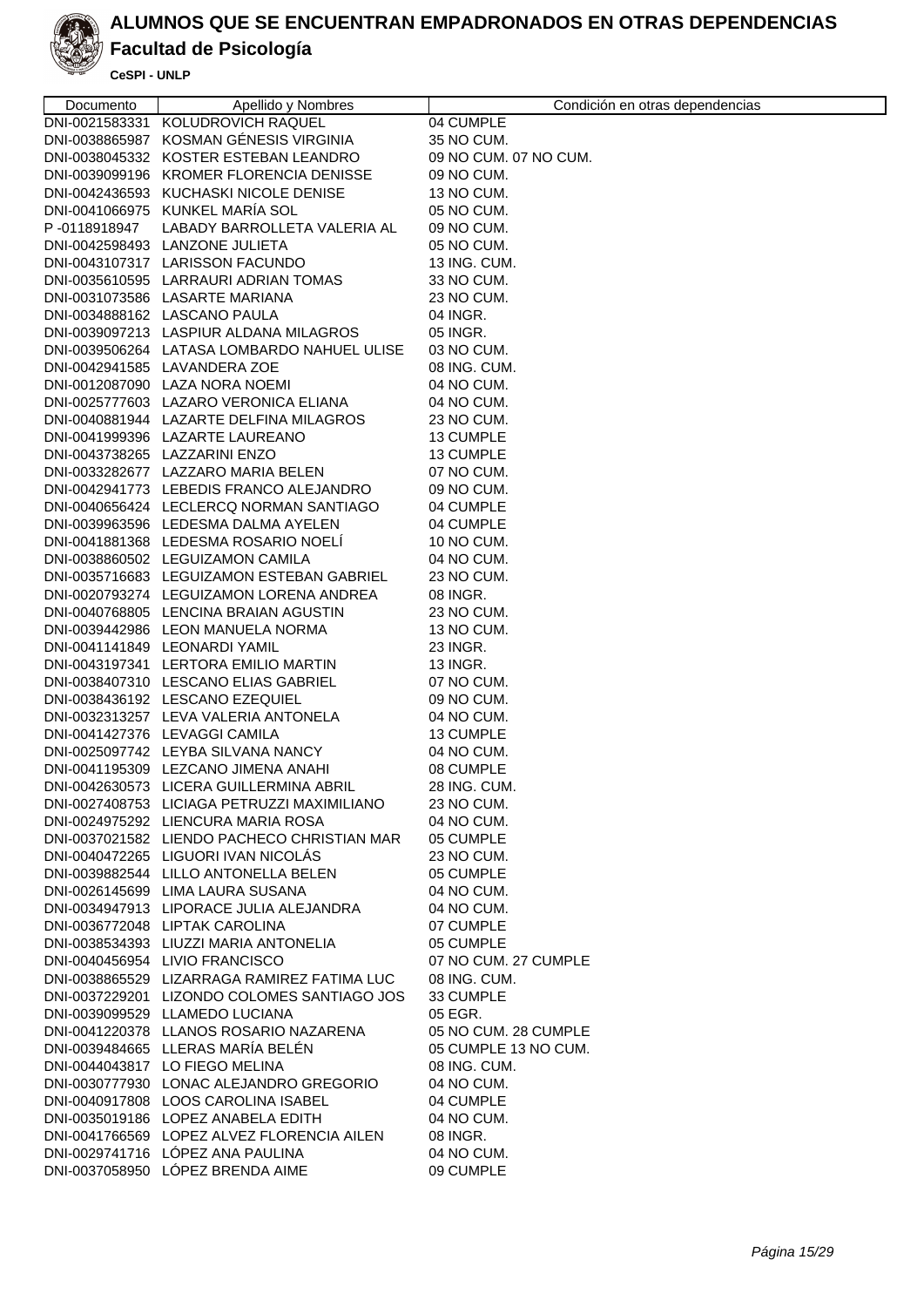

### **Facultad de Psicología**

| Documento    | Apellido y Nombres                                                            | Condición en otras dependencias   |
|--------------|-------------------------------------------------------------------------------|-----------------------------------|
|              | DNI-0021583331 KOLUDROVICH RAQUEL                                             | 04 CUMPLE                         |
|              | DNI-0038865987 KOSMAN GÉNESIS VIRGINIA                                        | 35 NO CUM.                        |
|              | DNI-0038045332 KOSTER ESTEBAN LEANDRO                                         | 09 NO CUM. 07 NO CUM.             |
|              | DNI-0039099196 KROMER FLORENCIA DENISSE                                       | 09 NO CUM.                        |
|              | DNI-0042436593 KUCHASKI NICOLE DENISE                                         | 13 NO CUM.                        |
|              | DNI-0041066975 KUNKEL MARIA SOL                                               | 05 NO CUM.                        |
| P-0118918947 | LABADY BARROLLETA VALERIA AL                                                  | 09 NO CUM.                        |
|              | DNI-0042598493 LANZONE JULIETA                                                | 05 NO CUM.                        |
|              | DNI-0043107317 LARISSON FACUNDO                                               | 13 ING. CUM.                      |
|              | DNI-0035610595 LARRAURI ADRIAN TOMAS                                          | 33 NO CUM.                        |
|              | DNI-0031073586 LASARTE MARIANA                                                | 23 NO CUM.                        |
|              | DNI-0034888162 LASCANO PAULA                                                  | 04 INGR.                          |
|              | DNI-0039097213 LASPIUR ALDANA MILAGROS                                        | 05 INGR.                          |
|              | DNI-0039506264 LATASA LOMBARDO NAHUEL ULISE                                   | 03 NO CUM.                        |
|              | DNI-0042941585 LAVANDERA ZOE                                                  | 08 ING. CUM.                      |
|              | DNI-0012087090 LAZA NORA NOEMI                                                | 04 NO CUM.                        |
|              | DNI-0025777603 LAZARO VERONICA ELIANA                                         | 04 NO CUM.                        |
|              | DNI-0040881944 LAZARTE DELFINA MILAGROS                                       | 23 NO CUM.                        |
|              | DNI-0041999396 LAZARTE LAUREANO                                               | 13 CUMPLE                         |
|              | DNI-0043738265 LAZZARINI ENZO                                                 | 13 CUMPLE                         |
|              | DNI-0033282677 LAZZARO MARIA BELEN                                            | 07 NO CUM.                        |
|              | DNI-0042941773 LEBEDIS FRANCO ALEJANDRO                                       | 09 NO CUM.                        |
|              | DNI-0040656424 LECLERCQ NORMAN SANTIAGO                                       | 04 CUMPLE                         |
|              | DNI-0039963596 LEDESMA DALMA AYELEN                                           | 04 CUMPLE                         |
|              | DNI-0041881368 LEDESMA ROSARIO NOELI                                          | 10 NO CUM.                        |
|              | DNI-0038860502 LEGUIZAMON CAMILA                                              | 04 NO CUM.                        |
|              | DNI-0035716683 LEGUIZAMON ESTEBAN GABRIEL                                     | 23 NO CUM.                        |
|              | DNI-0020793274 LEGUIZAMON LORENA ANDREA                                       | 08 INGR.                          |
|              | DNI-0040768805 LENCINA BRAIAN AGUSTIN                                         | 23 NO CUM.                        |
|              | DNI-0039442986 LEON MANUELA NORMA                                             | 13 NO CUM.                        |
|              | DNI-0041141849 LEONARDI YAMIL                                                 | 23 INGR.                          |
|              | DNI-0043197341 LERTORA EMILIO MARTIN                                          | 13 INGR.                          |
|              | DNI-0038407310 LESCANO ELIAS GABRIEL                                          | 07 NO CUM.                        |
|              | DNI-0038436192 LESCANO EZEQUIEL                                               | 09 NO CUM.                        |
|              | DNI-0032313257 LEVA VALERIA ANTONELA                                          | 04 NO CUM.                        |
|              | DNI-0041427376 LEVAGGI CAMILA                                                 | 13 CUMPLE                         |
|              | DNI-0025097742 LEYBA SILVANA NANCY                                            | 04 NO CUM.                        |
|              | DNI-0041195309 LEZCANO JIMENA ANAHI                                           | 08 CUMPLE                         |
|              | DNI-0042630573 LICERA GUILLERMINA ABRIL                                       | 28 ING. CUM.                      |
|              | DNI-0027408753 LICIAGA PETRUZZI MAXIMILIANO                                   | 23 NO CUM.                        |
|              | DNI-0024975292 LIENCURA MARIA ROSA                                            | 04 NO CUM.                        |
|              | DNI-0037021582 LIENDO PACHECO CHRISTIAN MAR                                   | 05 CUMPLE                         |
|              | DNI-0040472265 LIGUORI IVAN NICOLAS                                           | 23 NO CUM.                        |
|              | DNI-0039882544 LILLO ANTONELLA BELEN                                          | 05 CUMPLE                         |
|              | DNI-0026145699 LIMA LAURA SUSANA                                              | 04 NO CUM.                        |
|              | DNI-0034947913 LIPORACE JULIA ALEJANDRA                                       | 04 NO CUM.                        |
|              | DNI-0036772048 LIPTAK CAROLINA                                                | 07 CUMPLE                         |
|              | DNI-0038534393 LIUZZI MARIA ANTONELIA                                         | 05 CUMPLE<br>07 NO CUM, 27 CUMPLE |
|              | DNI-0040456954 LIVIO FRANCISCO<br>DNI-0038865529 LIZARRAGA RAMIREZ FATIMA LUC | 08 ING. CUM.                      |
|              |                                                                               |                                   |
|              | DNI-0037229201 LIZONDO COLOMES SANTIAGO JOS                                   | 33 CUMPLE                         |
|              | DNI-0039099529 LLAMEDO LUCIANA<br>DNI-0041220378 LLANOS ROSARIO NAZARENA      | 05 EGR.<br>05 NO CUM. 28 CUMPLE   |
|              | DNI-0039484665 LLERAS MARÍA BELÉN                                             | 05 CUMPLE 13 NO CUM.              |
|              | DNI-0044043817 LO FIEGO MELINA                                                | 08 ING. CUM.                      |
|              | DNI-0030777930 LONAC ALEJANDRO GREGORIO                                       |                                   |
|              | DNI-0040917808 LOOS CAROLINA ISABEL                                           | 04 NO CUM.<br>04 CUMPLE           |
|              | DNI-0035019186 LOPEZ ANABELA EDITH                                            | 04 NO CUM.                        |
|              | DNI-0041766569 LOPEZ ALVEZ FLORENCIA AILEN                                    | 08 INGR.                          |
|              | DNI-0029741716 LOPEZ ANA PAULINA                                              | 04 NO CUM.                        |
|              | DNI-0037058950 LÓPEZ BRENDA AIME                                              | 09 CUMPLE                         |
|              |                                                                               |                                   |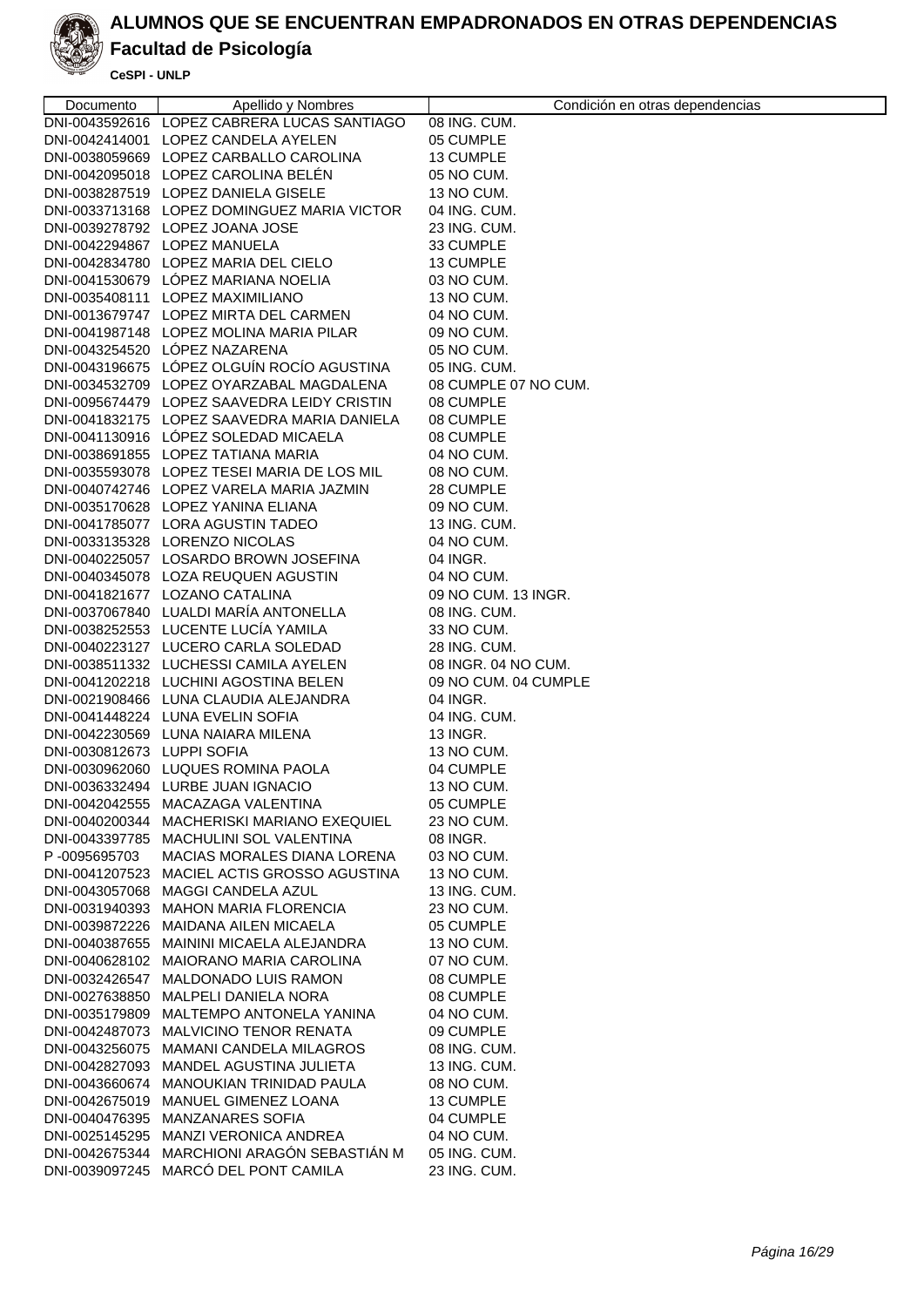

# **Facultad de Psicología**

| Documento                  | Apellido y Nombres                          | Condición en otras dependencias |
|----------------------------|---------------------------------------------|---------------------------------|
|                            | DNI-0043592616 LOPEZ CABRERA LUCAS SANTIAGO | 08 ING. CUM.                    |
|                            | DNI-0042414001 LOPEZ CANDELA AYELEN         | 05 CUMPLE                       |
|                            | DNI-0038059669 LOPEZ CARBALLO CAROLINA      | 13 CUMPLE                       |
|                            | DNI-0042095018 LOPEZ CAROLINA BELÉN         | 05 NO CUM.                      |
|                            | DNI-0038287519 LOPEZ DANIELA GISELE         | 13 NO CUM.                      |
|                            | DNI-0033713168 LOPEZ DOMINGUEZ MARIA VICTOR | 04 ING. CUM.                    |
|                            | DNI-0039278792 LOPEZ JOANA JOSE             | 23 ING. CUM.                    |
|                            | DNI-0042294867 LOPEZ MANUELA                | 33 CUMPLE                       |
|                            | DNI-0042834780 LOPEZ MARIA DEL CIELO        | 13 CUMPLE                       |
|                            | DNI-0041530679 LOPEZ MARIANA NOELIA         | 03 NO CUM.                      |
|                            | DNI-0035408111 LOPEZ MAXIMILIANO            | 13 NO CUM.                      |
|                            | DNI-0013679747 LOPEZ MIRTA DEL CARMEN       | 04 NO CUM.                      |
|                            | DNI-0041987148 LOPEZ MOLINA MARIA PILAR     | 09 NO CUM.                      |
|                            | DNI-0043254520 LÓPEZ NAZARENA               | 05 NO CUM.                      |
|                            | DNI-0043196675 LÓPEZ OLGUÍN ROCÍO AGUSTINA  | 05 ING. CUM.                    |
|                            | DNI-0034532709 LOPEZ OYARZABAL MAGDALENA    | 08 CUMPLE 07 NO CUM.            |
|                            | DNI-0095674479 LOPEZ SAAVEDRA LEIDY CRISTIN | 08 CUMPLE                       |
|                            | DNI-0041832175 LOPEZ SAAVEDRA MARIA DANIELA | 08 CUMPLE                       |
|                            | DNI-0041130916 LÓPEZ SOLEDAD MICAELA        | 08 CUMPLE                       |
|                            | DNI-0038691855 LOPEZ TATIANA MARIA          | 04 NO CUM.                      |
|                            | DNI-0035593078 LOPEZ TESEI MARIA DE LOS MIL | 08 NO CUM.                      |
|                            | DNI-0040742746 LOPEZ VARELA MARIA JAZMIN    | 28 CUMPLE                       |
|                            | DNI-0035170628 LOPEZ YANINA ELIANA          | 09 NO CUM.                      |
|                            | DNI-0041785077 LORA AGUSTIN TADEO           | 13 ING. CUM.                    |
|                            | DNI-0033135328 LORENZO NICOLAS              | 04 NO CUM.                      |
|                            | DNI-0040225057 LOSARDO BROWN JOSEFINA       | 04 INGR.                        |
|                            | DNI-0040345078 LOZA REUQUEN AGUSTIN         | 04 NO CUM.                      |
|                            | DNI-0041821677 LOZANO CATALINA              | 09 NO CUM. 13 INGR.             |
|                            | DNI-0037067840 LUALDI MARÍA ANTONELLA       | 08 ING. CUM.                    |
|                            | DNI-0038252553 LUCENTE LUCÍA YAMILA         | 33 NO CUM.                      |
|                            | DNI-0040223127 LUCERO CARLA SOLEDAD         | 28 ING. CUM.                    |
|                            | DNI-0038511332 LUCHESSI CAMILA AYELEN       | 08 INGR. 04 NO CUM.             |
|                            | DNI-0041202218 LUCHINI AGOSTINA BELEN       | 09 NO CUM. 04 CUMPLE            |
|                            | DNI-0021908466 LUNA CLAUDIA ALEJANDRA       | 04 INGR.                        |
|                            | DNI-0041448224 LUNA EVELIN SOFIA            | 04 ING. CUM.                    |
|                            | DNI-0042230569 LUNA NAIARA MILENA           | <b>13 INGR.</b>                 |
| DNI-0030812673 LUPPI SOFIA |                                             | 13 NO CUM.                      |
|                            | DNI-0030962060 LUQUES ROMINA PAOLA          | 04 CUMPLE                       |
|                            | DNI-0036332494 LURBE JUAN IGNACIO           | 13 NO CUM.                      |
| DNI-0042042555             | MACAZAGA VALENTINA                          | 05 CUMPLE                       |
|                            | DNI-0040200344 MACHERISKI MARIANO EXEQUIEL  | 23 NO CUM.                      |
|                            | DNI-0043397785 MACHULINI SOL VALENTINA      | 08 INGR.                        |
| P-0095695703               | MACIAS MORALES DIANA LORENA                 | 03 NO CUM.                      |
|                            | DNI-0041207523 MACIEL ACTIS GROSSO AGUSTINA | 13 NO CUM.                      |
|                            | DNI-0043057068 MAGGI CANDELA AZUL           | 13 ING. CUM.                    |
|                            | DNI-0031940393 MAHON MARIA FLORENCIA        | 23 NO CUM.                      |
|                            | DNI-0039872226 MAIDANA AILEN MICAELA        | 05 CUMPLE                       |
|                            | DNI-0040387655 MAININI MICAELA ALEJANDRA    | 13 NO CUM.                      |
|                            | DNI-0040628102 MAIORANO MARIA CAROLINA      | 07 NO CUM.                      |
|                            | DNI-0032426547 MALDONADO LUIS RAMON         | 08 CUMPLE                       |
|                            | DNI-0027638850 MALPELI DANIELA NORA         | 08 CUMPLE                       |
|                            | DNI-0035179809 MALTEMPO ANTONELA YANINA     | 04 NO CUM.                      |
|                            | DNI-0042487073 MALVICINO TENOR RENATA       | 09 CUMPLE                       |
|                            | DNI-0043256075 MAMANI CANDELA MILAGROS      | 08 ING. CUM.                    |
|                            | DNI-0042827093 MANDEL AGUSTINA JULIETA      | 13 ING. CUM.                    |
|                            | DNI-0043660674 MANOUKIAN TRINIDAD PAULA     | 08 NO CUM.                      |
|                            | DNI-0042675019 MANUEL GIMENEZ LOANA         | 13 CUMPLE                       |
|                            | DNI-0040476395 MANZANARES SOFIA             | 04 CUMPLE                       |
|                            | DNI-0025145295 MANZI VERONICA ANDREA        | 04 NO CUM.                      |
|                            | DNI-0042675344 MARCHIONI ARAGÓN SEBASTIÁN M | 05 ING. CUM.                    |
|                            | DNI-0039097245 MARCÓ DEL PONT CAMILA        | 23 ING. CUM.                    |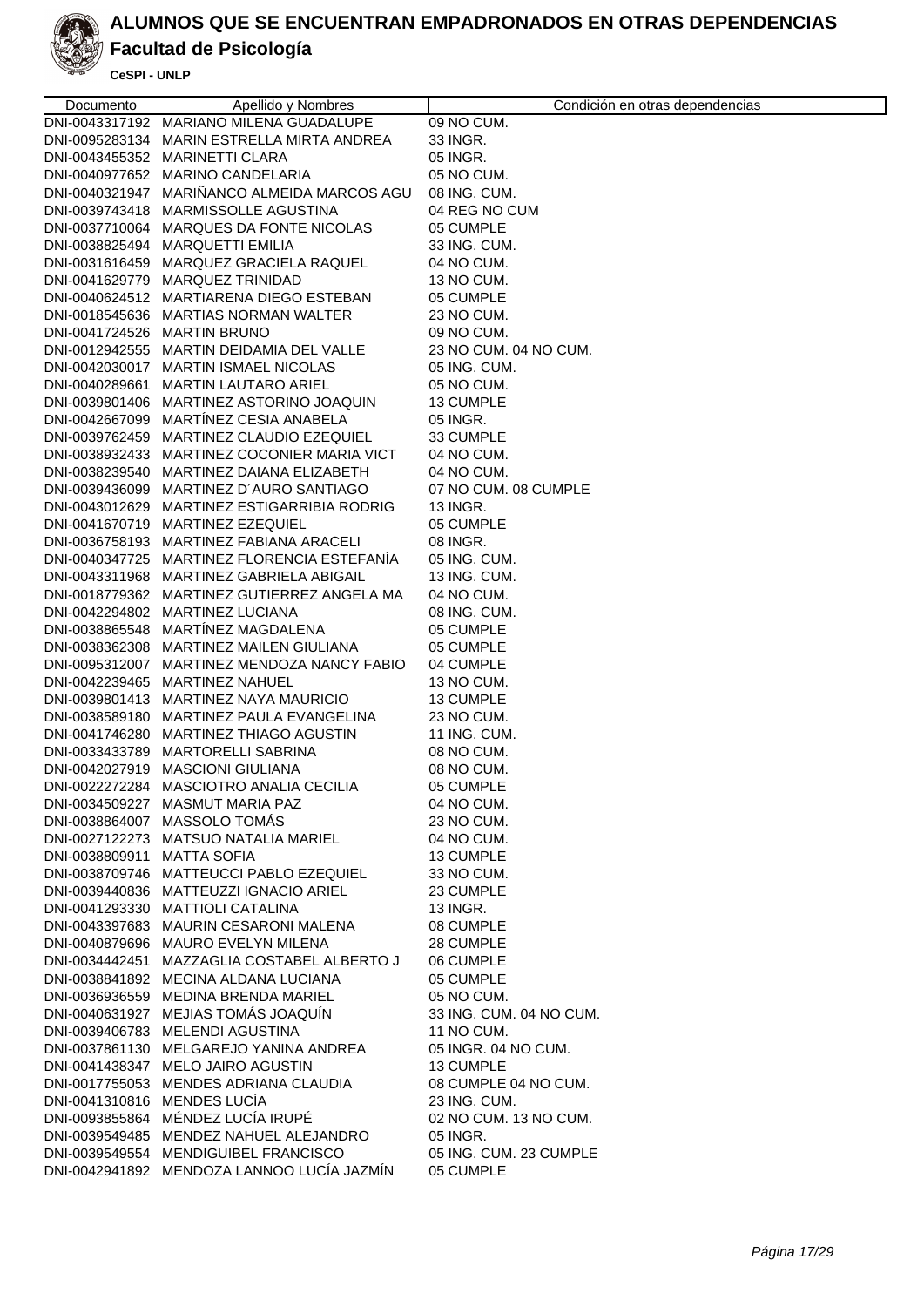

# **Facultad de Psicología**

| Documento                   | Apellido y Nombres                                                                | Condición en otras dependencias |
|-----------------------------|-----------------------------------------------------------------------------------|---------------------------------|
|                             | DNI-0043317192 MARIANO MILENA GUADALUPE                                           | 09 NO CUM.                      |
|                             | DNI-0095283134 MARIN ESTRELLA MIRTA ANDREA                                        | 33 INGR.                        |
|                             | DNI-0043455352 MARINETTI CLARA                                                    | 05 INGR.                        |
|                             | DNI-0040977652 MARINO CANDELARIA                                                  | 05 NO CUM.                      |
|                             | DNI-0040321947 MARIÑANCO ALMEIDA MARCOS AGU                                       | 08 ING. CUM.                    |
|                             | DNI-0039743418 MARMISSOLLE AGUSTINA                                               | 04 REG NO CUM                   |
|                             | DNI-0037710064 MARQUES DA FONTE NICOLAS                                           | 05 CUMPLE                       |
|                             | DNI-0038825494 MARQUETTI EMILIA                                                   | 33 ING. CUM.                    |
|                             | DNI-0031616459 MARQUEZ GRACIELA RAQUEL                                            | 04 NO CUM.                      |
|                             | DNI-0041629779 MARQUEZ TRINIDAD                                                   | 13 NO CUM.                      |
|                             | DNI-0040624512 MARTIARENA DIEGO ESTEBAN                                           | 05 CUMPLE                       |
|                             | DNI-0018545636 MARTIAS NORMAN WALTER                                              | 23 NO CUM.                      |
| DNI-0041724526 MARTIN BRUNO |                                                                                   | 09 NO CUM.                      |
|                             | DNI-0012942555 MARTIN DEIDAMIA DEL VALLE                                          | 23 NO CUM. 04 NO CUM.           |
|                             | DNI-0042030017 MARTIN ISMAEL NICOLAS                                              | 05 ING. CUM.                    |
|                             | DNI-0040289661 MARTIN LAUTARO ARIEL                                               | 05 NO CUM.                      |
|                             | DNI-0039801406 MARTINEZ ASTORINO JOAQUIN                                          | 13 CUMPLE                       |
|                             | DNI-0042667099 MARTÍNEZ CESIA ANABELA                                             | 05 INGR.                        |
|                             | DNI-0039762459 MARTINEZ CLAUDIO EZEQUIEL                                          | 33 CUMPLE                       |
|                             | DNI-0038932433 MARTINEZ COCONIER MARIA VICT                                       | 04 NO CUM.                      |
|                             | DNI-0038239540 MARTINEZ DAIANA ELIZABETH                                          | 04 NO CUM.                      |
|                             | DNI-0039436099 MARTINEZ D'AURO SANTIAGO                                           | 07 NO CUM. 08 CUMPLE            |
|                             | DNI-0043012629 MARTINEZ ESTIGARRIBIA RODRIG                                       | 13 INGR.                        |
|                             | DNI-0041670719 MARTINEZ EZEQUIEL                                                  | 05 CUMPLE                       |
|                             | DNI-0036758193 MARTINEZ FABIANA ARACELI                                           | 08 INGR.                        |
|                             | DNI-0040347725 MARTINEZ FLORENCIA ESTEFANÍA                                       | 05 ING. CUM.                    |
|                             | DNI-0043311968 MARTINEZ GABRIELA ABIGAIL                                          | 13 ING. CUM.                    |
|                             | DNI-0018779362 MARTINEZ GUTIERREZ ANGELA MA                                       | 04 NO CUM.                      |
|                             | DNI-0042294802 MARTINEZ LUCIANA                                                   | 08 ING. CUM.                    |
|                             | DNI-0038865548 MARTÍNEZ MAGDALENA                                                 | 05 CUMPLE                       |
|                             | DNI-0038362308 MARTINEZ MAILEN GIULIANA                                           | 05 CUMPLE                       |
|                             | DNI-0095312007 MARTINEZ MENDOZA NANCY FABIO                                       | 04 CUMPLE                       |
|                             | DNI-0042239465 MARTINEZ NAHUEL                                                    | 13 NO CUM.                      |
|                             | DNI-0039801413 MARTINEZ NAYA MAURICIO<br>DNI-0038589180 MARTINEZ PAULA EVANGELINA | 13 CUMPLE                       |
|                             |                                                                                   | 23 NO CUM.                      |
|                             | DNI-0041746280 MARTINEZ THIAGO AGUSTIN<br>DNI-0033433789 MARTORELLI SABRINA       | 11 ING. CUM.<br>08 NO CUM.      |
|                             | DNI-0042027919 MASCIONI GIULIANA                                                  | 08 NO CUM.                      |
|                             | DNI-0022272284 MASCIOTRO ANALIA CECILIA                                           | 05 CUMPLE                       |
|                             | DNI-0034509227 MASMUT MARIA PAZ                                                   | 04 NO CUM.                      |
|                             | DNI-0038864007 MASSOLO TOMAS                                                      | 23 NO CUM.                      |
|                             | DNI-0027122273 MATSUO NATALIA MARIEL                                              | 04 NO CUM.                      |
| DNI-0038809911 MATTA SOFIA  |                                                                                   | 13 CUMPLE                       |
|                             | DNI-0038709746 MATTEUCCI PABLO EZEQUIEL                                           | 33 NO CUM.                      |
|                             | DNI-0039440836 MATTEUZZI IGNACIO ARIEL                                            | 23 CUMPLE                       |
|                             | DNI-0041293330 MATTIOLI CATALINA                                                  | 13 INGR.                        |
|                             | DNI-0043397683 MAURIN CESARONI MALENA                                             | 08 CUMPLE                       |
|                             | DNI-0040879696 MAURO EVELYN MILENA                                                | 28 CUMPLE                       |
|                             | DNI-0034442451 MAZZAGLIA COSTABEL ALBERTO J                                       | 06 CUMPLE                       |
|                             | DNI-0038841892 MECINA ALDANA LUCIANA                                              | 05 CUMPLE                       |
|                             | DNI-0036936559 MEDINA BRENDA MARIEL                                               | 05 NO CUM.                      |
|                             | DNI-0040631927 MEJIAS TOMÁS JOAQUÍN                                               | 33 ING. CUM. 04 NO CUM.         |
|                             | DNI-0039406783 MELENDI AGUSTINA                                                   | 11 NO CUM.                      |
|                             | DNI-0037861130 MELGAREJO YANINA ANDREA                                            | 05 INGR. 04 NO CUM.             |
|                             | DNI-0041438347 MELO JAIRO AGUSTIN                                                 | 13 CUMPLE                       |
|                             | DNI-0017755053 MENDES ADRIANA CLAUDIA                                             | 08 CUMPLE 04 NO CUM.            |
| DNI-0041310816 MENDES LUCÍA |                                                                                   | 23 ING. CUM.                    |
|                             | DNI-0093855864 MÉNDEZ LUCÍA IRUPÉ                                                 | 02 NO CUM. 13 NO CUM.           |
|                             | DNI-0039549485 MENDEZ NAHUEL ALEJANDRO                                            | 05 INGR.                        |
|                             | DNI-0039549554 MENDIGUIBEL FRANCISCO                                              | 05 ING. CUM. 23 CUMPLE          |
|                             | DNI-0042941892 MENDOZA LANNOO LUCÍA JAZMÍN                                        | 05 CUMPLE                       |
|                             |                                                                                   |                                 |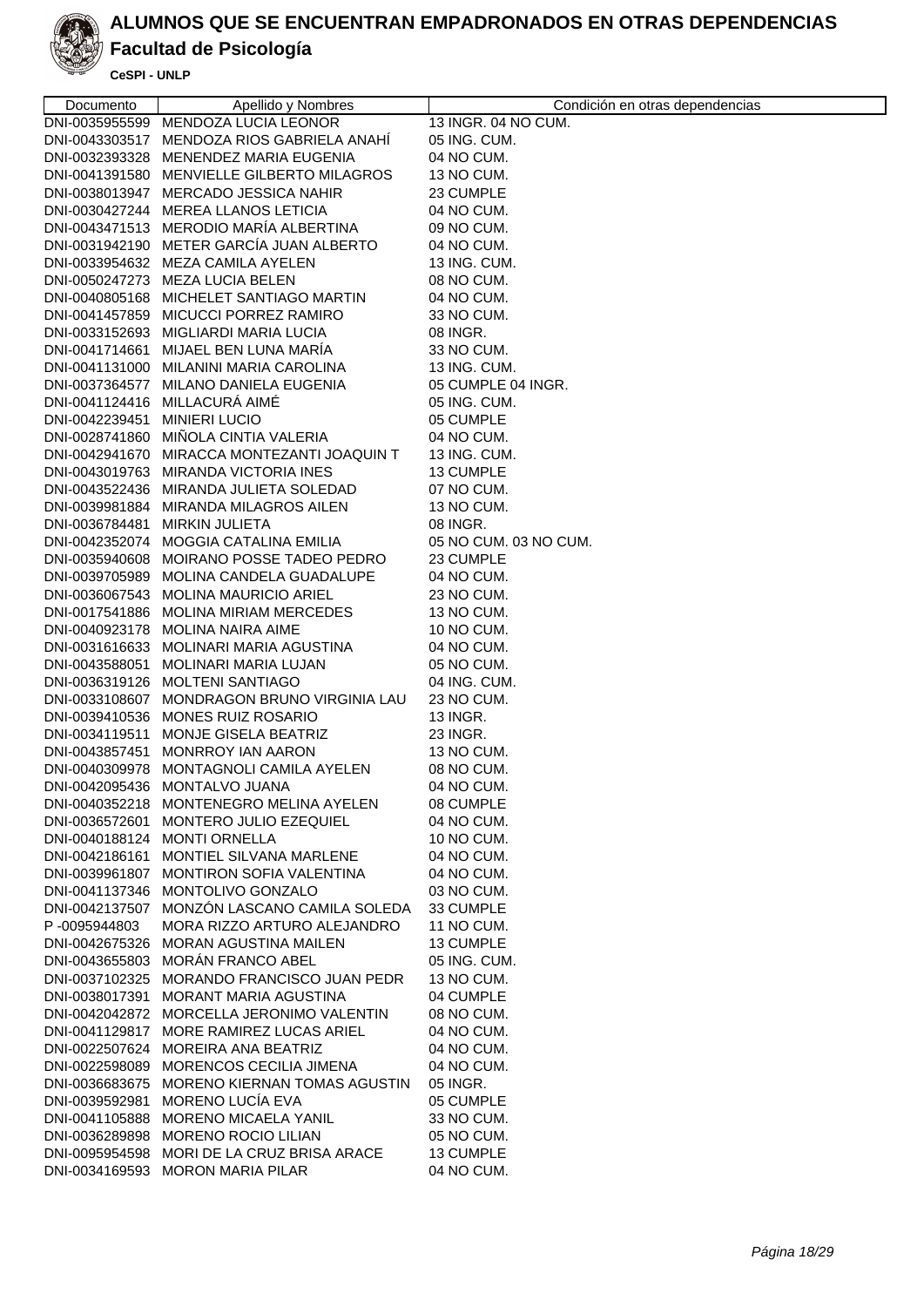

### **Facultad de Psicología**

| Documento                     | Apellido y Nombres                          | Condición en otras dependencias |
|-------------------------------|---------------------------------------------|---------------------------------|
| DNI-0035955599                | MENDOZA LUCIA LEONOR                        | 13 INGR. 04 NO CUM.             |
| DNI-0043303517                | MENDOZA RIOS GABRIELA ANAHI                 | 05 ING. CUM.                    |
|                               | DNI-0032393328 MENENDEZ MARIA EUGENIA       | 04 NO CUM.                      |
|                               | DNI-0041391580 MENVIELLE GILBERTO MILAGROS  | 13 NO CUM.                      |
|                               | DNI-0038013947 MERCADO JESSICA NAHIR        | 23 CUMPLE                       |
|                               | DNI-0030427244 MEREA LLANOS LETICIA         | 04 NO CUM.                      |
|                               | DNI-0043471513 MERODIO MARÍA ALBERTINA      | 09 NO CUM.                      |
|                               | DNI-0031942190 METER GARCÍA JUAN ALBERTO    | 04 NO CUM.                      |
|                               | DNI-0033954632 MEZA CAMILA AYELEN           | 13 ING. CUM.                    |
|                               | DNI-0050247273 MEZA LUCIA BELEN             | 08 NO CUM.                      |
|                               | DNI-0040805168 MICHELET SANTIAGO MARTIN     | 04 NO CUM.                      |
|                               | DNI-0041457859 MICUCCI PORREZ RAMIRO        | 33 NO CUM.                      |
|                               | DNI-0033152693 MIGLIARDI MARIA LUCIA        | 08 INGR.                        |
|                               | DNI-0041714661 MIJAEL BEN LUNA MARIA        | 33 NO CUM.                      |
|                               | DNI-0041131000 MILANINI MARIA CAROLINA      | 13 ING. CUM.                    |
|                               | DNI-0037364577 MILANO DANIELA EUGENIA       | 05 CUMPLE 04 INGR.              |
|                               | DNI-0041124416 MILLACURÁ AIMÉ               | 05 ING. CUM.                    |
| DNI-0042239451                | <b>MINIERI LUCIO</b>                        | 05 CUMPLE                       |
|                               | DNI-0028741860 MIÑOLA CINTIA VALERIA        | 04 NO CUM.                      |
|                               | DNI-0042941670 MIRACCA MONTEZANTI JOAQUIN T | 13 ING. CUM.                    |
|                               | DNI-0043019763 MIRANDA VICTORIA INES        | 13 CUMPLE                       |
|                               | DNI-0043522436 MIRANDA JULIETA SOLEDAD      | 07 NO CUM.                      |
|                               | DNI-0039981884 MIRANDA MILAGROS AILEN       | 13 NO CUM.                      |
| DNI-0036784481 MIRKIN JULIETA |                                             | 08 INGR.                        |
|                               | DNI-0042352074 MOGGIA CATALINA EMILIA       | 05 NO CUM. 03 NO CUM.           |
|                               | DNI-0035940608 MOIRANO POSSE TADEO PEDRO    | 23 CUMPLE                       |
|                               | DNI-0039705989 MOLINA CANDELA GUADALUPE     | 04 NO CUM.                      |
|                               | DNI-0036067543 MOLINA MAURICIO ARIEL        | 23 NO CUM.                      |
|                               | DNI-0017541886 MOLINA MIRIAM MERCEDES       | 13 NO CUM.                      |
|                               | DNI-0040923178 MOLINA NAIRA AIME            | 10 NO CUM.                      |
|                               | DNI-0031616633 MOLINARI MARIA AGUSTINA      | 04 NO CUM.                      |
|                               | DNI-0043588051 MOLINARI MARIA LUJAN         | 05 NO CUM.                      |
|                               | DNI-0036319126 MOLTENI SANTIAGO             | 04 ING. CUM.                    |
|                               | DNI-0033108607 MONDRAGON BRUNO VIRGINIA LAU | 23 NO CUM.                      |
|                               | DNI-0039410536 MONES RUIZ ROSARIO           | 13 INGR.                        |
| DNI-0034119511                | MONJE GISELA BEATRIZ                        | 23 INGR.                        |
| DNI-0043857451                | <b>MONRROY IAN AARON</b>                    | 13 NO CUM.                      |
|                               | DNI-0040309978 MONTAGNOLI CAMILA AYELEN     | 08 NO CUM.                      |
|                               | DNI-0042095436 MONTALVO JUANA               | 04 NO CUM.                      |
|                               | DNI-0040352218 MONTENEGRO MELINA AYELEN     | 08 CUMPLE                       |
| DNI-0036572601                | MONTERO JULIO EZEQUIEL                      | 04 NO CUM.                      |
|                               | DNI-0040188124 MONTI ORNELLA                | 10 NO CUM.                      |
|                               | DNI-0042186161 MONTIEL SILVANA MARLENE      | 04 NO CUM.                      |
|                               | DNI-0039961807 MONTIRON SOFIA VALENTINA     | 04 NO CUM.                      |
|                               | DNI-0041137346 MONTOLIVO GONZALO            | 03 NO CUM.                      |
|                               | DNI-0042137507 MONZÓN LASCANO CAMILA SOLEDA | 33 CUMPLE                       |
| P-0095944803                  | MORA RIZZO ARTURO ALEJANDRO                 | 11 NO CUM.                      |
|                               | DNI-0042675326 MORAN AGUSTINA MAILEN        | 13 CUMPLE                       |
|                               | DNI-0043655803 MORÁN FRANCO ABEL            | 05 ING. CUM.                    |
|                               | DNI-0037102325 MORANDO FRANCISCO JUAN PEDR  | 13 NO CUM.                      |
|                               | DNI-0038017391 MORANT MARIA AGUSTINA        | 04 CUMPLE                       |
|                               | DNI-0042042872 MORCELLA JERONIMO VALENTIN   | 08 NO CUM.                      |
|                               | DNI-0041129817 MORE RAMIREZ LUCAS ARIEL     | 04 NO CUM.                      |
|                               | DNI-0022507624 MOREIRA ANA BEATRIZ          | 04 NO CUM.                      |
|                               | DNI-0022598089 MORENCOS CECILIA JIMENA      | 04 NO CUM.                      |
|                               | DNI-0036683675 MORENO KIERNAN TOMAS AGUSTIN | 05 INGR.                        |
|                               | DNI-0039592981 MORENO LUCÍA EVA             | 05 CUMPLE                       |
|                               | DNI-0041105888 MORENO MICAELA YANIL         | 33 NO CUM.                      |
|                               | DNI-0036289898 MORENO ROCIO LILIAN          | 05 NO CUM.                      |
|                               | DNI-0095954598 MORI DE LA CRUZ BRISA ARACE  | 13 CUMPLE                       |
| DNI-0034169593                | <b>MORON MARIA PILAR</b>                    | 04 NO CUM.                      |
|                               |                                             |                                 |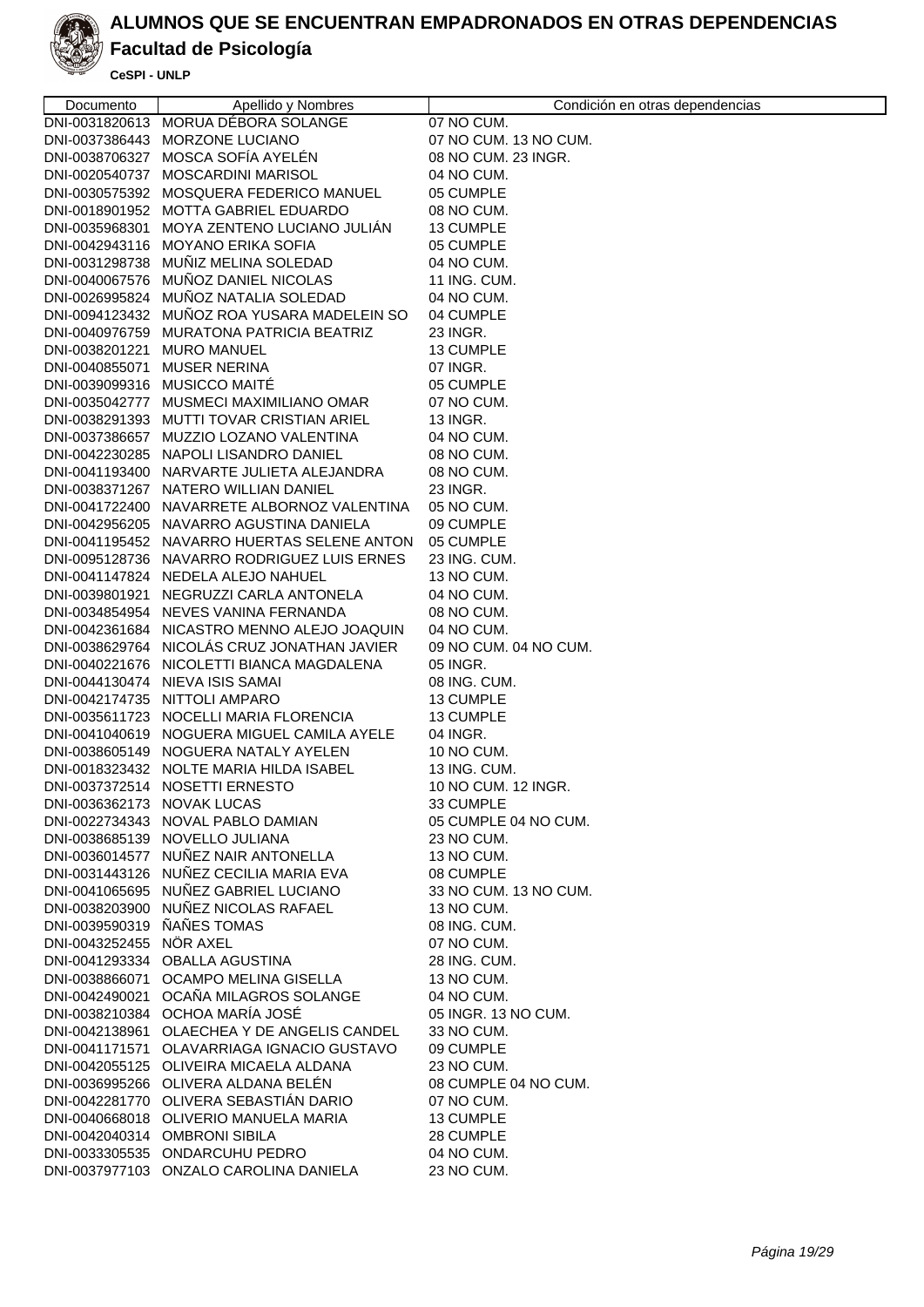

### **Facultad de Psicología**

| Documento                   | Apellido y Nombres                                                                   | Condición en otras dependencias |
|-----------------------------|--------------------------------------------------------------------------------------|---------------------------------|
|                             | DNI-0031820613 MORUA DÉBORA SOLANGE                                                  | 07 NO CUM.                      |
|                             | DNI-0037386443 MORZONE LUCIANO                                                       | 07 NO CUM. 13 NO CUM.           |
|                             | DNI-0038706327 MOSCA SOFÍA AYELÉN                                                    | 08 NO CUM. 23 INGR.             |
|                             | DNI-0020540737 MOSCARDINI MARISOL                                                    | 04 NO CUM.                      |
|                             | DNI-0030575392 MOSQUERA FEDERICO MANUEL                                              | 05 CUMPLE                       |
|                             | DNI-0018901952 MOTTA GABRIEL EDUARDO                                                 | 08 NO CUM.                      |
|                             | DNI-0035968301 MOYA ZENTENO LUCIANO JULIAN                                           | 13 CUMPLE                       |
|                             | DNI-0042943116 MOYANO ERIKA SOFIA                                                    | 05 CUMPLE                       |
|                             | DNI-0031298738 MUÑIZ MELINA SOLEDAD                                                  | 04 NO CUM.                      |
|                             | DNI-0040067576 MUÑOZ DANIEL NICOLAS                                                  | 11 ING. CUM.                    |
|                             | DNI-0026995824 MUÑOZ NATALIA SOLEDAD                                                 | 04 NO CUM.                      |
|                             | DNI-0094123432 MUÑOZ ROA YUSARA MADELEIN SO                                          | 04 CUMPLE                       |
|                             | DNI-0040976759 MURATONA PATRICIA BEATRIZ                                             | 23 INGR.                        |
| DNI-0038201221 MURO MANUEL  |                                                                                      | 13 CUMPLE                       |
| DNI-0040855071 MUSER NERINA |                                                                                      | 07 INGR.                        |
|                             | DNI-0039099316 MUSICCO MAITÉ                                                         | 05 CUMPLE                       |
|                             | DNI-0035042777 MUSMECI MAXIMILIANO OMAR                                              | 07 NO CUM.                      |
|                             | DNI-0038291393 MUTTI TOVAR CRISTIAN ARIEL                                            | 13 INGR.                        |
|                             | DNI-0037386657 MUZZIO LOZANO VALENTINA                                               | 04 NO CUM.                      |
|                             | DNI-0042230285 NAPOLI LISANDRO DANIEL                                                | 08 NO CUM.                      |
|                             | DNI-0041193400 NARVARTE JULIETA ALEJANDRA                                            | 08 NO CUM.                      |
|                             | DNI-0038371267 NATERO WILLIAN DANIEL                                                 | 23 INGR.                        |
|                             | DNI-0041722400 NAVARRETE ALBORNOZ VALENTINA                                          | 05 NO CUM.                      |
|                             | DNI-0042956205 NAVARRO AGUSTINA DANIELA                                              | 09 CUMPLE                       |
|                             | DNI-0041195452 NAVARRO HUERTAS SELENE ANTON                                          | 05 CUMPLE                       |
|                             | DNI-0095128736 NAVARRO RODRIGUEZ LUIS ERNES                                          | 23 ING. CUM.                    |
|                             | DNI-0041147824 NEDELA ALEJO NAHUEL                                                   | 13 NO CUM.                      |
|                             | DNI-0039801921 NEGRUZZI CARLA ANTONELA                                               | 04 NO CUM.                      |
|                             | DNI-0034854954 NEVES VANINA FERNANDA                                                 | 08 NO CUM.                      |
|                             | DNI-0042361684 NICASTRO MENNO ALEJO JOAQUIN                                          | 04 NO CUM.                      |
|                             | DNI-0038629764 NICOLÁS CRUZ JONATHAN JAVIER                                          | 09 NO CUM. 04 NO CUM.           |
|                             | DNI-0040221676 NICOLETTI BIANCA MAGDALENA                                            | 05 INGR.                        |
|                             | DNI-0044130474 NIEVA ISIS SAMAI                                                      | 08 ING. CUM.                    |
|                             | DNI-0042174735 NITTOLI AMPARO                                                        | 13 CUMPLE                       |
|                             | DNI-0035611723 NOCELLI MARIA FLORENCIA<br>DNI-0041040619 NOGUERA MIGUEL CAMILA AYELE | 13 CUMPLE<br>04 INGR.           |
|                             | DNI-0038605149 NOGUERA NATALY AYELEN                                                 |                                 |
|                             | DNI-0018323432 NOLTE MARIA HILDA ISABEL                                              | 10 NO CUM.<br>13 ING. CUM.      |
|                             | DNI-0037372514 NOSETTI ERNESTO                                                       | 10 NO CUM, 12 INGR.             |
| DNI-0036362173 NOVAK LUCAS  |                                                                                      | 33 CUMPLE                       |
|                             | DNI-0022734343 NOVAL PABLO DAMIAN                                                    | 05 CUMPLE 04 NO CUM.            |
|                             | DNI-0038685139 NOVELLO JULIANA                                                       | 23 NO CUM.                      |
|                             | DNI-0036014577 NUÑEZ NAIR ANTONELLA                                                  | 13 NO CUM.                      |
|                             | DNI-0031443126 NUÑEZ CECILIA MARIA EVA                                               | 08 CUMPLE                       |
|                             | DNI-0041065695 NUÑEZ GABRIEL LUCIANO                                                 | 33 NO CUM, 13 NO CUM.           |
|                             | DNI-0038203900 NUÑEZ NICOLAS RAFAEL                                                  | 13 NO CUM.                      |
| DNI-0039590319 NANES TOMAS  |                                                                                      | 08 ING. CUM.                    |
| DNI-0043252455 NÖR AXEL     |                                                                                      | 07 NO CUM.                      |
|                             | DNI-0041293334 OBALLA AGUSTINA                                                       | 28 ING. CUM.                    |
|                             | DNI-0038866071 OCAMPO MELINA GISELLA                                                 | 13 NO CUM.                      |
|                             | DNI-0042490021 OCAÑA MILAGROS SOLANGE                                                | 04 NO CUM.                      |
|                             | DNI-0038210384 OCHOA MARÍA JOSÉ                                                      | 05 INGR. 13 NO CUM.             |
|                             | DNI-0042138961 OLAECHEA Y DE ANGELIS CANDEL                                          | 33 NO CUM.                      |
|                             | DNI-0041171571 OLAVARRIAGA IGNACIO GUSTAVO                                           | 09 CUMPLE                       |
|                             | DNI-0042055125 OLIVEIRA MICAELA ALDANA                                               | 23 NO CUM.                      |
|                             | DNI-0036995266 OLIVERA ALDANA BELÉN                                                  | 08 CUMPLE 04 NO CUM.            |
|                             | DNI-0042281770 OLIVERA SEBASTIÁN DARIO                                               | 07 NO CUM.                      |
|                             | DNI-0040668018 OLIVERIO MANUELA MARIA                                                | 13 CUMPLE                       |
|                             | DNI-0042040314 OMBRONI SIBILA                                                        | 28 CUMPLE                       |
|                             | DNI-0033305535 ONDARCUHU PEDRO                                                       | 04 NO CUM.                      |
|                             | DNI-0037977103 ONZALO CAROLINA DANIELA                                               | 23 NO CUM.                      |
|                             |                                                                                      |                                 |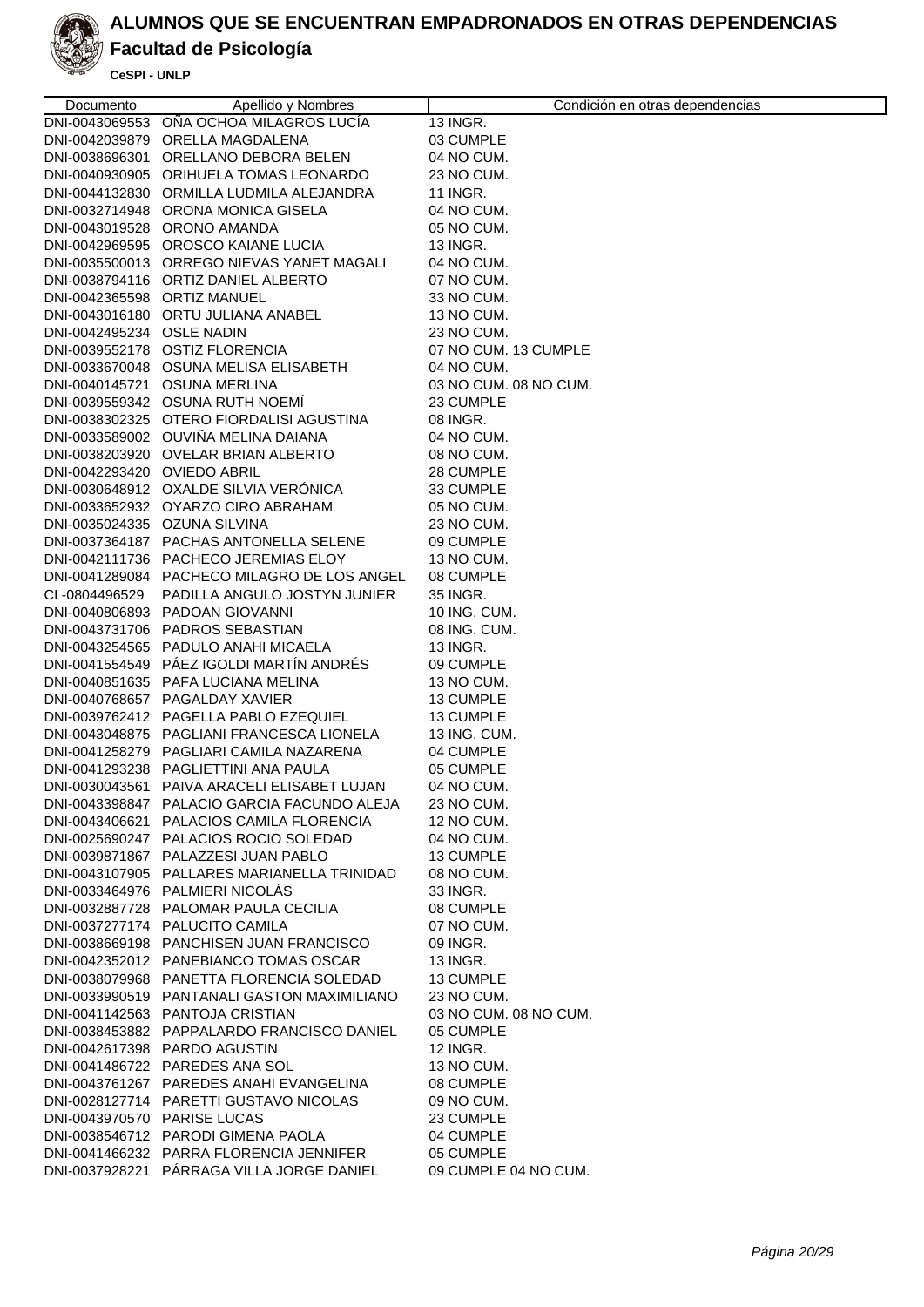

# **Facultad de Psicología**

| Documento                    | Apellido y Nombres                                                                      | Condición en otras dependencias |
|------------------------------|-----------------------------------------------------------------------------------------|---------------------------------|
|                              | DNI-0043069553 OÑA OCHOA MILAGROS LUCÍA                                                 | 13 INGR.                        |
|                              | DNI-0042039879 ORELLA MAGDALENA                                                         | 03 CUMPLE                       |
|                              | DNI-0038696301 ORELLANO DEBORA BELEN                                                    | 04 NO CUM.                      |
|                              | DNI-0040930905 ORIHUELA TOMAS LEONARDO                                                  | 23 NO CUM.                      |
|                              | DNI-0044132830 ORMILLA LUDMILA ALEJANDRA                                                | 11 INGR.                        |
|                              | DNI-0032714948 ORONA MONICA GISELA                                                      | 04 NO CUM.                      |
|                              | DNI-0043019528 ORONO AMANDA                                                             | 05 NO CUM.                      |
|                              | DNI-0042969595 OROSCO KAIANE LUCIA                                                      | 13 INGR.                        |
|                              | DNI-0035500013 ORREGO NIEVAS YANET MAGALI                                               | 04 NO CUM.                      |
|                              | DNI-0038794116 ORTIZ DANIEL ALBERTO                                                     | 07 NO CUM.                      |
| DNI-0042365598 ORTIZ MANUEL  |                                                                                         | 33 NO CUM.                      |
|                              | DNI-0043016180 ORTU JULIANA ANABEL                                                      | 13 NO CUM.                      |
| DNI-0042495234 OSLE NADIN    |                                                                                         | 23 NO CUM.                      |
|                              | DNI-0039552178 OSTIZ FLORENCIA                                                          | 07 NO CUM. 13 CUMPLE            |
|                              | DNI-0033670048 OSUNA MELISA ELISABETH                                                   | 04 NO CUM.                      |
|                              | DNI-0040145721 OSUNA MERLINA                                                            | 03 NO CUM. 08 NO CUM.           |
|                              | DNI-0039559342 OSUNA RUTH NOEMI                                                         | 23 CUMPLE                       |
|                              | DNI-0038302325 OTERO FIORDALISI AGUSTINA                                                | 08 INGR.                        |
|                              | DNI-0033589002 OUVIÑA MELINA DAIANA                                                     | 04 NO CUM.                      |
|                              | DNI-0038203920 OVELAR BRIAN ALBERTO                                                     | 08 NO CUM.                      |
| DNI-0042293420 OVIEDO ABRIL  |                                                                                         | 28 CUMPLE                       |
|                              | DNI-0030648912 OXALDE SILVIA VERÓNICA                                                   | 33 CUMPLE                       |
|                              | DNI-0033652932 OYARZO CIRO ABRAHAM                                                      | 05 NO CUM.                      |
| DNI-0035024335 OZUNA SILVINA |                                                                                         | 23 NO CUM.                      |
|                              | DNI-0037364187 PACHAS ANTONELLA SELENE                                                  | 09 CUMPLE                       |
|                              | DNI-0042111736 PACHECO JEREMIAS ELOY                                                    | 13 NO CUM.                      |
|                              | DNI-0041289084 PACHECO MILAGRO DE LOS ANGEL                                             | 08 CUMPLE                       |
| CI-0804496529                | PADILLA ANGULO JOSTYN JUNIER                                                            | 35 INGR.                        |
|                              | DNI-0040806893 PADOAN GIOVANNI                                                          | 10 ING. CUM.                    |
|                              | DNI-0043731706 PADROS SEBASTIAN                                                         | 08 ING. CUM.                    |
|                              | DNI-0043254565 PADULO ANAHI MICAELA                                                     | 13 INGR.                        |
|                              | DNI-0041554549 PÁEZ IGOLDI MARTÍN ANDRÉS                                                | 09 CUMPLE                       |
|                              | DNI-0040851635 PAFA LUCIANA MELINA                                                      | 13 NO CUM.                      |
|                              | DNI-0040768657 PAGALDAY XAVIER                                                          | 13 CUMPLE                       |
|                              | DNI-0039762412 PAGELLA PABLO EZEQUIEL                                                   | 13 CUMPLE                       |
|                              | DNI-0043048875 PAGLIANI FRANCESCA LIONELA                                               | 13 ING. CUM.                    |
|                              | DNI-0041258279 PAGLIARI CAMILA NAZARENA                                                 | 04 CUMPLE                       |
|                              | DNI-0041293238 PAGLIETTINI ANA PAULA                                                    | 05 CUMPLE                       |
|                              | DNI-0030043561 PAIVA ARACELI ELISABET LUJAN                                             | 04 NO CUM.                      |
|                              | DNI-0043398847 PALACIO GARCIA FACUNDO ALEJA<br>DNI-0043406621 PALACIOS CAMILA FLORENCIA | 23 NO CUM.<br>12 NO CUM.        |
|                              | DNI-0025690247 PALACIOS ROCIO SOLEDAD                                                   | 04 NO CUM.                      |
|                              | DNI-0039871867 PALAZZESI JUAN PABLO                                                     | 13 CUMPLE                       |
|                              | DNI-0043107905 PALLARES MARIANELLA TRINIDAD                                             | 08 NO CUM.                      |
|                              | DNI-0033464976 PALMIERI NICOLÁS                                                         | 33 INGR.                        |
|                              | DNI-0032887728 PALOMAR PAULA CECILIA                                                    | 08 CUMPLE                       |
|                              | DNI-0037277174 PALUCITO CAMILA                                                          | 07 NO CUM.                      |
|                              | DNI-0038669198 PANCHISEN JUAN FRANCISCO                                                 | 09 INGR.                        |
|                              | DNI-0042352012 PANEBIANCO TOMAS OSCAR                                                   | 13 INGR.                        |
|                              | DNI-0038079968 PANETTA FLORENCIA SOLEDAD                                                | 13 CUMPLE                       |
|                              | DNI-0033990519 PANTANALI GASTON MAXIMILIANO                                             | 23 NO CUM.                      |
|                              | DNI-0041142563 PANTOJA CRISTIAN                                                         | 03 NO CUM. 08 NO CUM.           |
|                              | DNI-0038453882 PAPPALARDO FRANCISCO DANIEL                                              | 05 CUMPLE                       |
|                              | DNI-0042617398 PARDO AGUSTIN                                                            | <b>12 INGR.</b>                 |
|                              | DNI-0041486722 PAREDES ANA SOL                                                          | 13 NO CUM.                      |
|                              | DNI-0043761267 PAREDES ANAHI EVANGELINA                                                 | 08 CUMPLE                       |
|                              | DNI-0028127714 PARETTI GUSTAVO NICOLAS                                                  | 09 NO CUM.                      |
| DNI-0043970570 PARISE LUCAS  |                                                                                         | 23 CUMPLE                       |
|                              | DNI-0038546712 PARODI GIMENA PAOLA                                                      | 04 CUMPLE                       |
|                              | DNI-0041466232 PARRA FLORENCIA JENNIFER                                                 | 05 CUMPLE                       |
|                              | DNI-0037928221 PÁRRAGA VILLA JORGE DANIEL                                               | 09 CUMPLE 04 NO CUM.            |
|                              |                                                                                         |                                 |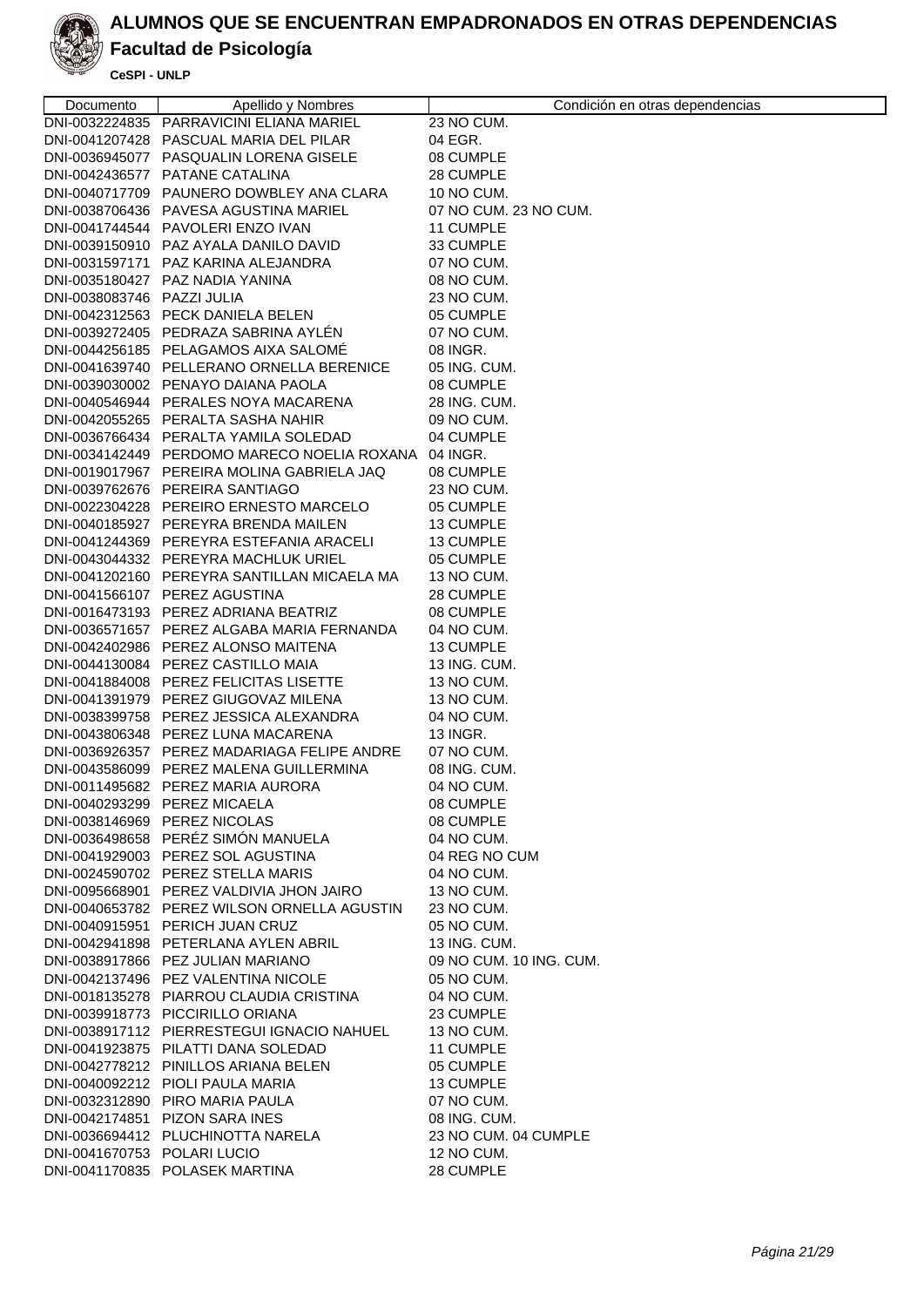

# **Facultad de Psicología**

| Documento                   | Apellido y Nombres                                                | Condición en otras dependencias |
|-----------------------------|-------------------------------------------------------------------|---------------------------------|
|                             | DNI-0032224835 PARRAVICINI ELIANA MARIEL                          | 23 NO CUM.                      |
|                             | DNI-0041207428 PASCUAL MARIA DEL PILAR                            | 04 EGR.                         |
|                             | DNI-0036945077 PASQUALIN LORENA GISELE                            | 08 CUMPLE                       |
|                             | DNI-0042436577 PATANE CATALINA                                    | 28 CUMPLE                       |
|                             | DNI-0040717709 PAUNERO DOWBLEY ANA CLARA                          | 10 NO CUM.                      |
|                             | DNI-0038706436 PAVESA AGUSTINA MARIEL                             | 07 NO CUM. 23 NO CUM.           |
|                             | DNI-0041744544 PAVOLERI ENZO IVAN                                 | 11 CUMPLE                       |
|                             | DNI-0039150910 PAZ AYALA DANILO DAVID                             | 33 CUMPLE                       |
|                             | DNI-0031597171 PAZ KARINA ALEJANDRA                               | 07 NO CUM.                      |
|                             | DNI-0035180427 PAZ NADIA YANINA                                   | 08 NO CUM.                      |
| DNI-0038083746 PAZZI JULIA  |                                                                   | 23 NO CUM.                      |
|                             | DNI-0042312563 PECK DANIELA BELEN                                 | 05 CUMPLE                       |
|                             | DNI-0039272405 PEDRAZA SABRINA AYLÉN                              | 07 NO CUM.                      |
|                             | DNI-0044256185 PELAGAMOS AIXA SALOMÉ                              | 08 INGR.                        |
|                             | DNI-0041639740 PELLERANO ORNELLA BERENICE                         | 05 ING. CUM.                    |
|                             | DNI-0039030002 PENAYO DAIANA PAOLA                                | 08 CUMPLE                       |
|                             | DNI-0040546944 PERALES NOYA MACARENA                              | 28 ING. CUM.                    |
|                             | DNI-0042055265 PERALTA SASHA NAHIR                                | 09 NO CUM.                      |
|                             | DNI-0036766434 PERALTA YAMILA SOLEDAD                             | 04 CUMPLE                       |
|                             | DNI-0034142449 PERDOMO MARECO NOELIA ROXANA                       | 04 INGR.                        |
|                             | DNI-0019017967 PEREIRA MOLINA GABRIELA JAQ                        | 08 CUMPLE                       |
|                             | DNI-0039762676 PEREIRA SANTIAGO                                   | 23 NO CUM.                      |
|                             | DNI-0022304228 PEREIRO ERNESTO MARCELO                            | 05 CUMPLE                       |
|                             | DNI-0040185927 PEREYRA BRENDA MAILEN                              | 13 CUMPLE                       |
|                             | DNI-0041244369 PEREYRA ESTEFANIA ARACELI                          | 13 CUMPLE                       |
|                             | DNI-0043044332 PEREYRA MACHLUK URIEL                              | 05 CUMPLE                       |
|                             | DNI-0041202160 PEREYRA SANTILLAN MICAELA MA                       | 13 NO CUM.                      |
|                             | DNI-0041566107 PEREZ AGUSTINA                                     | 28 CUMPLE                       |
|                             | DNI-0016473193 PEREZ ADRIANA BEATRIZ                              | 08 CUMPLE                       |
|                             | DNI-0036571657 PEREZ ALGABA MARIA FERNANDA                        | 04 NO CUM.                      |
|                             | DNI-0042402986 PEREZ ALONSO MAITENA                               | 13 CUMPLE                       |
|                             | DNI-0044130084 PEREZ CASTILLO MAIA                                | 13 ING. CUM.                    |
|                             | DNI-0041884008 PEREZ FELICITAS LISETTE                            | 13 NO CUM.                      |
|                             | DNI-0041391979 PEREZ GIUGOVAZ MILENA                              | 13 NO CUM.                      |
|                             | DNI-0038399758 PEREZ JESSICA ALEXANDRA                            | 04 NO CUM.                      |
|                             | DNI-0043806348 PEREZ LUNA MACARENA                                | 13 INGR.                        |
|                             | DNI-0036926357 PEREZ MADARIAGA FELIPE ANDRE                       | 07 NO CUM.                      |
|                             | DNI-0043586099 PEREZ MALENA GUILLERMINA                           | 08 ING. CUM.                    |
|                             | DNI-0011495682 PEREZ MARIA AURORA<br>DNI-0040293299 PEREZ MICAELA | 04 NO CUM.                      |
|                             | DNI-0038146969 PEREZ NICOLAS                                      | 08 CUMPLE<br>08 CUMPLE          |
|                             | DNI-0036498658 PERÉZ SIMÓN MANUELA                                | 04 NO CUM.                      |
|                             | DNI-0041929003 PEREZ SOL AGUSTINA                                 | 04 REG NO CUM                   |
|                             | DNI-0024590702 PEREZ STELLA MARIS                                 | 04 NO CUM.                      |
|                             | DNI-0095668901 PEREZ VALDIVIA JHON JAIRO                          | 13 NO CUM.                      |
|                             | DNI-0040653782 PEREZ WILSON ORNELLA AGUSTIN                       | 23 NO CUM.                      |
|                             | DNI-0040915951 PERICH JUAN CRUZ                                   | 05 NO CUM.                      |
|                             | DNI-0042941898 PETERLANA AYLEN ABRIL                              | 13 ING. CUM.                    |
|                             | DNI-0038917866 PEZ JULIAN MARIANO                                 | 09 NO CUM. 10 ING. CUM.         |
|                             | DNI-0042137496 PEZ VALENTINA NICOLE                               | 05 NO CUM.                      |
|                             | DNI-0018135278 PIARROU CLAUDIA CRISTINA                           | 04 NO CUM.                      |
|                             | DNI-0039918773 PICCIRILLO ORIANA                                  | 23 CUMPLE                       |
|                             | DNI-0038917112 PIERRESTEGUI IGNACIO NAHUEL                        | 13 NO CUM.                      |
|                             | DNI-0041923875 PILATTI DANA SOLEDAD                               | 11 CUMPLE                       |
|                             | DNI-0042778212 PINILLOS ARIANA BELEN                              | 05 CUMPLE                       |
|                             | DNI-0040092212 PIOLI PAULA MARIA                                  | 13 CUMPLE                       |
|                             | DNI-0032312890 PIRO MARIA PAULA                                   | 07 NO CUM.                      |
|                             | DNI-0042174851 PIZON SARA INES                                    | 08 ING. CUM.                    |
|                             | DNI-0036694412 PLUCHINOTTA NARELA                                 | 23 NO CUM. 04 CUMPLE            |
| DNI-0041670753 POLARI LUCIO |                                                                   | 12 NO CUM.                      |
|                             | DNI-0041170835 POLASEK MARTINA                                    | 28 CUMPLE                       |
|                             |                                                                   |                                 |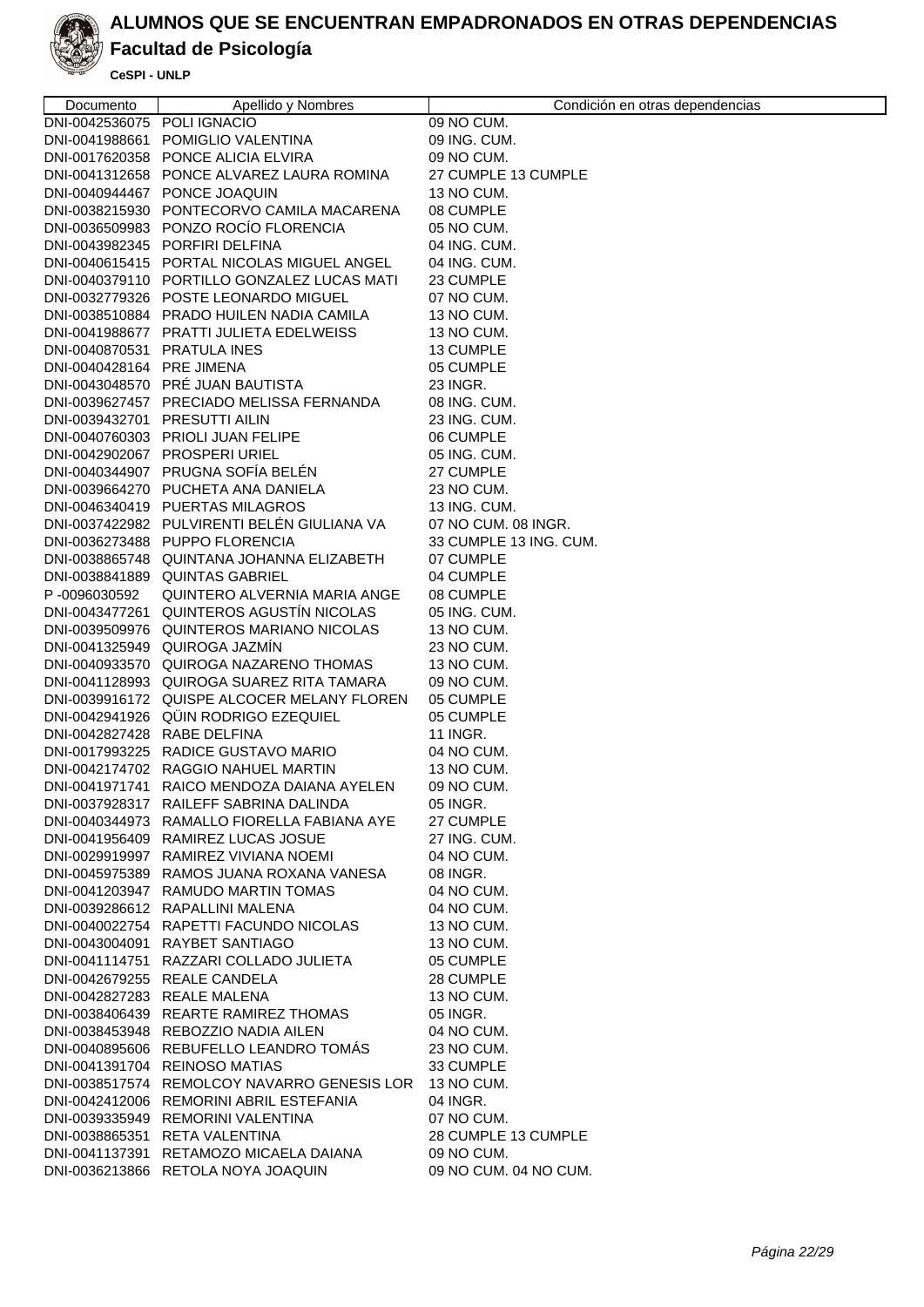

#### **Facultad de Psicología**

| Documento                     | Apellido y Nombres                                                            | Condición en otras dependencias   |
|-------------------------------|-------------------------------------------------------------------------------|-----------------------------------|
| DNI-0042536075 POLI IGNACIO   |                                                                               | 09 NO CUM.                        |
|                               | DNI-0041988661 POMIGLIO VALENTINA                                             | 09 ING. CUM.                      |
|                               | DNI-0017620358 PONCE ALICIA ELVIRA                                            | 09 NO CUM.                        |
|                               | DNI-0041312658 PONCE ALVAREZ LAURA ROMINA                                     | 27 CUMPLE 13 CUMPLE               |
|                               | DNI-0040944467 PONCE JOAQUIN                                                  | 13 NO CUM.                        |
|                               | DNI-0038215930 PONTECORVO CAMILA MACARENA                                     | 08 CUMPLE                         |
|                               | DNI-0036509983 PONZO ROCÍO FLORENCIA                                          | 05 NO CUM.                        |
|                               | DNI-0043982345 PORFIRI DELFINA                                                | 04 ING. CUM.                      |
|                               | DNI-0040615415 PORTAL NICOLAS MIGUEL ANGEL                                    | 04 ING. CUM.                      |
|                               | DNI-0040379110 PORTILLO GONZALEZ LUCAS MATI                                   | 23 CUMPLE                         |
|                               | DNI-0032779326 POSTE LEONARDO MIGUEL                                          | 07 NO CUM.                        |
|                               | DNI-0038510884 PRADO HUILEN NADIA CAMILA                                      | 13 NO CUM.                        |
|                               | DNI-0041988677 PRATTI JULIETA EDELWEISS                                       | 13 NO CUM.                        |
| DNI-0040870531 PRATULA INES   |                                                                               | 13 CUMPLE                         |
| DNI-0040428164 PRE JIMENA     |                                                                               | 05 CUMPLE                         |
|                               | DNI-0043048570 PRÉ JUAN BAUTISTA                                              | 23 INGR.                          |
|                               | DNI-0039627457 PRECIADO MELISSA FERNANDA                                      | 08 ING. CUM.                      |
| DNI-0039432701 PRESUTTI AILIN |                                                                               | 23 ING. CUM.                      |
|                               | DNI-0040760303 PRIOLI JUAN FELIPE                                             | 06 CUMPLE                         |
|                               | DNI-0042902067 PROSPERI URIEL                                                 | 05 ING. CUM.                      |
|                               | DNI-0040344907 PRUGNA SOFÍA BELÉN                                             | 27 CUMPLE                         |
|                               | DNI-0039664270 PUCHETA ANA DANIELA                                            | 23 NO CUM.                        |
|                               | DNI-0046340419 PUERTAS MILAGROS                                               | 13 ING. CUM.                      |
|                               | DNI-0037422982 PULVIRENTI BELÉN GIULIANA VA                                   | 07 NO CUM. 08 INGR.               |
|                               | DNI-0036273488 PUPPO FLORENCIA                                                | 33 CUMPLE 13 ING. CUM.            |
|                               | DNI-0038865748 QUINTANA JOHANNA ELIZABETH                                     | 07 CUMPLE                         |
|                               | DNI-0038841889 QUINTAS GABRIEL                                                | 04 CUMPLE                         |
| P-0096030592                  | QUINTERO ALVERNIA MARIA ANGE                                                  | 08 CUMPLE                         |
|                               | DNI-0043477261 QUINTEROS AGUSTÍN NICOLAS                                      | 05 ING. CUM.                      |
|                               | DNI-0039509976 QUINTEROS MARIANO NICOLAS                                      | 13 NO CUM.                        |
|                               | DNI-0041325949 QUIROGA JAZMIN                                                 | 23 NO CUM.                        |
|                               | DNI-0040933570 QUIROGA NAZARENO THOMAS                                        | 13 NO CUM.                        |
|                               | DNI-0041128993 QUIROGA SUAREZ RITA TAMARA                                     | 09 NO CUM.                        |
|                               | DNI-0039916172 QUISPE ALCOCER MELANY FLOREN                                   | 05 CUMPLE                         |
|                               | DNI-0042941926 QÜIN RODRIGO EZEQUIEL                                          | 05 CUMPLE                         |
| DNI-0042827428 RABE DELFINA   |                                                                               | 11 INGR.                          |
|                               | DNI-0017993225 RADICE GUSTAVO MARIO                                           | 04 NO CUM.                        |
|                               | DNI-0042174702 RAGGIO NAHUEL MARTIN                                           | 13 NO CUM.                        |
|                               | DNI-0041971741 RAICO MENDOZA DAIANA AYELEN                                    | 09 NO CUM.                        |
|                               | DNI-0037928317 RAILEFF SABRINA DALINDA                                        | 05 INGR.                          |
|                               | DNI-0040344973 RAMALLO FIORELLA FABIANA AYE                                   | 27 CUMPLE                         |
|                               | DNI-0041956409 RAMIREZ LUCAS JOSUE                                            | 27 ING. CUM.                      |
|                               | DNI-0029919997 RAMIREZ VIVIANA NOEMI                                          | 04 NO CUM.                        |
|                               | DNI-0045975389 RAMOS JUANA ROXANA VANESA                                      | 08 INGR.                          |
|                               | DNI-0041203947 RAMUDO MARTIN TOMAS                                            | 04 NO CUM.                        |
|                               | DNI-0039286612 RAPALLINI MALENA                                               | 04 NO CUM.                        |
|                               | DNI-0040022754 RAPETTI FACUNDO NICOLAS                                        | 13 NO CUM.                        |
|                               | DNI-0043004091 RAYBET SANTIAGO                                                | 13 NO CUM.                        |
|                               | DNI-0041114751 RAZZARI COLLADO JULIETA                                        | 05 CUMPLE                         |
|                               | DNI-0042679255 REALE CANDELA                                                  | 28 CUMPLE                         |
| DNI-0042827283 REALE MALENA   |                                                                               | 13 NO CUM.                        |
|                               | DNI-0038406439 REARTE RAMIREZ THOMAS                                          | 05 INGR.                          |
|                               | DNI-0038453948 REBOZZIO NADIA AILEN<br>DNI-0040895606 REBUFELLO LEANDRO TOMÁS | 04 NO CUM.                        |
|                               |                                                                               | 23 NO CUM.                        |
|                               | DNI-0041391704 REINOSO MATIAS                                                 | 33 CUMPLE                         |
|                               | DNI-0038517574 REMOLCOY NAVARRO GENESIS LOR                                   | 13 NO CUM.                        |
|                               | DNI-0042412006 REMORINI ABRIL ESTEFANIA                                       | 04 INGR.                          |
|                               | DNI-0039335949 REMORINI VALENTINA<br>DNI-0038865351 RETA VALENTINA            | 07 NO CUM.<br>28 CUMPLE 13 CUMPLE |
|                               | DNI-0041137391 RETAMOZO MICAELA DAIANA                                        | 09 NO CUM.                        |
|                               | DNI-0036213866 RETOLA NOYA JOAQUIN                                            | 09 NO CUM. 04 NO CUM.             |
|                               |                                                                               |                                   |
|                               |                                                                               |                                   |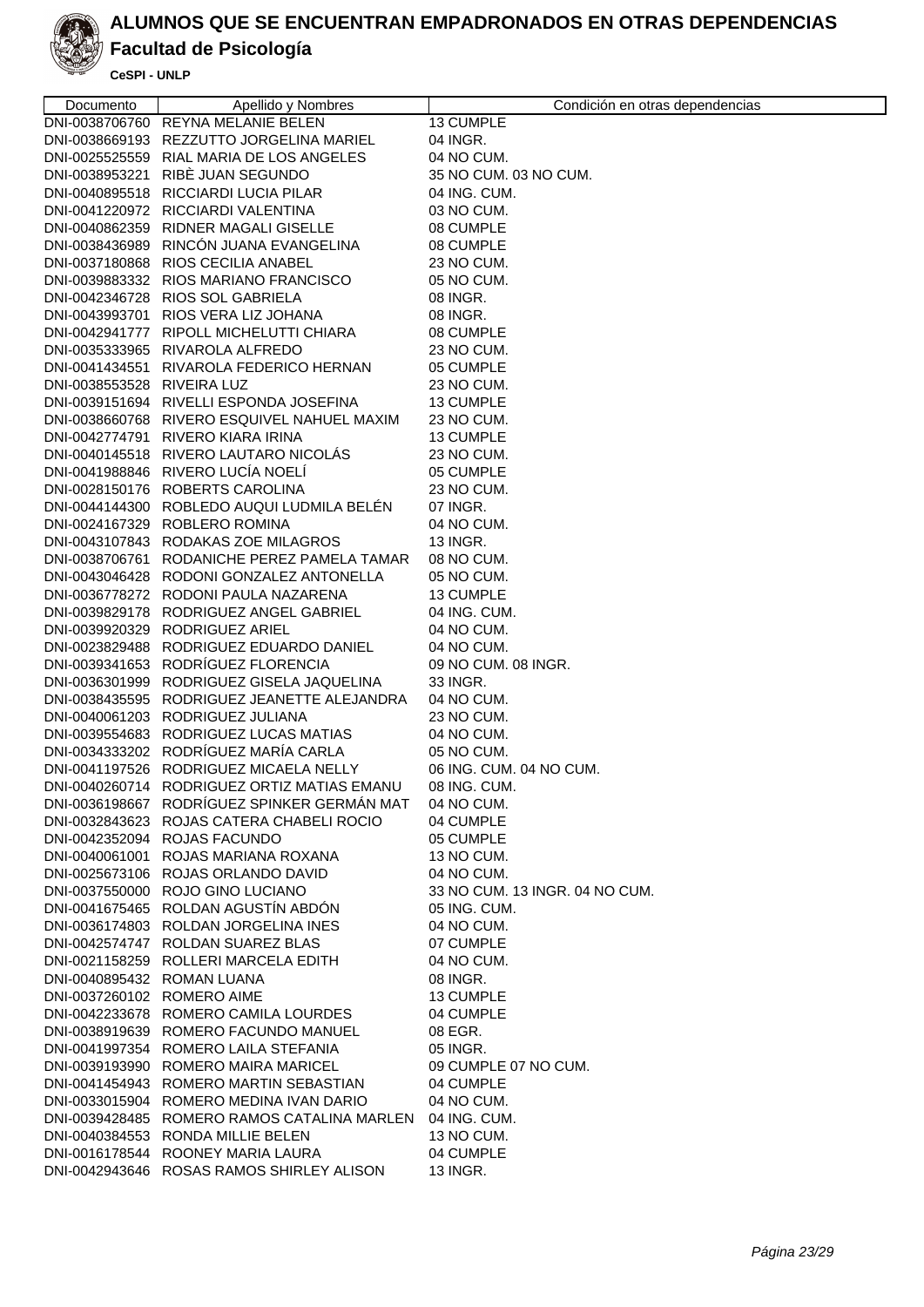

## **Facultad de Psicología**

| Documento                  | Apellido y Nombres                          | Condición en otras dependencias |
|----------------------------|---------------------------------------------|---------------------------------|
|                            | DNI-0038706760 REYNA MELANIE BELEN          | 13 CUMPLE                       |
|                            | DNI-0038669193 REZZUTTO JORGELINA MARIEL    | 04 INGR.                        |
|                            | DNI-0025525559 RIAL MARIA DE LOS ANGELES    | 04 NO CUM.                      |
|                            | DNI-0038953221 RIBE JUAN SEGUNDO            | 35 NO CUM. 03 NO CUM.           |
|                            | DNI-0040895518 RICCIARDI LUCIA PILAR        | 04 ING. CUM.                    |
|                            | DNI-0041220972 RICCIARDI VALENTINA          | 03 NO CUM.                      |
|                            | DNI-0040862359 RIDNER MAGALI GISELLE        | 08 CUMPLE                       |
|                            | DNI-0038436989 RINCÓN JUANA EVANGELINA      | 08 CUMPLE                       |
|                            | DNI-0037180868 RIOS CECILIA ANABEL          | 23 NO CUM.                      |
|                            | DNI-0039883332 RIOS MARIANO FRANCISCO       | 05 NO CUM.                      |
|                            | DNI-0042346728 RIOS SOL GABRIELA            | 08 INGR.                        |
|                            | DNI-0043993701 RIOS VERA LIZ JOHANA         | 08 INGR.                        |
|                            | DNI-0042941777 RIPOLL MICHELUTTI CHIARA     | 08 CUMPLE                       |
|                            | DNI-0035333965 RIVAROLA ALFREDO             | 23 NO CUM.                      |
|                            | DNI-0041434551 RIVAROLA FEDERICO HERNAN     | 05 CUMPLE                       |
| DNI-0038553528 RIVEIRA LUZ |                                             | 23 NO CUM.                      |
|                            | DNI-0039151694 RIVELLI ESPONDA JOSEFINA     | 13 CUMPLE                       |
|                            | DNI-0038660768 RIVERO ESQUIVEL NAHUEL MAXIM | 23 NO CUM.                      |
|                            | DNI-0042774791 RIVERO KIARA IRINA           | 13 CUMPLE                       |
|                            | DNI-0040145518 RIVERO LAUTARO NICOLÁS       | 23 NO CUM.                      |
|                            | DNI-0041988846 RIVERO LUCÍA NOELÍ           | 05 CUMPLE                       |
|                            | DNI-0028150176 ROBERTS CAROLINA             | 23 NO CUM.                      |
|                            | DNI-0044144300 ROBLEDO AUQUI LUDMILA BELEN  | 07 INGR.                        |
|                            | DNI-0024167329 ROBLERO ROMINA               | 04 NO CUM.                      |
|                            | DNI-0043107843 RODAKAS ZOE MILAGROS         | 13 INGR.                        |
|                            | DNI-0038706761 RODANICHE PEREZ PAMELA TAMAR | 08 NO CUM.                      |
|                            | DNI-0043046428 RODONI GONZALEZ ANTONELLA    | 05 NO CUM.                      |
|                            | DNI-0036778272 RODONI PAULA NAZARENA        | 13 CUMPLE                       |
|                            | DNI-0039829178 RODRIGUEZ ANGEL GABRIEL      | 04 ING. CUM.                    |
|                            | DNI-0039920329 RODRIGUEZ ARIEL              | 04 NO CUM.                      |
|                            | DNI-0023829488 RODRIGUEZ EDUARDO DANIEL     | 04 NO CUM.                      |
|                            | DNI-0039341653 RODRÍGUEZ FLORENCIA          | 09 NO CUM. 08 INGR.             |
|                            | DNI-0036301999 RODRIGUEZ GISELA JAQUELINA   | 33 INGR.                        |
|                            | DNI-0038435595 RODRIGUEZ JEANETTE ALEJANDRA | 04 NO CUM.                      |
|                            | DNI-0040061203 RODRIGUEZ JULIANA            | 23 NO CUM.                      |
|                            | DNI-0039554683 RODRIGUEZ LUCAS MATIAS       | 04 NO CUM.                      |
|                            | DNI-0034333202 RODRÍGUEZ MARÍA CARLA        | 05 NO CUM.                      |
|                            | DNI-0041197526 RODRIGUEZ MICAELA NELLY      | 06 ING. CUM. 04 NO CUM.         |
|                            | DNI-0040260714 RODRIGUEZ ORTIZ MATIAS EMANU | 08 ING. CUM.                    |
|                            | DNI-0036198667 RODRÍGUEZ SPINKER GERMÁN MAT | 04 NO CUM.                      |
|                            | DNI-0032843623 ROJAS CATERA CHABELI ROCIO   | 04 CUMPLE                       |
|                            | DNI-0042352094 ROJAS FACUNDO                | 05 CUMPLE                       |
|                            | DNI-0040061001 ROJAS MARIANA ROXANA         | 13 NO CUM.                      |
|                            | DNI-0025673106 ROJAS ORLANDO DAVID          | 04 NO CUM.                      |
|                            | DNI-0037550000 ROJO GINO LUCIANO            | 33 NO CUM. 13 INGR. 04 NO CUM.  |
|                            | DNI-0041675465 ROLDAN AGUSTÍN ABDÓN         | 05 ING. CUM.                    |
|                            | DNI-0036174803 ROLDAN JORGELINA INES        | 04 NO CUM.                      |
|                            | DNI-0042574747 ROLDAN SUAREZ BLAS           | 07 CUMPLE                       |
|                            | DNI-0021158259 ROLLERI MARCELA EDITH        | 04 NO CUM.                      |
| DNI-0040895432 ROMAN LUANA |                                             | 08 INGR.                        |
| DNI-0037260102 ROMERO AIME |                                             | 13 CUMPLE                       |
|                            | DNI-0042233678 ROMERO CAMILA LOURDES        | 04 CUMPLE                       |
|                            | DNI-0038919639 ROMERO FACUNDO MANUEL        | 08 EGR.                         |
|                            | DNI-0041997354 ROMERO LAILA STEFANIA        | 05 INGR.                        |
|                            | DNI-0039193990 ROMERO MAIRA MARICEL         | 09 CUMPLE 07 NO CUM.            |
|                            | DNI-0041454943 ROMERO MARTIN SEBASTIAN      | 04 CUMPLE                       |
|                            | DNI-0033015904 ROMERO MEDINA IVAN DARIO     | 04 NO CUM.                      |
|                            | DNI-0039428485 ROMERO RAMOS CATALINA MARLEN | 04 ING. CUM.                    |
|                            | DNI-0040384553 RONDA MILLIE BELEN           | 13 NO CUM.                      |
|                            | DNI-0016178544 ROONEY MARIA LAURA           | 04 CUMPLE                       |
|                            | DNI-0042943646 ROSAS RAMOS SHIRLEY ALISON   | 13 INGR.                        |
|                            |                                             |                                 |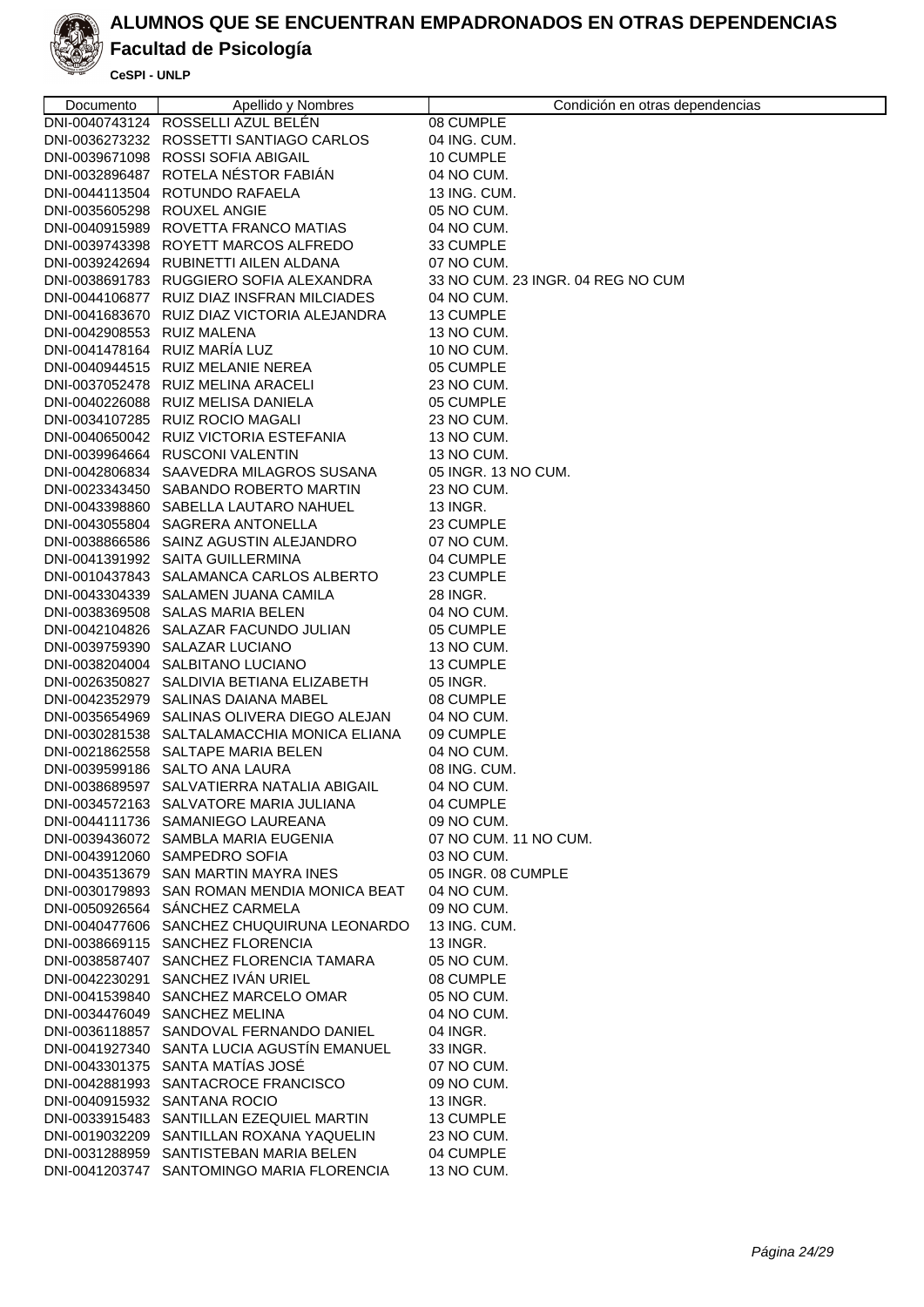

### **Facultad de Psicología**

| Documento                   | Apellido y Nombres                          | Condición en otras dependencias   |
|-----------------------------|---------------------------------------------|-----------------------------------|
|                             | DNI-0040743124 ROSSELLI AZUL BELÉN          | 08 CUMPLE                         |
|                             | DNI-0036273232 ROSSETTI SANTIAGO CARLOS     | 04 ING. CUM.                      |
|                             | DNI-0039671098 ROSSI SOFIA ABIGAIL          | 10 CUMPLE                         |
|                             | DNI-0032896487 ROTELA NÉSTOR FABIÁN         | 04 NO CUM.                        |
|                             | DNI-0044113504 ROTUNDO RAFAELA              | 13 ING. CUM.                      |
| DNI-0035605298 ROUXEL ANGIE |                                             | 05 NO CUM.                        |
|                             | DNI-0040915989 ROVETTA FRANCO MATIAS        | 04 NO CUM.                        |
|                             | DNI-0039743398 ROYETT MARCOS ALFREDO        | 33 CUMPLE                         |
|                             | DNI-0039242694 RUBINETTI AILEN ALDANA       | 07 NO CUM.                        |
|                             | DNI-0038691783 RUGGIERO SOFIA ALEXANDRA     | 33 NO CUM, 23 INGR, 04 REG NO CUM |
|                             | DNI-0044106877 RUIZ DIAZ INSFRAN MILCIADES  | 04 NO CUM.                        |
|                             | DNI-0041683670 RUIZ DIAZ VICTORIA ALEJANDRA | 13 CUMPLE                         |
| DNI-0042908553 RUIZ MALENA  |                                             | 13 NO CUM.                        |
|                             | DNI-0041478164 RUIZ MARÍA LUZ               | 10 NO CUM.                        |
|                             | DNI-0040944515 RUIZ MELANIE NEREA           | 05 CUMPLE                         |
|                             | DNI-0037052478 RUIZ MELINA ARACELI          | 23 NO CUM.                        |
|                             | DNI-0040226088 RUIZ MELISA DANIELA          | 05 CUMPLE                         |
|                             | DNI-0034107285 RUIZ ROCIO MAGALI            | 23 NO CUM.                        |
|                             | DNI-0040650042 RUIZ VICTORIA ESTEFANIA      | 13 NO CUM.                        |
|                             | DNI-0039964664 RUSCONI VALENTIN             | 13 NO CUM.                        |
|                             | DNI-0042806834 SAAVEDRA MILAGROS SUSANA     | 05 INGR. 13 NO CUM.               |
|                             | DNI-0023343450 SABANDO ROBERTO MARTIN       | 23 NO CUM.                        |
|                             | DNI-0043398860 SABELLA LAUTARO NAHUEL       | 13 INGR.                          |
|                             | DNI-0043055804 SAGRERA ANTONELLA            | 23 CUMPLE                         |
|                             | DNI-0038866586 SAINZ AGUSTIN ALEJANDRO      | 07 NO CUM.                        |
|                             | DNI-0041391992 SAITA GUILLERMINA            | 04 CUMPLE                         |
|                             | DNI-0010437843 SALAMANCA CARLOS ALBERTO     | 23 CUMPLE                         |
|                             | DNI-0043304339 SALAMEN JUANA CAMILA         | 28 INGR.                          |
|                             | DNI-0038369508 SALAS MARIA BELEN            | 04 NO CUM.                        |
|                             | DNI-0042104826 SALAZAR FACUNDO JULIAN       | 05 CUMPLE                         |
|                             | DNI-0039759390 SALAZAR LUCIANO              | 13 NO CUM.                        |
|                             | DNI-0038204004 SALBITANO LUCIANO            | 13 CUMPLE                         |
|                             | DNI-0026350827 SALDIVIA BETIANA ELIZABETH   | 05 INGR.                          |
|                             | DNI-0042352979 SALINAS DAIANA MABEL         | 08 CUMPLE                         |
|                             | DNI-0035654969 SALINAS OLIVERA DIEGO ALEJAN | 04 NO CUM.                        |
|                             | DNI-0030281538 SALTALAMACCHIA MONICA ELIANA | 09 CUMPLE                         |
|                             | DNI-0021862558 SALTAPE MARIA BELEN          | 04 NO CUM.                        |
|                             | DNI-0039599186 SALTO ANA LAURA              | 08 ING. CUM.                      |
|                             | DNI-0038689597 SALVATIERRA NATALIA ABIGAIL  | 04 NO CUM.                        |
|                             | DNI-0034572163 SALVATORE MARIA JULIANA      | 04 CUMPLE                         |
|                             | DNI-0044111736 SAMANIEGO LAUREANA           | 09 NO CUM.                        |
|                             | DNI-0039436072 SAMBLA MARIA EUGENIA         | 07 NO CUM. 11 NO CUM.             |
|                             | DNI-0043912060 SAMPEDRO SOFIA               | 03 NO CUM.                        |
|                             | DNI-0043513679 SAN MARTIN MAYRA INES        | 05 INGR. 08 CUMPLE                |
|                             | DNI-0030179893 SAN ROMAN MENDIA MONICA BEAT | 04 NO CUM.                        |
|                             | DNI-0050926564 SÁNCHEZ CARMELA              | 09 NO CUM.                        |
|                             | DNI-0040477606 SANCHEZ CHUQUIRUNA LEONARDO  | 13 ING. CUM.                      |
|                             | DNI-0038669115 SANCHEZ FLORENCIA            | 13 INGR.                          |
|                             | DNI-0038587407 SANCHEZ FLORENCIA TAMARA     | 05 NO CUM.                        |
|                             | DNI-0042230291 SANCHEZ IVÁN URIEL           | 08 CUMPLE                         |
|                             | DNI-0041539840 SANCHEZ MARCELO OMAR         | 05 NO CUM.                        |
|                             | DNI-0034476049 SANCHEZ MELINA               | 04 NO CUM.                        |
|                             | DNI-0036118857 SANDOVAL FERNANDO DANIEL     | 04 INGR.                          |
|                             | DNI-0041927340 SANTA LUCIA AGUSTÍN EMANUEL  | 33 INGR.                          |
|                             | DNI-0043301375 SANTA MATÍAS JOSÉ            | 07 NO CUM.                        |
|                             | DNI-0042881993 SANTACROCE FRANCISCO         | 09 NO CUM.                        |
|                             | DNI-0040915932 SANTANA ROCIO                | 13 INGR.                          |
|                             | DNI-0033915483 SANTILLAN EZEQUIEL MARTIN    | 13 CUMPLE                         |
|                             | DNI-0019032209 SANTILLAN ROXANA YAQUELIN    | 23 NO CUM.                        |
|                             | DNI-0031288959 SANTISTEBAN MARIA BELEN      | 04 CUMPLE                         |
|                             | DNI-0041203747 SANTOMINGO MARIA FLORENCIA   | 13 NO CUM.                        |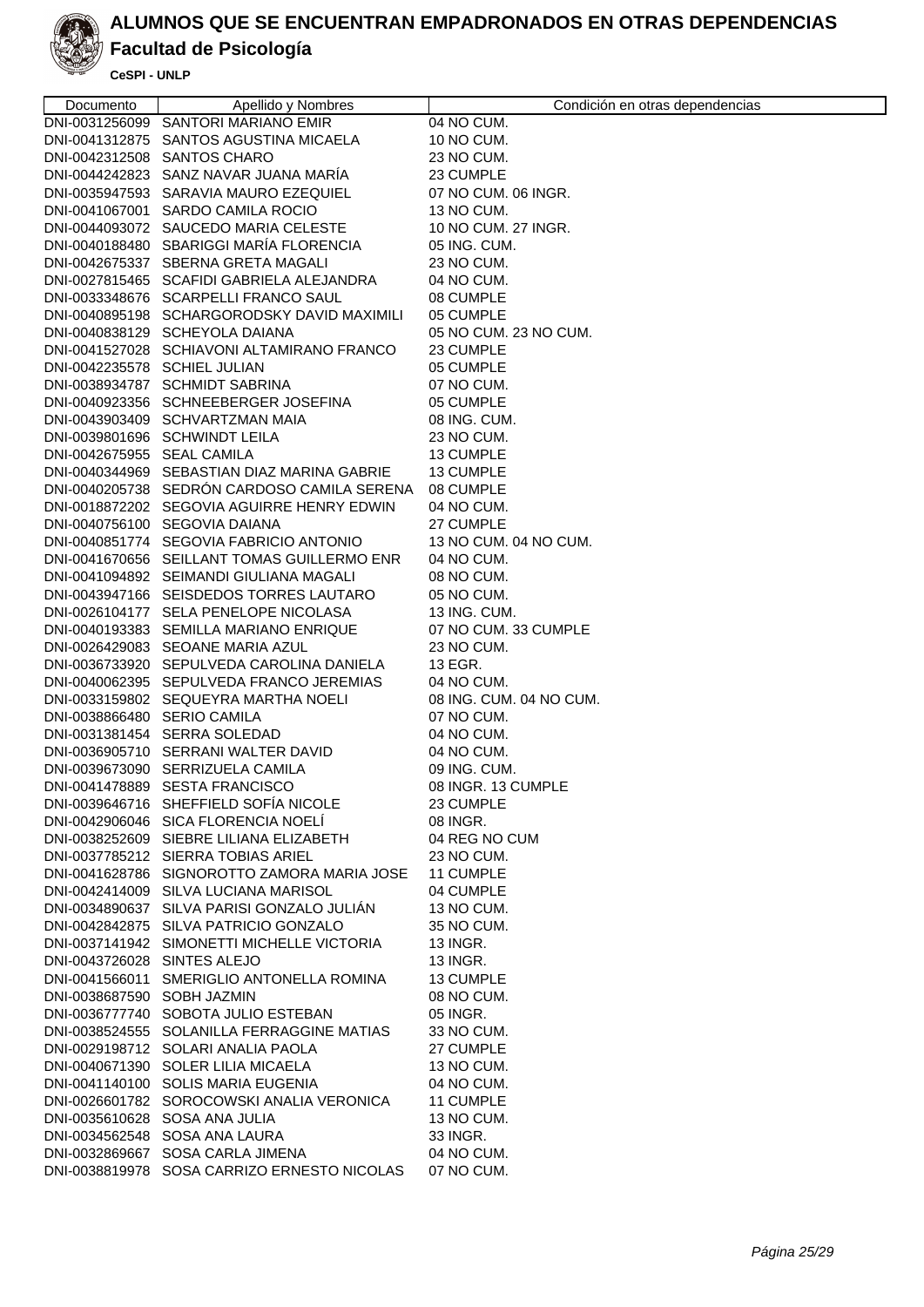

### **Facultad de Psicología**

| Documento                    | Apellido y Nombres                          | Condición en otras dependencias |
|------------------------------|---------------------------------------------|---------------------------------|
|                              | DNI-0031256099 SANTORI MARIANO EMIR         | 04 NO CUM.                      |
|                              | DNI-0041312875 SANTOS AGUSTINA MICAELA      | 10 NO CUM.                      |
|                              | DNI-0042312508 SANTOS CHARO                 | 23 NO CUM.                      |
|                              | DNI-0044242823 SANZ NAVAR JUANA MARÍA       | 23 CUMPLE                       |
|                              | DNI-0035947593 SARAVIA MAURO EZEQUIEL       | 07 NO CUM. 06 INGR.             |
|                              | DNI-0041067001 SARDO CAMILA ROCIO           | 13 NO CUM.                      |
|                              | DNI-0044093072 SAUCEDO MARIA CELESTE        | 10 NO CUM. 27 INGR.             |
|                              | DNI-0040188480 SBARIGGI MARÍA FLORENCIA     | 05 ING. CUM.                    |
|                              | DNI-0042675337 SBERNA GRETA MAGALI          | 23 NO CUM.                      |
|                              | DNI-0027815465 SCAFIDI GABRIELA ALEJANDRA   | 04 NO CUM.                      |
|                              | DNI-0033348676 SCARPELLI FRANCO SAUL        | 08 CUMPLE                       |
|                              | DNI-0040895198 SCHARGORODSKY DAVID MAXIMILI | 05 CUMPLE                       |
|                              | DNI-0040838129 SCHEYOLA DAIANA              | 05 NO CUM. 23 NO CUM.           |
|                              | DNI-0041527028 SCHIAVONI ALTAMIRANO FRANCO  | 23 CUMPLE                       |
| DNI-0042235578 SCHIEL JULIAN |                                             | 05 CUMPLE                       |
|                              | DNI-0038934787 SCHMIDT SABRINA              | 07 NO CUM.                      |
|                              | DNI-0040923356 SCHNEEBERGER JOSEFINA        | 05 CUMPLE                       |
|                              | DNI-0043903409 SCHVARTZMAN MAIA             | 08 ING. CUM.                    |
|                              | DNI-0039801696 SCHWINDT LEILA               | 23 NO CUM.                      |
| DNI-0042675955 SEAL CAMILA   |                                             | 13 CUMPLE                       |
|                              | DNI-0040344969 SEBASTIAN DIAZ MARINA GABRIE | 13 CUMPLE                       |
|                              | DNI-0040205738 SEDRÓN CARDOSO CAMILA SERENA | 08 CUMPLE                       |
|                              | DNI-0018872202 SEGOVIA AGUIRRE HENRY EDWIN  | 04 NO CUM.                      |
|                              | DNI-0040756100 SEGOVIA DAIANA               | 27 CUMPLE                       |
|                              | DNI-0040851774 SEGOVIA FABRICIO ANTONIO     | 13 NO CUM, 04 NO CUM.           |
|                              | DNI-0041670656 SEILLANT TOMAS GUILLERMO ENR | 04 NO CUM.                      |
|                              | DNI-0041094892 SEIMANDI GIULIANA MAGALI     | 08 NO CUM.                      |
|                              | DNI-0043947166 SEISDEDOS TORRES LAUTARO     | 05 NO CUM.                      |
|                              | DNI-0026104177 SELA PENELOPE NICOLASA       | 13 ING. CUM.                    |
|                              | DNI-0040193383 SEMILLA MARIANO ENRIQUE      | 07 NO CUM. 33 CUMPLE            |
|                              | DNI-0026429083 SEOANE MARIA AZUL            | 23 NO CUM.                      |
|                              | DNI-0036733920 SEPULVEDA CAROLINA DANIELA   | 13 EGR.                         |
|                              | DNI-0040062395 SEPULVEDA FRANCO JEREMIAS    | 04 NO CUM.                      |
|                              | DNI-0033159802 SEQUEYRA MARTHA NOELI        | 08 ING, CUM, 04 NO CUM.         |
| DNI-0038866480 SERIO CAMILA  |                                             | 07 NO CUM.                      |
|                              | DNI-0031381454 SERRA SOLEDAD                | 04 NO CUM.                      |
|                              | DNI-0036905710 SERRANI WALTER DAVID         | 04 NO CUM.                      |
|                              | DNI-0039673090 SERRIZUELA CAMILA            | 09 ING. CUM.                    |
|                              | DNI-0041478889 SESTA FRANCISCO              | 08 INGR. 13 CUMPLE              |
|                              | DNI-0039646716 SHEFFIELD SOFÍA NICOLE       | 23 CUMPLE                       |
|                              | DNI-0042906046 SICA FLORENCIA NOELI         | 08 INGR.                        |
|                              | DNI-0038252609 SIEBRE LILIANA ELIZABETH     | 04 REG NO CUM                   |
|                              | DNI-0037785212 SIERRA TOBIAS ARIEL          | 23 NO CUM.                      |
|                              | DNI-0041628786 SIGNOROTTO ZAMORA MARIA JOSE | 11 CUMPLE                       |
|                              | DNI-0042414009 SILVA LUCIANA MARISOL        | 04 CUMPLE                       |
|                              | DNI-0034890637 SILVA PARISI GONZALO JULIÁN  | 13 NO CUM.                      |
|                              | DNI-0042842875 SILVA PATRICIO GONZALO       | 35 NO CUM.                      |
|                              | DNI-0037141942 SIMONETTI MICHELLE VICTORIA  | 13 INGR.                        |
| DNI-0043726028 SINTES ALEJO  |                                             | 13 INGR.                        |
|                              | DNI-0041566011 SMERIGLIO ANTONELLA ROMINA   | 13 CUMPLE                       |
| DNI-0038687590 SOBH JAZMIN   |                                             | 08 NO CUM.                      |
|                              | DNI-0036777740 SOBOTA JULIO ESTEBAN         | 05 INGR.                        |
|                              | DNI-0038524555 SOLANILLA FERRAGGINE MATIAS  | 33 NO CUM.                      |
|                              | DNI-0029198712 SOLARI ANALIA PAOLA          | 27 CUMPLE                       |
|                              | DNI-0040671390 SOLER LILIA MICAELA          | 13 NO CUM.                      |
|                              | DNI-0041140100 SOLIS MARIA EUGENIA          | 04 NO CUM.                      |
|                              | DNI-0026601782 SOROCOWSKI ANALIA VERONICA   | 11 CUMPLE                       |
|                              | DNI-0035610628 SOSA ANA JULIA               | 13 NO CUM.                      |
|                              | DNI-0034562548 SOSA ANA LAURA               | 33 INGR.                        |
|                              | DNI-0032869667 SOSA CARLA JIMENA            | 04 NO CUM.                      |
|                              | DNI-0038819978 SOSA CARRIZO ERNESTO NICOLAS | 07 NO CUM.                      |
|                              |                                             |                                 |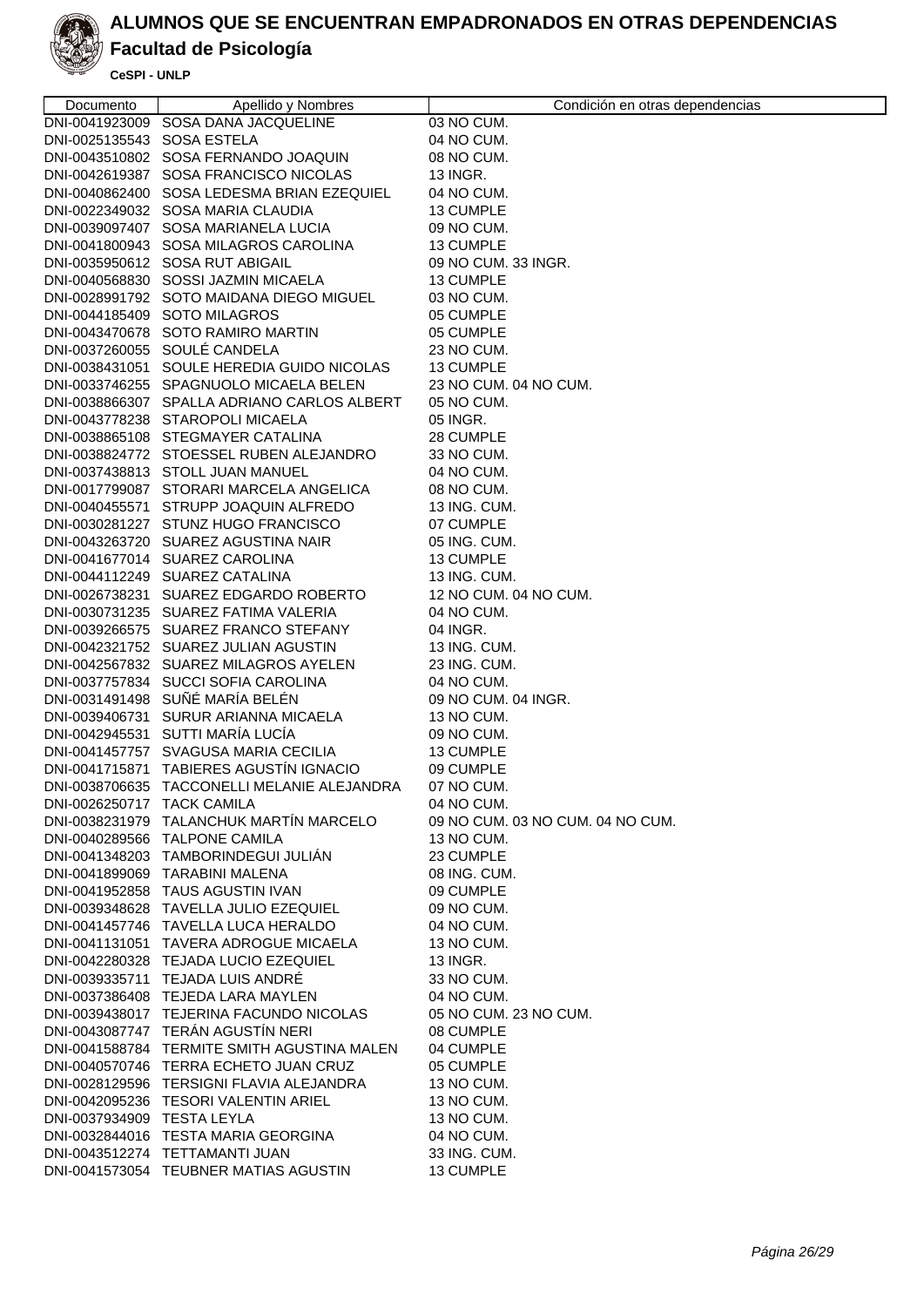

### **Facultad de Psicología**

| Documento                  | Apellido y Nombres                                                            | Condición en otras dependencias  |
|----------------------------|-------------------------------------------------------------------------------|----------------------------------|
|                            | DNI-0041923009 SOSA DANA JACQUELINE                                           | 03 NO CUM.                       |
| DNI-0025135543 SOSA ESTELA |                                                                               | 04 NO CUM.                       |
|                            | DNI-0043510802 SOSA FERNANDO JOAQUIN                                          | 08 NO CUM.                       |
|                            | DNI-0042619387 SOSA FRANCISCO NICOLAS                                         | 13 INGR.                         |
|                            | DNI-0040862400 SOSA LEDESMA BRIAN EZEQUIEL                                    | 04 NO CUM.                       |
|                            | DNI-0022349032 SOSA MARIA CLAUDIA                                             | 13 CUMPLE                        |
|                            | DNI-0039097407 SOSA MARIANELA LUCIA                                           | 09 NO CUM.                       |
|                            | DNI-0041800943 SOSA MILAGROS CAROLINA                                         | 13 CUMPLE                        |
|                            | DNI-0035950612 SOSA RUT ABIGAIL                                               | 09 NO CUM, 33 INGR.              |
|                            | DNI-0040568830 SOSSI JAZMIN MICAELA                                           | 13 CUMPLE                        |
|                            | DNI-0028991792 SOTO MAIDANA DIEGO MIGUEL                                      | 03 NO CUM.                       |
|                            | DNI-0044185409 SOTO MILAGROS                                                  | 05 CUMPLE                        |
|                            | DNI-0043470678 SOTO RAMIRO MARTIN                                             | 05 CUMPLE                        |
|                            | DNI-0037260055 SOULÉ CANDELA                                                  | 23 NO CUM.                       |
|                            | DNI-0038431051 SOULE HEREDIA GUIDO NICOLAS                                    | 13 CUMPLE                        |
|                            | DNI-0033746255 SPAGNUOLO MICAELA BELEN                                        | 23 NO CUM. 04 NO CUM.            |
|                            | DNI-0038866307 SPALLA ADRIANO CARLOS ALBERT                                   | 05 NO CUM.                       |
|                            | DNI-0043778238 STAROPOLI MICAELA                                              | 05 INGR.                         |
|                            | DNI-0038865108 STEGMAYER CATALINA<br>DNI-0038824772 STOESSEL RUBEN ALEJANDRO  | 28 CUMPLE                        |
|                            | DNI-0037438813 STOLL JUAN MANUEL                                              | 33 NO CUM.                       |
|                            | DNI-0017799087 STORARI MARCELA ANGELICA                                       | 04 NO CUM.<br>08 NO CUM.         |
|                            | DNI-0040455571 STRUPP JOAQUIN ALFREDO                                         | 13 ING. CUM.                     |
|                            | DNI-0030281227 STUNZ HUGO FRANCISCO                                           | 07 CUMPLE                        |
|                            | DNI-0043263720 SUAREZ AGUSTINA NAIR                                           | 05 ING. CUM.                     |
|                            | DNI-0041677014 SUAREZ CAROLINA                                                | 13 CUMPLE                        |
|                            | DNI-0044112249 SUAREZ CATALINA                                                | 13 ING. CUM.                     |
|                            | DNI-0026738231 SUAREZ EDGARDO ROBERTO                                         | 12 NO CUM. 04 NO CUM.            |
|                            | DNI-0030731235 SUAREZ FATIMA VALERIA                                          | 04 NO CUM.                       |
|                            | DNI-0039266575 SUAREZ FRANCO STEFANY                                          | 04 INGR.                         |
|                            | DNI-0042321752 SUAREZ JULIAN AGUSTIN                                          | 13 ING. CUM.                     |
|                            | DNI-0042567832 SUAREZ MILAGROS AYELEN                                         | 23 ING. CUM.                     |
|                            | DNI-0037757834 SUCCI SOFIA CAROLINA                                           | 04 NO CUM.                       |
|                            | DNI-0031491498 SUÑÉ MARÍA BELÉN                                               | 09 NO CUM. 04 INGR.              |
|                            | DNI-0039406731 SURUR ARIANNA MICAELA                                          | 13 NO CUM.                       |
|                            | DNI-0042945531 SUTTI MARÍA LUCÍA                                              | 09 NO CUM.                       |
|                            | DNI-0041457757 SVAGUSA MARIA CECILIA                                          | 13 CUMPLE                        |
|                            | DNI-0041715871 TABIERES AGUSTÍN IGNACIO                                       | 09 CUMPLE                        |
|                            | DNI-0038706635 TACCONELLI MELANIE ALEJANDRA                                   | 07 NO CUM.                       |
| DNI-0026250717 TACK CAMILA |                                                                               | 04 NO CUM.                       |
|                            | DNI-0038231979 TALANCHUK MARTIN MARCELO                                       | 09 NO CUM. 03 NO CUM. 04 NO CUM. |
|                            | DNI-0040289566 TALPONE CAMILA                                                 | 13 NO CUM.                       |
|                            | DNI-0041348203 TAMBORINDEGUI JULIAN                                           | 23 CUMPLE                        |
|                            | DNI-0041899069 TARABINI MALENA                                                | 08 ING. CUM.                     |
|                            | DNI-0041952858 TAUS AGUSTIN IVAN                                              | 09 CUMPLE                        |
|                            | DNI-0039348628 TAVELLA JULIO EZEQUIEL                                         | 09 NO CUM.                       |
|                            | DNI-0041457746 TAVELLA LUCA HERALDO                                           | 04 NO CUM.                       |
|                            | DNI-0041131051 TAVERA ADROGUE MICAELA<br>DNI-0042280328 TEJADA LUCIO EZEQUIEL | 13 NO CUM.<br>13 INGR.           |
|                            | DNI-0039335711 TEJADA LUIS ANDRÉ                                              | 33 NO CUM.                       |
|                            | DNI-0037386408 TEJEDA LARA MAYLEN                                             | 04 NO CUM.                       |
|                            | DNI-0039438017 TEJERINA FACUNDO NICOLAS                                       | 05 NO CUM. 23 NO CUM.            |
|                            | DNI-0043087747 TERÁN AGUSTÍN NERI                                             | 08 CUMPLE                        |
|                            | DNI-0041588784 TERMITE SMITH AGUSTINA MALEN                                   | 04 CUMPLE                        |
|                            | DNI-0040570746 TERRA ECHETO JUAN CRUZ                                         | 05 CUMPLE                        |
|                            | DNI-0028129596 TERSIGNI FLAVIA ALEJANDRA                                      | 13 NO CUM.                       |
|                            | DNI-0042095236 TESORI VALENTIN ARIEL                                          | 13 NO CUM.                       |
| DNI-0037934909 TESTA LEYLA |                                                                               | 13 NO CUM.                       |
|                            | DNI-0032844016 TESTA MARIA GEORGINA                                           | 04 NO CUM.                       |
|                            | DNI-0043512274 TETTAMANTI JUAN                                                | 33 ING. CUM.                     |
|                            | DNI-0041573054 TEUBNER MATIAS AGUSTIN                                         | 13 CUMPLE                        |
|                            |                                                                               |                                  |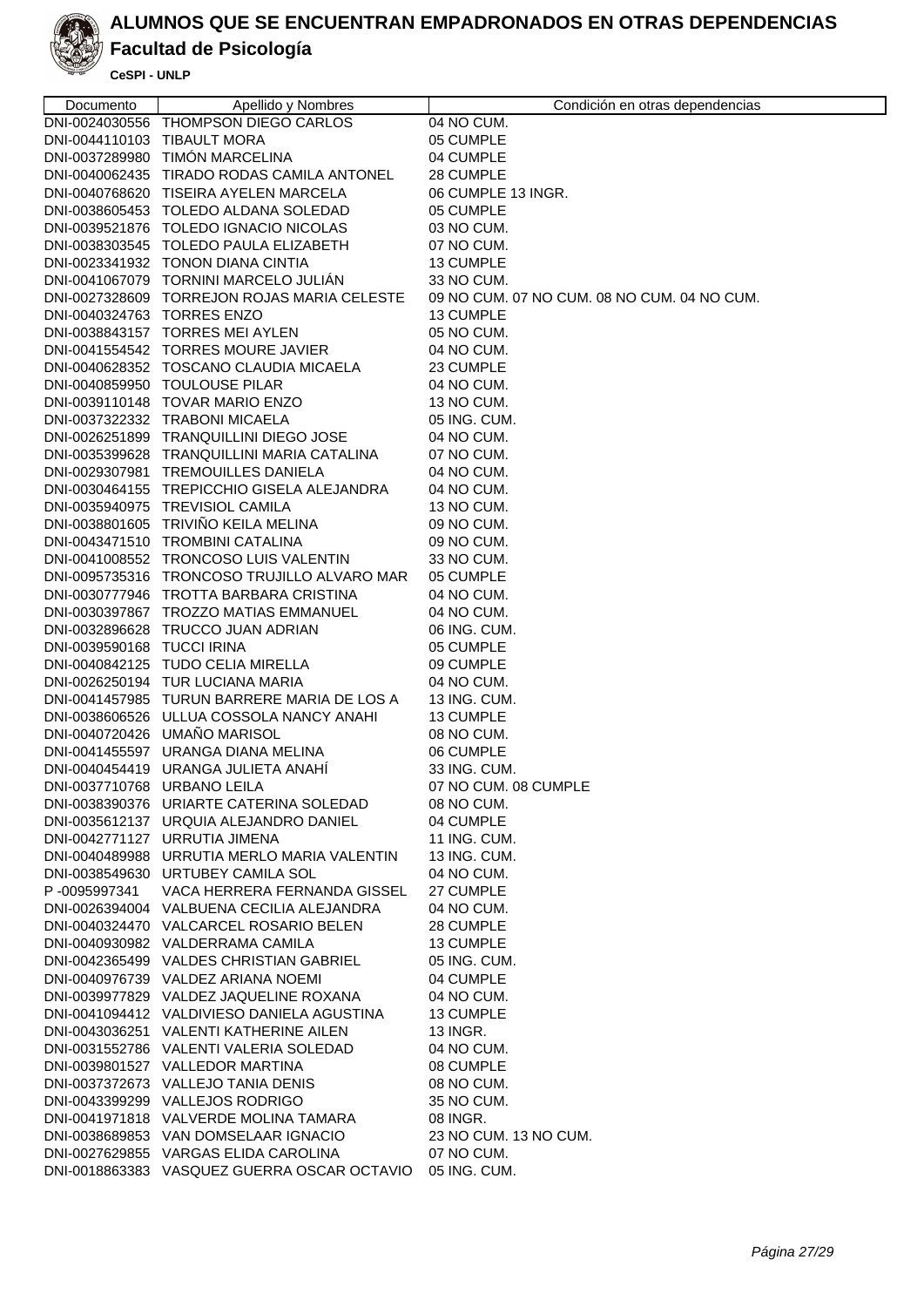

### **Facultad de Psicología**

| Documento                   | Apellido y Nombres                                                                    | Condición en otras dependencias             |
|-----------------------------|---------------------------------------------------------------------------------------|---------------------------------------------|
|                             | DNI-0024030556 THOMPSON DIEGO CARLOS                                                  | 04 NO CUM.                                  |
| DNI-0044110103 TIBAULT MORA |                                                                                       | 05 CUMPLE                                   |
|                             | DNI-0037289980 TIMÓN MARCELINA                                                        | 04 CUMPLE                                   |
|                             | DNI-0040062435 TIRADO RODAS CAMILA ANTONEL                                            | 28 CUMPLE                                   |
|                             | DNI-0040768620 TISEIRA AYELEN MARCELA                                                 | 06 CUMPLE 13 INGR.                          |
|                             | DNI-0038605453 TOLEDO ALDANA SOLEDAD                                                  | 05 CUMPLE                                   |
|                             | DNI-0039521876 TOLEDO IGNACIO NICOLAS                                                 | 03 NO CUM.                                  |
|                             | DNI-0038303545 TOLEDO PAULA ELIZABETH                                                 | 07 NO CUM.                                  |
|                             | DNI-0023341932 TONON DIANA CINTIA                                                     | 13 CUMPLE                                   |
|                             | DNI-0041067079 TORNINI MARCELO JULIÁN                                                 | 33 NO CUM.                                  |
|                             | DNI-0027328609 TORREJON ROJAS MARIA CELESTE                                           | 09 NO CUM. 07 NO CUM. 08 NO CUM. 04 NO CUM. |
| DNI-0040324763 TORRES ENZO  |                                                                                       | <b>13 CUMPLE</b>                            |
|                             | DNI-0038843157 TORRES MEI AYLEN                                                       | 05 NO CUM.                                  |
|                             | DNI-0041554542 TORRES MOURE JAVIER                                                    | 04 NO CUM.                                  |
|                             | DNI-0040628352 TOSCANO CLAUDIA MICAELA                                                | 23 CUMPLE                                   |
|                             | DNI-0040859950 TOULOUSE PILAR                                                         | 04 NO CUM.                                  |
|                             | DNI-0039110148 TOVAR MARIO ENZO                                                       | 13 NO CUM.                                  |
|                             | DNI-0037322332 TRABONI MICAELA                                                        | 05 ING. CUM.                                |
|                             | DNI-0026251899 TRANQUILLINI DIEGO JOSE                                                | 04 NO CUM.                                  |
|                             | DNI-0035399628 TRANQUILLINI MARIA CATALINA                                            | 07 NO CUM.                                  |
|                             | DNI-0029307981 TREMOUILLES DANIELA                                                    | 04 NO CUM.                                  |
|                             | DNI-0030464155 TREPICCHIO GISELA ALEJANDRA                                            | 04 NO CUM.                                  |
|                             | DNI-0035940975 TREVISIOL CAMILA                                                       | 13 NO CUM.                                  |
|                             | DNI-0038801605 TRIVIÑO KEILA MELINA                                                   | 09 NO CUM.                                  |
|                             | DNI-0043471510 TROMBINI CATALINA                                                      | 09 NO CUM.                                  |
|                             | DNI-0041008552 TRONCOSO LUIS VALENTIN                                                 | 33 NO CUM.                                  |
|                             | DNI-0095735316 TRONCOSO TRUJILLO ALVARO MAR<br>DNI-0030777946 TROTTA BARBARA CRISTINA | 05 CUMPLE<br>04 NO CUM.                     |
|                             | DNI-0030397867 TROZZO MATIAS EMMANUEL                                                 | 04 NO CUM.                                  |
|                             | DNI-0032896628 TRUCCO JUAN ADRIAN                                                     | 06 ING. CUM.                                |
| DNI-0039590168 TUCCI IRINA  |                                                                                       | 05 CUMPLE                                   |
|                             | DNI-0040842125 TUDO CELIA MIRELLA                                                     | 09 CUMPLE                                   |
|                             | DNI-0026250194 TUR LUCIANA MARIA                                                      | 04 NO CUM.                                  |
|                             | DNI-0041457985 TURUN BARRERE MARIA DE LOS A                                           | 13 ING, CUM.                                |
|                             | DNI-0038606526 ULLUA COSSOLA NANCY ANAHI                                              | 13 CUMPLE                                   |
|                             | DNI-0040720426 UMAÑO MARISOL                                                          | 08 NO CUM.                                  |
|                             | DNI-0041455597 URANGA DIANA MELINA                                                    | 06 CUMPLE                                   |
|                             | DNI-0040454419 URANGA JULIETA ANAHÍ                                                   | 33 ING. CUM.                                |
| DNI-0037710768 URBANO LEILA |                                                                                       | 07 NO CUM. 08 CUMPLE                        |
|                             | DNI-0038390376 URIARTE CATERINA SOLEDAD                                               | 08 NO CUM.                                  |
|                             | DNI-0035612137 URQUIA ALEJANDRO DANIEL                                                | 04 CUMPLE                                   |
|                             | DNI-0042771127 URRUTIA JIMENA                                                         | <b>11 ING. CUM.</b>                         |
|                             | DNI-0040489988 URRUTIA MERLO MARIA VALENTIN                                           | 13 ING. CUM.                                |
|                             | DNI-0038549630 URTUBEY CAMILA SOL                                                     | 04 NO CUM.                                  |
| P-0095997341                | VACA HERRERA FERNANDA GISSEL                                                          | 27 CUMPLE                                   |
|                             | DNI-0026394004 VALBUENA CECILIA ALEJANDRA                                             | 04 NO CUM.                                  |
|                             | DNI-0040324470 VALCARCEL ROSARIO BELEN                                                | 28 CUMPLE                                   |
|                             | DNI-0040930982 VALDERRAMA CAMILA                                                      | 13 CUMPLE                                   |
|                             | DNI-0042365499 VALDES CHRISTIAN GABRIEL                                               | 05 ING. CUM.                                |
|                             | DNI-0040976739 VALDEZ ARIANA NOEMI                                                    | 04 CUMPLE                                   |
|                             | DNI-0039977829 VALDEZ JAQUELINE ROXANA                                                | 04 NO CUM.                                  |
|                             | DNI-0041094412 VALDIVIESO DANIELA AGUSTINA                                            | 13 CUMPLE                                   |
|                             | DNI-0043036251 VALENTI KATHERINE AILEN                                                | 13 INGR.                                    |
|                             | DNI-0031552786 VALENTI VALERIA SOLEDAD                                                | 04 NO CUM.                                  |
|                             | DNI-0039801527 VALLEDOR MARTINA                                                       | 08 CUMPLE                                   |
|                             | DNI-0037372673 VALLEJO TANIA DENIS                                                    | 08 NO CUM.                                  |
|                             | DNI-0043399299 VALLEJOS RODRIGO                                                       | 35 NO CUM.                                  |
|                             | DNI-0041971818 VALVERDE MOLINA TAMARA                                                 | 08 INGR.                                    |
|                             | DNI-0038689853 VAN DOMSELAAR IGNACIO                                                  | 23 NO CUM. 13 NO CUM.                       |
|                             | DNI-0027629855 VARGAS ELIDA CAROLINA<br>DNI-0018863383 VASQUEZ GUERRA OSCAR OCTAVIO   | 07 NO CUM.<br>05 ING. CUM.                  |
|                             |                                                                                       |                                             |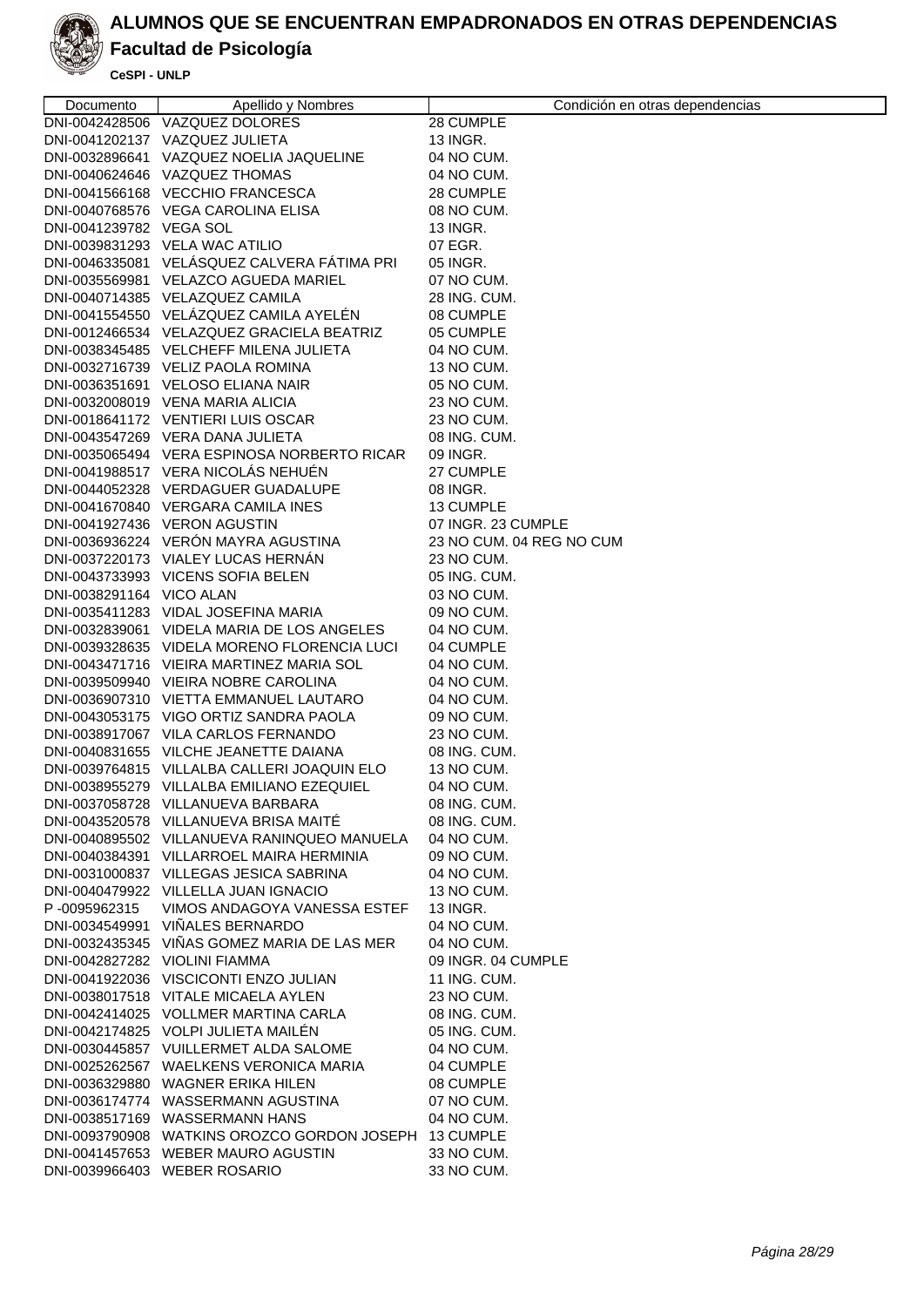

### **Facultad de Psicología**

| Documento                     | Apellido y Nombres                          | Condición en otras dependencias |
|-------------------------------|---------------------------------------------|---------------------------------|
|                               | DNI-0042428506 VAZQUEZ DOLORES              | 28 CUMPLE                       |
|                               | DNI-0041202137 VAZQUEZ JULIETA              | 13 INGR.                        |
|                               | DNI-0032896641 VAZQUEZ NOELIA JAQUELINE     | 04 NO CUM.                      |
|                               | DNI-0040624646 VAZQUEZ THOMAS               | 04 NO CUM.                      |
|                               | DNI-0041566168 VECCHIO FRANCESCA            | 28 CUMPLE                       |
|                               | DNI-0040768576 VEGA CAROLINA ELISA          | 08 NO CUM.                      |
| DNI-0041239782 VEGA SOL       |                                             | 13 INGR.                        |
|                               | DNI-0039831293 VELA WAC ATILIO              | 07 EGR.                         |
|                               | DNI-0046335081 VELÁSQUEZ CALVERA FÁTIMA PRI | 05 INGR.                        |
|                               | DNI-0035569981 VELAZCO AGUEDA MARIEL        | 07 NO CUM.                      |
|                               | DNI-0040714385 VELAZQUEZ CAMILA             | 28 ING. CUM.                    |
|                               | DNI-0041554550 VELÁZQUEZ CAMILA AYELÉN      | 08 CUMPLE                       |
|                               | DNI-0012466534 VELAZQUEZ GRACIELA BEATRIZ   | 05 CUMPLE                       |
|                               | DNI-0038345485 VELCHEFF MILENA JULIETA      | 04 NO CUM.                      |
|                               | DNI-0032716739 VELIZ PAOLA ROMINA           | 13 NO CUM.                      |
|                               | DNI-0036351691 VELOSO ELIANA NAIR           | 05 NO CUM.                      |
|                               | DNI-0032008019 VENA MARIA ALICIA            | 23 NO CUM.                      |
|                               | DNI-0018641172 VENTIERI LUIS OSCAR          | 23 NO CUM.                      |
|                               | DNI-0043547269 VERA DANA JULIETA            | 08 ING. CUM.                    |
|                               | DNI-0035065494 VERA ESPINOSA NORBERTO RICAR | 09 INGR.                        |
|                               | DNI-0041988517 VERA NICOLAS NEHUEN          | 27 CUMPLE                       |
|                               | DNI-0044052328 VERDAGUER GUADALUPE          | 08 INGR.                        |
|                               | DNI-0041670840 VERGARA CAMILA INES          | 13 CUMPLE                       |
|                               | DNI-0041927436 VERON AGUSTIN                | 07 INGR. 23 CUMPLE              |
|                               | DNI-0036936224 VERÓN MAYRA AGUSTINA         | 23 NO CUM. 04 REG NO CUM        |
|                               | DNI-0037220173 VIALEY LUCAS HERNAN          | 23 NO CUM.                      |
|                               | DNI-0043733993 VICENS SOFIA BELEN           | 05 ING. CUM.                    |
| DNI-0038291164 VICO ALAN      |                                             | 03 NO CUM.                      |
|                               | DNI-0035411283 VIDAL JOSEFINA MARIA         | 09 NO CUM.                      |
|                               | DNI-0032839061 VIDELA MARIA DE LOS ANGELES  | 04 NO CUM.                      |
|                               | DNI-0039328635 VIDELA MORENO FLORENCIA LUCI | 04 CUMPLE                       |
|                               | DNI-0043471716 VIEIRA MARTINEZ MARIA SOL    | 04 NO CUM.                      |
|                               | DNI-0039509940 VIEIRA NOBRE CAROLINA        | 04 NO CUM.                      |
|                               | DNI-0036907310 VIETTA EMMANUEL LAUTARO      | 04 NO CUM.                      |
|                               | DNI-0043053175 VIGO ORTIZ SANDRA PAOLA      | 09 NO CUM.                      |
|                               | DNI-0038917067 VILA CARLOS FERNANDO         | 23 NO CUM.                      |
|                               | DNI-0040831655 VILCHE JEANETTE DAIANA       | 08 ING, CUM.                    |
|                               | DNI-0039764815 VILLALBA CALLERI JOAQUIN ELO | 13 NO CUM.                      |
|                               | DNI-0038955279 VILLALBA EMILIANO EZEQUIEL   | 04 NO CUM.                      |
|                               | DNI-0037058728 VILLANUEVA BARBARA           | 08 ING. CUM.                    |
|                               | DNI-0043520578 VILLANUEVA BRISA MAITÉ       | 08 ING. CUM.                    |
|                               | DNI-0040895502 VILLANUEVA RANINQUEO MANUELA | 04 NO CUM.                      |
|                               | DNI-0040384391 VILLARROEL MAIRA HERMINIA    | 09 NO CUM.                      |
|                               | DNI-0031000837 VILLEGAS JESICA SABRINA      | 04 NO CUM.                      |
|                               | DNI-0040479922 VILLELLA JUAN IGNACIO        | 13 NO CUM.                      |
| P-0095962315                  | VIMOS ANDAGOYA VANESSA ESTEF                | 13 INGR.                        |
|                               | DNI-0034549991 VIÑALES BERNARDO             | 04 NO CUM.                      |
|                               | DNI-0032435345 VIÑAS GOMEZ MARIA DE LAS MER | 04 NO CUM.                      |
| DNI-0042827282 VIOLINI FIAMMA |                                             | 09 INGR. 04 CUMPLE              |
|                               | DNI-0041922036 VISCICONTI ENZO JULIAN       | 11 ING. CUM.                    |
|                               | DNI-0038017518 VITALE MICAELA AYLEN         | 23 NO CUM.                      |
|                               | DNI-0042414025 VOLLMER MARTINA CARLA        | 08 ING. CUM.                    |
|                               | DNI-0042174825 VOLPI JULIETA MAILEN         | 05 ING. CUM.                    |
|                               | DNI-0030445857 VUILLERMET ALDA SALOME       | 04 NO CUM.                      |
|                               | DNI-0025262567 WAELKENS VERONICA MARIA      | 04 CUMPLE                       |
|                               | DNI-0036329880 WAGNER ERIKA HILEN           | 08 CUMPLE                       |
|                               | DNI-0036174774 WASSERMANN AGUSTINA          | 07 NO CUM.                      |
|                               | DNI-0038517169 WASSERMANN HANS              | 04 NO CUM.                      |
|                               | DNI-0093790908 WATKINS OROZCO GORDON JOSEPH | 13 CUMPLE                       |
|                               | DNI-0041457653 WEBER MAURO AGUSTIN          | 33 NO CUM.                      |
|                               | DNI-0039966403 WEBER ROSARIO                | 33 NO CUM.                      |
|                               |                                             |                                 |